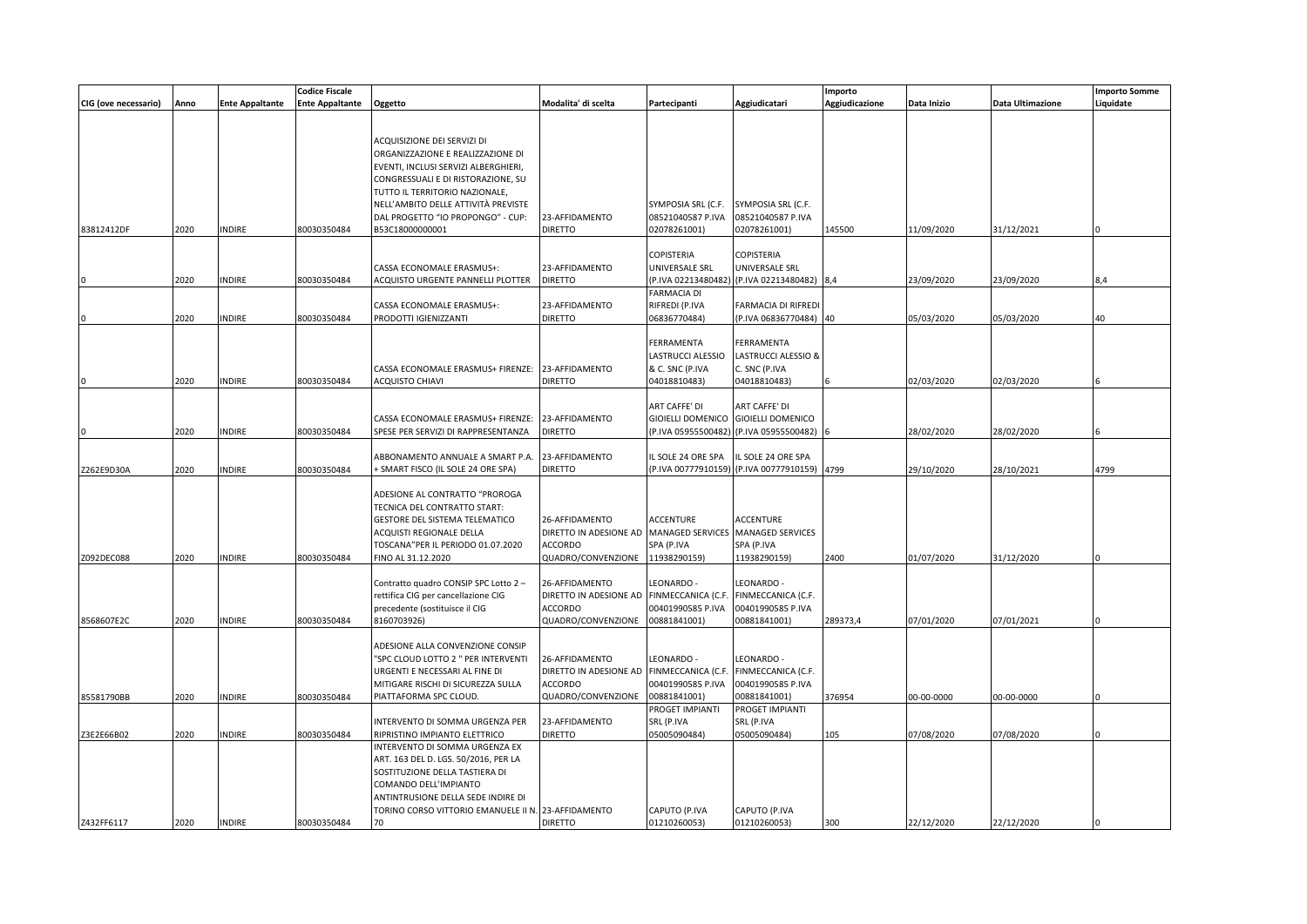|                      |      |                        | <b>Codice Fiscale</b> |                                                     |                        |                    |                                         | Importo        |             |                  | <b>Importo Somme</b> |
|----------------------|------|------------------------|-----------------------|-----------------------------------------------------|------------------------|--------------------|-----------------------------------------|----------------|-------------|------------------|----------------------|
| CIG (ove necessario) | Anno | <b>Ente Appaltante</b> | Ente Appaltante       | Oggetto                                             | Modalita' di scelta    | Partecipanti       | Aggiudicatari                           | Aggiudicazione | Data Inizio | Data Ultimazione | Liquidate            |
|                      |      |                        |                       |                                                     |                        |                    |                                         |                |             |                  |                      |
|                      |      |                        |                       |                                                     |                        |                    |                                         |                |             |                  |                      |
|                      |      |                        |                       | ACQUISIZIONE DEI SERVIZI DI                         |                        |                    |                                         |                |             |                  |                      |
|                      |      |                        |                       | ORGANIZZAZIONE E REALIZZAZIONE DI                   |                        |                    |                                         |                |             |                  |                      |
|                      |      |                        |                       | EVENTI, INCLUSI SERVIZI ALBERGHIERI,                |                        |                    |                                         |                |             |                  |                      |
|                      |      |                        |                       | CONGRESSUALI E DI RISTORAZIONE, SU                  |                        |                    |                                         |                |             |                  |                      |
|                      |      |                        |                       | TUTTO IL TERRITORIO NAZIONALE,                      |                        |                    |                                         |                |             |                  |                      |
|                      |      |                        |                       | NELL'AMBITO DELLE ATTIVITÀ PREVISTE                 |                        | SYMPOSIA SRL (C.F. | SYMPOSIA SRL (C.F.                      |                |             |                  |                      |
|                      |      |                        |                       | DAL PROGETTO "IO PROPONGO" - CUP:                   | 23-AFFIDAMENTO         | 08521040587 P.IVA  | 08521040587 P.IVA                       |                |             |                  |                      |
| 83812412DF           | 2020 | <b>INDIRE</b>          | 80030350484           | B53C18000000001                                     | <b>DIRETTO</b>         | 02078261001)       | 02078261001)                            | 145500         | 11/09/2020  | 31/12/2021       |                      |
|                      |      |                        |                       |                                                     |                        |                    |                                         |                |             |                  |                      |
|                      |      |                        |                       |                                                     |                        | COPISTERIA         | COPISTERIA                              |                |             |                  |                      |
|                      |      |                        |                       | CASSA ECONOMALE ERASMUS+:                           | 23-AFFIDAMENTO         | UNIVERSALE SRL     | UNIVERSALE SRL                          |                |             |                  |                      |
|                      | 2020 | <b>NDIRE</b>           | 80030350484           | ACQUISTO URGENTE PANNELLI PLOTTER                   | <b>DIRETTO</b>         |                    | (P.IVA 02213480482) (P.IVA 02213480482) | 8,4            | 23/09/2020  | 23/09/2020       | 8.4                  |
|                      |      |                        |                       |                                                     |                        | FARMACIA DI        |                                         |                |             |                  |                      |
|                      |      |                        |                       | CASSA ECONOMALE ERASMUS+:                           | 23-AFFIDAMENTO         | RIFREDI (P.IVA     | FARMACIA DI RIFREDI                     |                |             |                  |                      |
|                      | 2020 | <b>INDIRE</b>          | 80030350484           | PRODOTTI IGIENIZZANTI                               | <b>DIRETTO</b>         | 06836770484)       | (P.IVA 06836770484) 40                  |                | 05/03/2020  | 05/03/2020       | 40                   |
|                      |      |                        |                       |                                                     |                        |                    |                                         |                |             |                  |                      |
|                      |      |                        |                       |                                                     |                        | FERRAMENTA         | FERRAMENTA                              |                |             |                  |                      |
|                      |      |                        |                       |                                                     |                        | LASTRUCCI ALESSIO  | LASTRUCCI ALESSIO &                     |                |             |                  |                      |
|                      |      |                        |                       | CASSA ECONOMALE ERASMUS+ FIRENZE:                   | 23-AFFIDAMENTO         | & C. SNC (P.IVA    | C. SNC (P.IVA                           |                |             |                  |                      |
|                      | 2020 | <b>NDIRE</b>           | 80030350484           | <b>ACQUISTO CHIAVI</b>                              | <b>DIRETTO</b>         | 04018810483)       | 04018810483)                            |                | 02/03/2020  | 02/03/2020       |                      |
|                      |      |                        |                       |                                                     |                        |                    |                                         |                |             |                  |                      |
|                      |      |                        |                       |                                                     |                        | ART CAFFE' DI      | ART CAFFE' DI                           |                |             |                  |                      |
|                      |      |                        |                       | CASSA ECONOMALE ERASMUS+ FIRENZE:                   | 23-AFFIDAMENTO         |                    | GIOIELLI DOMENICO GIOIELLI DOMENICO     |                |             |                  |                      |
|                      | 2020 | <b>NDIRE</b>           | 80030350484           | SPESE PER SERVIZI DI RAPPRESENTANZA                 | diretto                |                    | (P.IVA 05955500482) (P.IVA 05955500482) |                | 28/02/2020  | 28/02/2020       |                      |
|                      |      |                        |                       |                                                     |                        |                    |                                         |                |             |                  |                      |
|                      |      |                        |                       | ABBONAMENTO ANNUALE A SMART P.A                     | 23-AFFIDAMENTO         | IL SOLE 24 ORE SPA | IL SOLE 24 ORE SPA                      |                |             |                  |                      |
| Z262E9D30A           | 2020 | <b>NDIRE</b>           | 80030350484           | SMART FISCO (IL SOLE 24 ORE SPA)                    | <b>DIRETTO</b>         |                    | (P.IVA 00777910159) (P.IVA 00777910159) | 4799           | 29/10/2020  | 28/10/2021       | 4799                 |
|                      |      |                        |                       |                                                     |                        |                    |                                         |                |             |                  |                      |
|                      |      |                        |                       | ADESIONE AL CONTRATTO "PROROGA                      |                        |                    |                                         |                |             |                  |                      |
|                      |      |                        |                       | TECNICA DEL CONTRATTO START:                        |                        |                    |                                         |                |             |                  |                      |
|                      |      |                        |                       | GESTORE DEL SISTEMA TELEMATICO                      | 26-AFFIDAMENTO         | ACCENTURE          | <b>ACCENTURE</b>                        |                |             |                  |                      |
|                      |      |                        |                       | ACQUISTI REGIONALE DELLA                            | DIRETTO IN ADESIONE AD |                    | MANAGED SERVICES MANAGED SERVICES       |                |             |                  |                      |
|                      |      |                        |                       | TOSCANA"PER IL PERIODO 01.07.2020                   | ACCORDO                | SPA (P.IVA         | SPA (P.IVA                              |                |             |                  |                      |
| Z092DEC088           | 2020 | <b>INDIRE</b>          | 80030350484           | FINO AL 31.12.2020                                  | QUADRO/CONVENZIONE     | 11938290159)       | 11938290159)                            | 2400           | 01/07/2020  | 31/12/2020       |                      |
|                      |      |                        |                       |                                                     |                        |                    |                                         |                |             |                  |                      |
|                      |      |                        |                       | Contratto quadro CONSIP SPC Lotto 2 -               | 26-AFFIDAMENTO         | LEONARDO -         | LEONARDO -                              |                |             |                  |                      |
|                      |      |                        |                       | rettifica CIG per cancellazione CIG                 | DIRETTO IN ADESIONE AD | FINMECCANICA (C.F. | FINMECCANICA (C.F.                      |                |             |                  |                      |
|                      |      |                        |                       | precedente (sostituisce il CIG                      | <b>ACCORDO</b>         | 00401990585 P.IVA  | 00401990585 P.IVA                       |                |             |                  |                      |
| 8568607E2C           | 2020 | <b>NDIRE</b>           | 80030350484           | 8160703926)                                         | QUADRO/CONVENZIONE     | 00881841001)       | 00881841001)                            | 289373,4       | 07/01/2020  | 07/01/2021       |                      |
|                      |      |                        |                       |                                                     |                        |                    |                                         |                |             |                  |                      |
|                      |      |                        |                       | ADESIONE ALLA CONVENZIONE CONSIP                    |                        |                    |                                         |                |             |                  |                      |
|                      |      |                        |                       | "SPC CLOUD LOTTO 2 " PER INTERVENTI                 | 26-AFFIDAMENTO         | LEONARDO -         | LEONARDO -                              |                |             |                  |                      |
|                      |      |                        |                       | URGENTI E NECESSARI AL FINE DI                      | DIRETTO IN ADESIONE AD | FINMECCANICA (C.F. | FINMECCANICA (C.F.                      |                |             |                  |                      |
|                      |      |                        |                       | MITIGARE RISCHI DI SICUREZZA SULLA                  | <b>ACCORDO</b>         | 00401990585 P.IVA  | 00401990585 P.IVA                       |                |             |                  |                      |
| 85581790BB           | 2020 | <b>INDIRE</b>          | 80030350484           | PIATTAFORMA SPC CLOUD.                              | QUADRO/CONVENZIONE     | 00881841001)       | 00881841001)                            | 376954         | 00-00-0000  | 00-00-0000       |                      |
|                      |      |                        |                       |                                                     |                        | PROGET IMPIANTI    | PROGET IMPIANTI                         |                |             |                  |                      |
|                      |      |                        |                       | INTERVENTO DI SOMMA URGENZA PER                     | 23-AFFIDAMENTO         | SRL (P.IVA         | SRL (P.IVA                              |                |             |                  |                      |
| Z3E2E66B02           | 2020 | <b>INDIRE</b>          | 80030350484           | RIPRISTINO IMPIANTO ELETTRICO                       | <b>DIRETTO</b>         | 05005090484)       | 05005090484)                            | 105            | 07/08/2020  | 07/08/2020       |                      |
|                      |      |                        |                       | INTERVENTO DI SOMMA URGENZA EX                      |                        |                    |                                         |                |             |                  |                      |
|                      |      |                        |                       | ART. 163 DEL D. LGS. 50/2016, PER LA                |                        |                    |                                         |                |             |                  |                      |
|                      |      |                        |                       | SOSTITUZIONE DELLA TASTIERA DI                      |                        |                    |                                         |                |             |                  |                      |
|                      |      |                        |                       |                                                     |                        |                    |                                         |                |             |                  |                      |
|                      |      |                        |                       | COMANDO DELL'IMPIANTO                               |                        |                    |                                         |                |             |                  |                      |
|                      |      |                        |                       | ANTINTRUSIONE DELLA SEDE INDIRE DI                  |                        |                    |                                         |                |             |                  |                      |
|                      |      |                        |                       | TORINO CORSO VITTORIO EMANUELE II N. 23-AFFIDAMENTO |                        | CAPUTO (P.IVA      | CAPUTO (P.IVA                           |                |             |                  |                      |
| Z432FF6117           | 2020 | <b>INDIRE</b>          | 80030350484           | 70                                                  | <b>DIRETTO</b>         | 01210260053)       | 01210260053)                            | 300            | 22/12/2020  | 22/12/2020       |                      |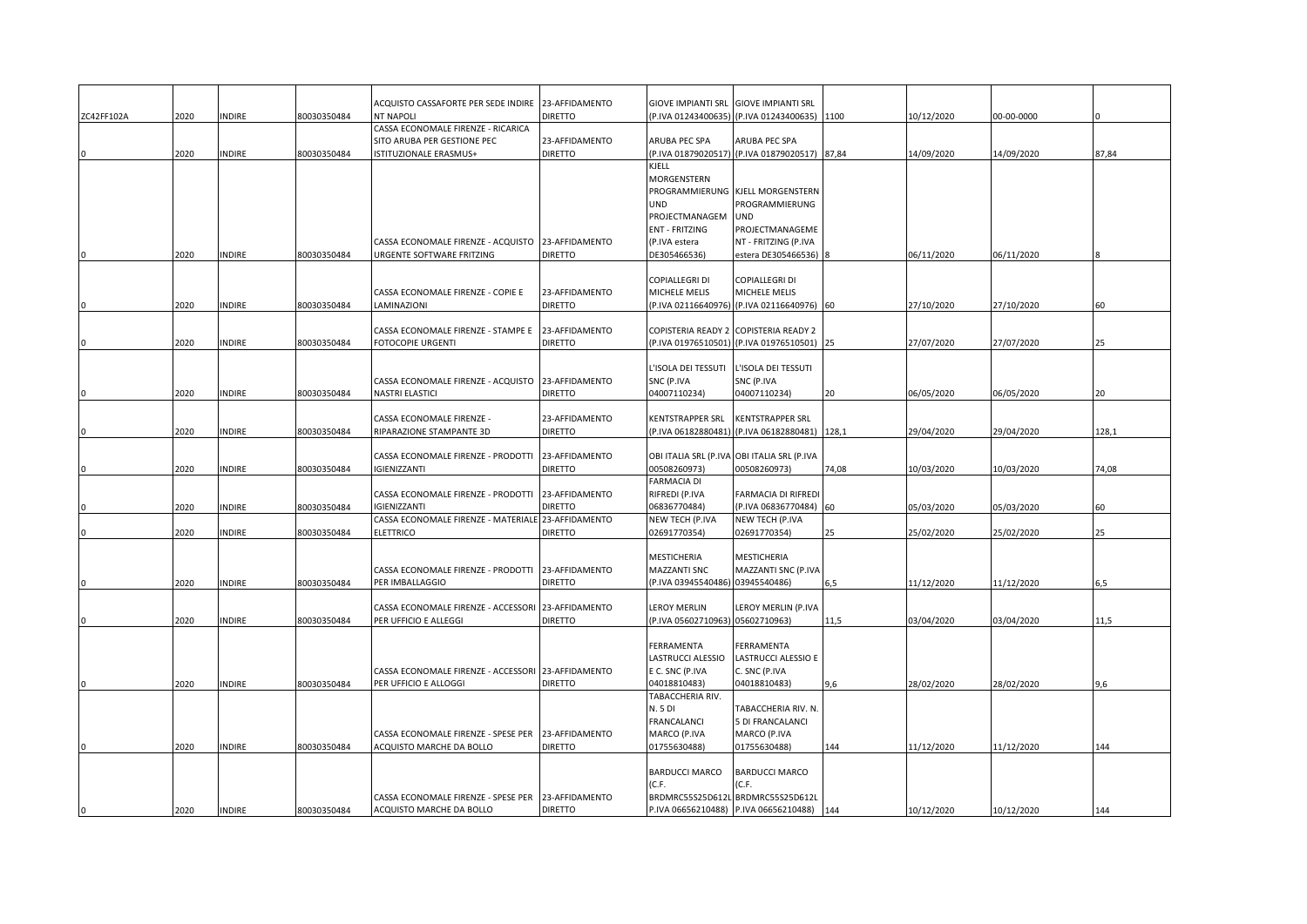|            |      |               |             | ACQUISTO CASSAFORTE PER SEDE INDIRE 23-AFFIDAMENTO<br><b>NT NAPOLI</b> | <b>DIRETTO</b>                   | GIOVE IMPIANTI SRL               | <b>GIOVE IMPIANTI SRL</b><br>(P.IVA 01243400635) (P.IVA 01243400635) 1100 |       |            |            |       |
|------------|------|---------------|-------------|------------------------------------------------------------------------|----------------------------------|----------------------------------|---------------------------------------------------------------------------|-------|------------|------------|-------|
| ZC42FF102A | 2020 | <b>INDIRE</b> | 80030350484 | CASSA ECONOMALE FIRENZE - RICARICA                                     |                                  |                                  |                                                                           |       | 10/12/2020 | 00-00-0000 |       |
|            |      |               |             | SITO ARUBA PER GESTIONE PEC                                            | 23-AFFIDAMENTO                   | ARUBA PEC SPA                    | ARUBA PEC SPA                                                             |       |            |            |       |
|            | 2020 | <b>INDIRE</b> | 80030350484 | ISTITUZIONALE ERASMUS+                                                 | <b>DIRETTO</b>                   |                                  | (P.IVA 01879020517) (P.IVA 01879020517)                                   | 87,84 | 14/09/2020 | 14/09/2020 | 87,84 |
|            |      |               |             |                                                                        |                                  | KJELL                            |                                                                           |       |            |            |       |
|            |      |               |             |                                                                        |                                  | MORGENSTERN                      |                                                                           |       |            |            |       |
|            |      |               |             |                                                                        |                                  |                                  | PROGRAMMIERUNG KJELL MORGENSTERN                                          |       |            |            |       |
|            |      |               |             |                                                                        |                                  | <b>UND</b>                       | PROGRAMMIERUNG                                                            |       |            |            |       |
|            |      |               |             |                                                                        |                                  | PROJECTMANAGEM                   | <b>UND</b>                                                                |       |            |            |       |
|            |      |               |             |                                                                        |                                  | <b>ENT - FRITZING</b>            | PROJECTMANAGEME                                                           |       |            |            |       |
|            | 2020 |               |             | CASSA ECONOMALE FIRENZE - ACQUISTO                                     | 23-AFFIDAMENTO<br><b>DIRETTO</b> | (P.IVA estera                    | NT - FRITZING (P.IVA                                                      |       |            |            |       |
|            |      | <b>INDIRE</b> | 80030350484 | URGENTE SOFTWARE FRITZING                                              |                                  | DE305466536)                     | estera DE305466536)                                                       |       | 06/11/2020 | 06/11/2020 |       |
|            |      |               |             |                                                                        |                                  | COPIALLEGRI DI                   | COPIALLEGRI DI                                                            |       |            |            |       |
|            |      |               |             | CASSA ECONOMALE FIRENZE - COPIE E                                      | 23-AFFIDAMENTO                   | MICHELE MELIS                    | MICHELE MELIS                                                             |       |            |            |       |
|            | 2020 | <b>INDIRE</b> | 80030350484 | LAMINAZIONI                                                            | <b>DIRETTO</b>                   |                                  | (P.IVA 02116640976) (P.IVA 02116640976)                                   | 60    | 27/10/2020 | 27/10/2020 | 60    |
|            |      |               |             |                                                                        |                                  |                                  |                                                                           |       |            |            |       |
|            |      |               |             | CASSA ECONOMALE FIRENZE - STAMPE E                                     | 23-AFFIDAMENTO                   |                                  | COPISTERIA READY 2 COPISTERIA READY 2                                     |       |            |            |       |
|            | 2020 | <b>INDIRE</b> | 80030350484 | FOTOCOPIE URGENTI                                                      | <b>DIRETTO</b>                   |                                  | (P.IVA 01976510501) (P.IVA 01976510501) 25                                |       | 27/07/2020 | 27/07/2020 | 25    |
|            |      |               |             |                                                                        |                                  |                                  |                                                                           |       |            |            |       |
|            |      |               |             |                                                                        |                                  | L'ISOLA DEI TESSUTI              | L'ISOLA DEI TESSUTI                                                       |       |            |            |       |
|            |      |               |             | CASSA ECONOMALE FIRENZE - ACQUISTO<br>NASTRI ELASTICI                  | 23-AFFIDAMENTO<br><b>DIRETTO</b> | SNC (P.IVA<br>04007110234)       | SNC (P.IVA<br>04007110234)                                                |       |            |            | 20    |
|            | 2020 | <b>INDIRE</b> | 80030350484 |                                                                        |                                  |                                  |                                                                           | 20    | 06/05/2020 | 06/05/2020 |       |
|            |      |               |             | CASSA ECONOMALE FIRENZE -                                              | 23-AFFIDAMENTO                   | KENTSTRAPPER SRL                 | <b>KENTSTRAPPER SRL</b>                                                   |       |            |            |       |
|            | 2020 | <b>INDIRE</b> | 80030350484 | RIPARAZIONE STAMPANTE 3D                                               | <b>DIRETTO</b>                   |                                  | (P.IVA 06182880481) (P.IVA 06182880481) 128,1                             |       | 29/04/2020 | 29/04/2020 | 128,1 |
|            |      |               |             |                                                                        |                                  |                                  |                                                                           |       |            |            |       |
|            |      |               |             | CASSA ECONOMALE FIRENZE - PRODOTTI                                     | 23-AFFIDAMENTO                   |                                  | OBI ITALIA SRL (P.IVA OBI ITALIA SRL (P.IVA                               |       |            |            |       |
|            | 2020 | <b>INDIRE</b> | 80030350484 | GIENIZZANTI                                                            | <b>DIRETTO</b>                   | 00508260973)                     | 00508260973)                                                              | 74,08 | 10/03/2020 | 10/03/2020 | 74,08 |
|            |      |               |             |                                                                        |                                  | FARMACIA DI                      |                                                                           |       |            |            |       |
|            |      |               |             | CASSA ECONOMALE FIRENZE - PRODOTTI                                     | 23-AFFIDAMENTO                   | RIFREDI (P.IVA                   | FARMACIA DI RIFREDI                                                       |       |            |            |       |
|            | 2020 | <b>INDIRE</b> | 80030350484 | <b>IGIENIZZANTI</b>                                                    | <b>DIRETTO</b>                   | 06836770484)                     | (P.IVA 06836770484)                                                       | 60    | 05/03/2020 | 05/03/2020 | 60    |
|            | 2020 | <b>INDIRE</b> | 80030350484 | CASSA ECONOMALE FIRENZE - MATERIALE 23-AFFIDAMENTO<br>ELETTRICO        | <b>DIRETTO</b>                   | NEW TECH (P.IVA<br>02691770354)  | NEW TECH (P.IVA<br>02691770354)                                           | 25    | 25/02/2020 | 25/02/2020 | 25    |
|            |      |               |             |                                                                        |                                  |                                  |                                                                           |       |            |            |       |
|            |      |               |             |                                                                        |                                  | MESTICHERIA                      | MESTICHERIA                                                               |       |            |            |       |
|            |      |               |             | CASSA ECONOMALE FIRENZE - PRODOTTI                                     | 23-AFFIDAMENTO                   | MAZZANTI SNC                     | MAZZANTI SNC (P.IVA                                                       |       |            |            |       |
|            | 2020 | <b>INDIRE</b> | 80030350484 | PER IMBALLAGGIO                                                        | <b>DIRETTO</b>                   | (P.IVA 03945540486) 03945540486) |                                                                           | 6,5   | 11/12/2020 | 11/12/2020 | 6,5   |
|            |      |               |             |                                                                        |                                  |                                  |                                                                           |       |            |            |       |
|            |      |               |             | CASSA ECONOMALE FIRENZE - ACCESSORI                                    | 23-AFFIDAMENTO                   | LEROY MERLIN                     | LEROY MERLIN (P.IVA                                                       |       |            |            |       |
|            | 2020 | <b>INDIRE</b> | 80030350484 | PER UFFICIO E ALLEGGI                                                  | <b>DIRETTO</b>                   | (P.IVA 05602710963) 05602710963) |                                                                           | 11,5  | 03/04/2020 | 03/04/2020 | 11,5  |
|            |      |               |             |                                                                        |                                  |                                  |                                                                           |       |            |            |       |
|            |      |               |             |                                                                        |                                  | FERRAMENTA<br>LASTRUCCI ALESSIO  | FERRAMENTA<br>LASTRUCCI ALESSIO E                                         |       |            |            |       |
|            |      |               |             | CASSA ECONOMALE FIRENZE - ACCESSORI 23-AFFIDAMENTO                     |                                  | E C. SNC (P.IVA                  | C. SNC (P.IVA                                                             |       |            |            |       |
|            | 2020 | <b>INDIRE</b> | 80030350484 | PER UFFICIO E ALLOGGI                                                  | <b>DIRETTO</b>                   | 04018810483)                     | 04018810483)                                                              | 9,6   | 28/02/2020 | 28/02/2020 | 9.6   |
|            |      |               |             |                                                                        |                                  | TABACCHERIA RIV.                 |                                                                           |       |            |            |       |
|            |      |               |             |                                                                        |                                  | N. 5 DI                          | TABACCHERIA RIV. N.                                                       |       |            |            |       |
|            |      |               |             |                                                                        |                                  | FRANCALANCI                      | 5 DI FRANCALANCI                                                          |       |            |            |       |
|            |      |               |             | CASSA ECONOMALE FIRENZE - SPESE PER                                    | 23-AFFIDAMENTO                   | MARCO (P.IVA                     | MARCO (P.IVA                                                              |       |            |            |       |
|            | 2020 | <b>INDIRE</b> | 80030350484 | ACQUISTO MARCHE DA BOLLO                                               | <b>DIRETTO</b>                   | 01755630488)                     | 01755630488)                                                              | 144   | 11/12/2020 | 11/12/2020 | 144   |
|            |      |               |             |                                                                        |                                  |                                  |                                                                           |       |            |            |       |
|            |      |               |             |                                                                        |                                  | <b>BARDUCCI MARCO</b>            | <b>BARDUCCI MARCO</b>                                                     |       |            |            |       |
|            |      |               |             | CASSA ECONOMALE FIRENZE - SPESE PER                                    | 23-AFFIDAMENTO                   | (C.F.                            | (C.F.<br>BRDMRC55S25D612L BRDMRC55S25D612L                                |       |            |            |       |
|            | 2020 | <b>INDIRE</b> | 80030350484 | ACQUISTO MARCHE DA BOLLO                                               | <b>DIRETTO</b>                   |                                  | P.IVA 06656210488) P.IVA 06656210488)                                     | 144   | 10/12/2020 | 10/12/2020 | 144   |
|            |      |               |             |                                                                        |                                  |                                  |                                                                           |       |            |            |       |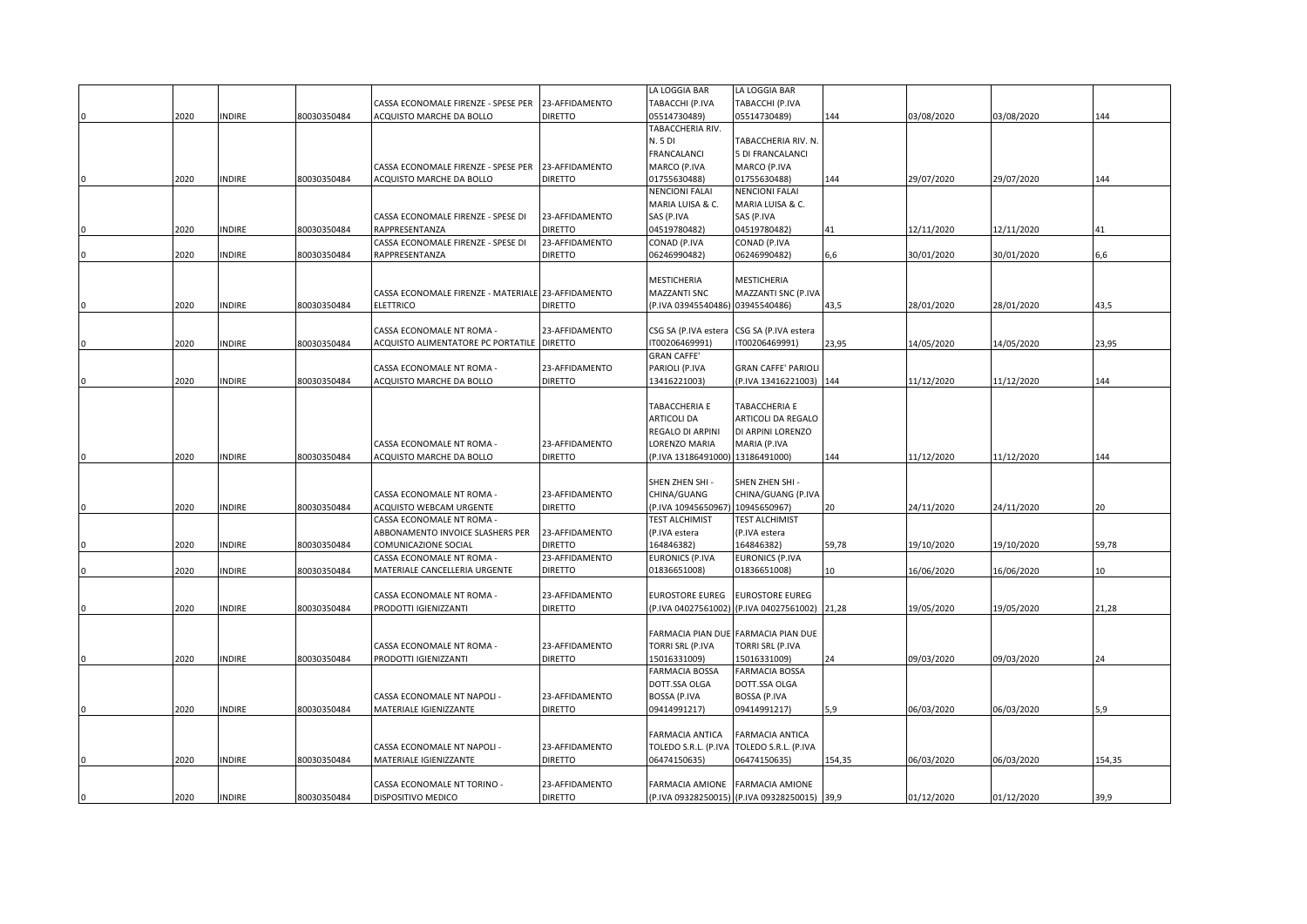|      |               |             |                                                    |                | LA LOGGIA BAR                    | LA LOGGIA BAR                                 |        |            |            |        |
|------|---------------|-------------|----------------------------------------------------|----------------|----------------------------------|-----------------------------------------------|--------|------------|------------|--------|
|      |               |             | CASSA ECONOMALE FIRENZE - SPESE PER                | 23-AFFIDAMENTO | TABACCHI (P.IVA                  | TABACCHI (P.IVA                               |        |            |            |        |
| 2020 | INDIRE        | 80030350484 | ACQUISTO MARCHE DA BOLLO                           | <b>DIRETTO</b> | 05514730489)                     | 05514730489)                                  | 144    | 03/08/2020 | 03/08/2020 | 144    |
|      |               |             |                                                    |                | TABACCHERIA RIV.                 |                                               |        |            |            |        |
|      |               |             |                                                    |                | N. 5 DI                          | TABACCHERIA RIV. N.                           |        |            |            |        |
|      |               |             |                                                    |                | FRANCALANCI                      | 5 DI FRANCALANCI                              |        |            |            |        |
|      |               |             | CASSA ECONOMALE FIRENZE - SPESE PER                | 23-AFFIDAMENTO | MARCO (P.IVA                     | MARCO (P.IVA                                  |        |            |            |        |
| 2020 | NDIRE         | 80030350484 | ACQUISTO MARCHE DA BOLLO                           | <b>DIRETTO</b> | 01755630488)                     | 01755630488)                                  | 144    | 29/07/2020 | 29/07/2020 | 144    |
|      |               |             |                                                    |                | NENCIONI FALAI                   | <b>NENCIONI FALAI</b>                         |        |            |            |        |
|      |               |             |                                                    |                | MARIA LUISA & C.                 | MARIA LUISA & C.                              |        |            |            |        |
|      |               |             | CASSA ECONOMALE FIRENZE - SPESE DI                 | 23-AFFIDAMENTO | SAS (P.IVA                       | SAS (P.IVA                                    |        |            |            |        |
|      |               |             |                                                    | <b>DIRETTO</b> |                                  |                                               |        |            |            |        |
| 2020 | INDIRE        | 80030350484 | RAPPRESENTANZA                                     |                | 04519780482)                     | 04519780482)                                  | 41     | 12/11/2020 | 12/11/2020 | 41     |
|      |               |             | CASSA ECONOMALE FIRENZE - SPESE DI                 | 23-AFFIDAMENTO | CONAD (P.IVA                     | CONAD (P.IVA                                  |        |            |            |        |
| 2020 | <b>NDIRE</b>  | 80030350484 | RAPPRESENTANZA                                     | <b>DIRETTO</b> | 06246990482)                     | 06246990482)                                  | 6,6    | 30/01/2020 | 30/01/2020 | 6,6    |
|      |               |             |                                                    |                |                                  |                                               |        |            |            |        |
|      |               |             |                                                    |                | MESTICHERIA                      | MESTICHERIA                                   |        |            |            |        |
|      |               |             | CASSA ECONOMALE FIRENZE - MATERIALE 23-AFFIDAMENTO |                | MAZZANTI SNC                     | MAZZANTI SNC (P.IVA                           |        |            |            |        |
| 2020 | NDIRE         | 80030350484 | <b>ELETTRICO</b>                                   | <b>DIRETTO</b> | (P.IVA 03945540486) 03945540486) |                                               | 43,5   | 28/01/2020 | 28/01/2020 | 43,5   |
|      |               |             |                                                    |                |                                  |                                               |        |            |            |        |
|      |               |             | CASSA ECONOMALE NT ROMA -                          | 23-AFFIDAMENTO | CSG SA (P.IVA estera             | CSG SA (P.IVA estera                          |        |            |            |        |
| 2020 | <b>NDIRE</b>  | 80030350484 | ACQUISTO ALIMENTATORE PC PORTATILE                 | <b>DIRETTO</b> | IT00206469991)                   | T00206469991)                                 | 23,95  | 14/05/2020 | 14/05/2020 | 23,95  |
|      |               |             |                                                    |                | <b>GRAN CAFFE'</b>               |                                               |        |            |            |        |
|      |               |             | CASSA ECONOMALE NT ROMA -                          | 23-AFFIDAMENTO | PARIOLI (P.IVA                   | <b>GRAN CAFFE' PARIOLI</b>                    |        |            |            |        |
| 2020 | <b>NDIRE</b>  | 80030350484 | ACQUISTO MARCHE DA BOLLO                           | <b>DIRETTO</b> | 13416221003)                     | P.IVA 13416221003) 144                        |        | 11/12/2020 | 11/12/2020 | 144    |
|      |               |             |                                                    |                |                                  |                                               |        |            |            |        |
|      |               |             |                                                    |                | TABACCHERIA E                    | TABACCHERIA E                                 |        |            |            |        |
|      |               |             |                                                    |                | ARTICOLI DA                      | ARTICOLI DA REGALO                            |        |            |            |        |
|      |               |             |                                                    |                |                                  |                                               |        |            |            |        |
|      |               |             |                                                    |                | REGALO DI ARPINI                 | DI ARPINI LORENZO                             |        |            |            |        |
|      |               |             | CASSA ECONOMALE NT ROMA -                          | 23-AFFIDAMENTO | LORENZO MARIA                    | MARIA (P.IVA                                  |        |            |            |        |
| 2020 | <b>INDIRE</b> | 80030350484 | ACQUISTO MARCHE DA BOLLO                           | <b>DIRETTO</b> | (P.IVA 13186491000) 13186491000) |                                               | 144    | 11/12/2020 | 11/12/2020 | 144    |
|      |               |             |                                                    |                |                                  |                                               |        |            |            |        |
|      |               |             |                                                    |                | SHEN ZHEN SHI -                  | SHEN ZHEN SHI -                               |        |            |            |        |
|      |               |             | CASSA ECONOMALE NT ROMA -                          | 23-AFFIDAMENTO | CHINA/GUANG                      | CHINA/GUANG (P.IVA                            |        |            |            |        |
| 2020 | <b>INDIRE</b> | 80030350484 | ACQUISTO WEBCAM URGENTE                            | <b>DIRETTO</b> | (P.IVA 1094565096)               | 10945650967)                                  |        | 24/11/2020 | 24/11/2020 | 20     |
|      |               |             | CASSA ECONOMALE NT ROMA -                          |                | TEST ALCHIMIST                   | <b>TEST ALCHIMIST</b>                         |        |            |            |        |
|      |               |             | ABBONAMENTO INVOICE SLASHERS PER                   | 23-AFFIDAMENTO | (P.IVA estera                    | (P.IVA estera                                 |        |            |            |        |
| 2020 | <b>NDIRE</b>  | 80030350484 | COMUNICAZIONE SOCIAL                               | <b>DIRETTO</b> | 164846382)                       | 164846382)                                    | 59,78  | 19/10/2020 | 19/10/2020 | 59,78  |
|      |               |             | CASSA ECONOMALE NT ROMA                            | 23-AFFIDAMENTO | EURONICS (P.IVA                  | <b>EURONICS (P.IVA</b>                        |        |            |            |        |
| 2020 | <b>INDIRE</b> | 80030350484 | MATERIALE CANCELLERIA URGENTE                      | <b>DIRETTO</b> | 01836651008)                     | 01836651008)                                  | 10     | 16/06/2020 | 16/06/2020 | 10     |
|      |               |             |                                                    |                |                                  |                                               |        |            |            |        |
|      |               |             | CASSA ECONOMALE NT ROMA -                          | 23-AFFIDAMENTO | EUROSTORE EUREG                  | <b>EUROSTORE EUREG</b>                        |        |            |            |        |
| 2020 | INDIRE        | 80030350484 | PRODOTTI IGIENIZZANTI                              | <b>DIRETTO</b> |                                  | (P.IVA 04027561002) (P.IVA 04027561002) 21,28 |        | 19/05/2020 | 19/05/2020 | 21,28  |
|      |               |             |                                                    |                |                                  |                                               |        |            |            |        |
|      |               |             |                                                    |                |                                  | FARMACIA PIAN DUE FARMACIA PIAN DUE           |        |            |            |        |
|      |               |             | CASSA ECONOMALE NT ROMA -                          | 23-AFFIDAMENTO | TORRI SRL (P.IVA                 | TORRI SRL (P.IVA                              |        |            |            |        |
| 2020 | <b>INDIRE</b> | 80030350484 | PRODOTTI IGIENIZZANTI                              | <b>DIRETTO</b> | 15016331009)                     | 15016331009)                                  | 24     | 09/03/2020 | 09/03/2020 | 24     |
|      |               |             |                                                    |                |                                  |                                               |        |            |            |        |
|      |               |             |                                                    |                | FARMACIA BOSSA                   | <b>FARMACIA BOSSA</b>                         |        |            |            |        |
|      |               |             |                                                    |                | DOTT.SSA OLGA                    | DOTT.SSA OLGA                                 |        |            |            |        |
|      |               |             | CASSA ECONOMALE NT NAPOLI -                        | 23-AFFIDAMENTO | BOSSA (P.IVA                     | BOSSA (P.IVA                                  |        |            |            |        |
| 2020 | <b>NDIRE</b>  | 80030350484 | MATERIALE IGIENIZZANTE                             | <b>DIRETTO</b> | 09414991217)                     | 09414991217)                                  | 5,9    | 06/03/2020 | 06/03/2020 | 5,9    |
|      |               |             |                                                    |                |                                  |                                               |        |            |            |        |
|      |               |             |                                                    |                | FARMACIA ANTICA                  | FARMACIA ANTICA                               |        |            |            |        |
|      |               |             | CASSA ECONOMALE NT NAPOLI -                        | 23-AFFIDAMENTO | TOLEDO S.R.L. (P.IVA             | TOLEDO S.R.L. (P.IVA                          |        |            |            |        |
| 2020 | <b>NDIRE</b>  | 80030350484 | MATERIALE IGIENIZZANTE                             | <b>DIRETTO</b> | 06474150635)                     | 06474150635)                                  | 154,35 | 06/03/2020 | 06/03/2020 | 154,35 |
|      |               |             |                                                    |                |                                  |                                               |        |            |            |        |
|      |               |             | CASSA ECONOMALE NT TORINO -                        | 23-AFFIDAMENTO |                                  | FARMACIA AMIONE FARMACIA AMIONE               |        |            |            |        |
| 2020 | <b>INDIRE</b> | 80030350484 | DISPOSITIVO MEDICO                                 | <b>DIRETTO</b> |                                  | (P.IVA 09328250015) (P.IVA 09328250015) 39,9  |        | 01/12/2020 | 01/12/2020 | 39,9   |
|      |               |             |                                                    |                |                                  |                                               |        |            |            |        |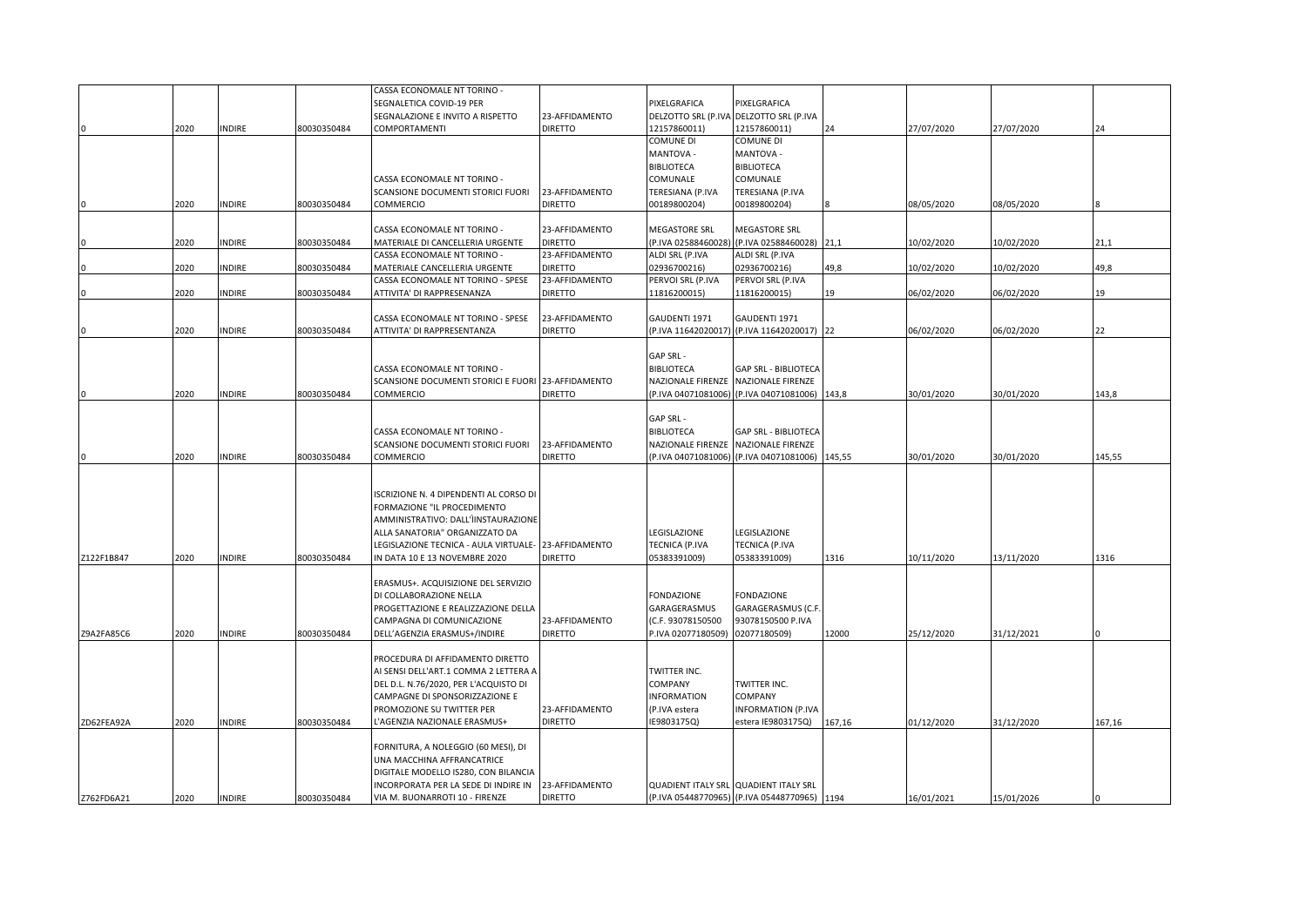|            |      |               |             | CASSA ECONOMALE NT TORINO -                          |                |                    |                                               |        |            |            |        |
|------------|------|---------------|-------------|------------------------------------------------------|----------------|--------------------|-----------------------------------------------|--------|------------|------------|--------|
|            |      |               |             | SEGNALETICA COVID-19 PER                             |                | PIXELGRAFICA       | PIXELGRAFICA                                  |        |            |            |        |
|            |      |               |             | SEGNALAZIONE E INVITO A RISPETTO                     | 23-AFFIDAMENTO |                    | DELZOTTO SRL (P.IVA DELZOTTO SRL (P.IVA       |        |            |            |        |
|            | 2020 | <b>NDIRE</b>  | 80030350484 | COMPORTAMENTI                                        | <b>DIRETTO</b> | 12157860011)       | 12157860011)                                  | 24     | 27/07/2020 | 27/07/2020 | 24     |
|            |      |               |             |                                                      |                | COMUNE DI          | COMUNE DI                                     |        |            |            |        |
|            |      |               |             |                                                      |                | - MANTOVA          | MANTOVA -                                     |        |            |            |        |
|            |      |               |             |                                                      |                | BIBLIOTECA         | <b>BIBLIOTECA</b>                             |        |            |            |        |
|            |      |               |             | CASSA ECONOMALE NT TORINO -                          |                | COMUNALE           | COMUNALE                                      |        |            |            |        |
|            |      |               |             | SCANSIONE DOCUMENTI STORICI FUORI                    | 23-AFFIDAMENTO | TERESIANA (P.IVA   | TERESIANA (P.IVA                              |        |            |            |        |
|            | 2020 | <b>NDIRE</b>  | 80030350484 | COMMERCIO                                            | <b>DIRETTO</b> | 00189800204)       | 00189800204)                                  |        | 08/05/2020 | 08/05/2020 |        |
|            |      |               |             |                                                      |                |                    |                                               |        |            |            |        |
|            |      |               |             | CASSA ECONOMALE NT TORINO -                          | 23-AFFIDAMENTO | MEGASTORE SRL      | MEGASTORE SRL                                 |        |            |            |        |
|            |      |               |             |                                                      | <b>DIRETTO</b> |                    |                                               |        |            |            | 21.1   |
|            | 2020 | <b>NDIRE</b>  | 80030350484 | MATERIALE DI CANCELLERIA URGENTE                     |                | (P.IVA 02588460028 | (P.IVA 02588460028) 21,1                      |        | 10/02/2020 | 10/02/2020 |        |
|            |      |               |             | CASSA ECONOMALE NT TORINO -                          | 23-AFFIDAMENTO | ALDI SRL (P.IVA    | ALDI SRL (P.IVA                               |        |            |            |        |
|            | 2020 | INDIRE        | 80030350484 | MATERIALE CANCELLERIA URGENTE                        | <b>DIRETTO</b> | 02936700216)       | 02936700216)                                  | 49,8   | 10/02/2020 | 10/02/2020 | 49,8   |
|            |      |               |             | CASSA ECONOMALE NT TORINO - SPESE                    | 23-AFFIDAMENTO | PERVOI SRL (P.IVA  | PERVOI SRL (P.IVA                             |        |            |            |        |
|            | 2020 | NDIRE         | 80030350484 | ATTIVITA' DI RAPPRESENANZA                           | <b>DIRETTO</b> | 11816200015)       | 11816200015)                                  | 19     | 06/02/2020 | 06/02/2020 | 19     |
|            |      |               |             |                                                      |                |                    |                                               |        |            |            |        |
|            |      |               |             | CASSA ECONOMALE NT TORINO - SPESE                    | 23-AFFIDAMENTO | GAUDENTI 1971      | GAUDENTI 1971                                 |        |            |            |        |
|            | 2020 | INDIRE        | 80030350484 | ATTIVITA' DI RAPPRESENTANZA                          | <b>DIRETTO</b> |                    | (P.IVA 11642020017) (P.IVA 11642020017) 22    |        | 06/02/2020 | 06/02/2020 | 22     |
|            |      |               |             |                                                      |                |                    |                                               |        |            |            |        |
|            |      |               |             |                                                      |                | GAP SRL -          |                                               |        |            |            |        |
|            |      |               |             | CASSA ECONOMALE NT TORINO -                          |                | <b>BIBLIOTECA</b>  | GAP SRL - BIBLIOTECA                          |        |            |            |        |
|            |      |               |             | SCANSIONE DOCUMENTI STORICI E FUORI 23-AFFIDAMENTO   |                | NAZIONALE FIRENZE  | NAZIONALE FIRENZE                             |        |            |            |        |
|            | 2020 | <b>NDIRE</b>  | 80030350484 | COMMERCIO                                            | <b>DIRETTO</b> |                    | (P.IVA 04071081006) (P.IVA 04071081006) 143,8 |        | 30/01/2020 | 30/01/2020 | 143,8  |
|            |      |               |             |                                                      |                |                    |                                               |        |            |            |        |
|            |      |               |             |                                                      |                | GAP SRL -          |                                               |        |            |            |        |
|            |      |               |             | CASSA ECONOMALE NT TORINO -                          |                | BIBLIOTECA         | <b>GAP SRL - BIBLIOTECA</b>                   |        |            |            |        |
|            |      |               |             | SCANSIONE DOCUMENTI STORICI FUORI                    | 23-AFFIDAMENTO | NAZIONALE FIRENZE  | NAZIONALE FIRENZE                             |        |            |            |        |
|            | 2020 | <b>INDIRE</b> | 80030350484 | COMMERCIO                                            | <b>DIRETTO</b> |                    | (P.IVA 04071081006) (P.IVA 04071081006)       | 145,55 | 30/01/2020 | 30/01/2020 | 145,55 |
|            |      |               |             |                                                      |                |                    |                                               |        |            |            |        |
|            |      |               |             |                                                      |                |                    |                                               |        |            |            |        |
|            |      |               |             |                                                      |                |                    |                                               |        |            |            |        |
|            |      |               |             | ISCRIZIONE N. 4 DIPENDENTI AL CORSO DI               |                |                    |                                               |        |            |            |        |
|            |      |               |             | FORMAZIONE "IL PROCEDIMENTO                          |                |                    |                                               |        |            |            |        |
|            |      |               |             | AMMINISTRATIVO: DALL'ÌINSTAURAZIONE                  |                |                    |                                               |        |            |            |        |
|            |      |               |             | ALLA SANATORIA" ORGANIZZATO DA                       |                | LEGISLAZIONE       | LEGISLAZIONE                                  |        |            |            |        |
|            |      |               |             | LEGISLAZIONE TECNICA - AULA VIRTUALE- 23-AFFIDAMENTO |                | TECNICA (P.IVA     | TECNICA (P.IVA                                |        |            |            |        |
| Z122F1B847 | 2020 | INDIRE        | 80030350484 | IN DATA 10 E 13 NOVEMBRE 2020                        | <b>DIRETTO</b> | 05383391009)       | 05383391009)                                  | 1316   | 10/11/2020 | 13/11/2020 | 1316   |
|            |      |               |             |                                                      |                |                    |                                               |        |            |            |        |
|            |      |               |             | ERASMUS+. ACQUISIZIONE DEL SERVIZIO                  |                |                    |                                               |        |            |            |        |
|            |      |               |             | DI COLLABORAZIONE NELLA                              |                | FONDAZIONE         | <b>FONDAZIONE</b>                             |        |            |            |        |
|            |      |               |             | PROGETTAZIONE E REALIZZAZIONE DELLA                  |                | GARAGERASMUS       | GARAGERASMUS (C.F                             |        |            |            |        |
|            |      |               |             | CAMPAGNA DI COMUNICAZIONE                            | 23-AFFIDAMENTO | (C.F. 93078150500  | 93078150500 P.IVA                             |        |            |            |        |
| Z9A2FA85C6 | 2020 | <b>NDIRE</b>  | 80030350484 | DELL'AGENZIA ERASMUS+/INDIRE                         | <b>DIRETTO</b> | P.IVA 02077180509) | 02077180509)                                  | 12000  | 25/12/2020 | 31/12/2021 |        |
|            |      |               |             |                                                      |                |                    |                                               |        |            |            |        |
|            |      |               |             | PROCEDURA DI AFFIDAMENTO DIRETTO                     |                |                    |                                               |        |            |            |        |
|            |      |               |             | AI SENSI DELL'ART.1 COMMA 2 LETTERA A                |                | TWITTER INC.       |                                               |        |            |            |        |
|            |      |               |             | DEL D.L. N.76/2020, PER L'ACQUISTO DI                |                | COMPANY            | TWITTER INC.                                  |        |            |            |        |
|            |      |               |             | CAMPAGNE DI SPONSORIZZAZIONE E                       |                | INFORMATION        | COMPANY                                       |        |            |            |        |
|            |      |               |             | PROMOZIONE SU TWITTER PER                            |                |                    |                                               |        |            |            |        |
|            |      |               |             |                                                      | 23-AFFIDAMENTO | (P.IVA estera      | <b>INFORMATION (P.IVA</b>                     |        |            |            |        |
| ZD62FEA92A | 2020 | <b>NDIRE</b>  | 80030350484 | 'AGENZIA NAZIONALE ERASMUS+                          | <b>DIRETTO</b> | IE9803175Q)        | estera IE9803175Q)                            | 167,16 | 01/12/2020 | 31/12/2020 | 167,16 |
|            |      |               |             |                                                      |                |                    |                                               |        |            |            |        |
|            |      |               |             | FORNITURA, A NOLEGGIO (60 MESI), DI                  |                |                    |                                               |        |            |            |        |
|            |      |               |             | UNA MACCHINA AFFRANCATRICE                           |                |                    |                                               |        |            |            |        |
|            |      |               |             | DIGITALE MODELLO IS280, CON BILANCIA                 |                |                    |                                               |        |            |            |        |
|            |      |               |             | INCORPORATA PER LA SEDE DI INDIRE IN                 | 23-AFFIDAMENTO |                    | <b>QUADIENT ITALY SRL QUADIENT ITALY SRL</b>  |        |            |            |        |
| Z762FD6A21 | 2020 | INDIRE        | 80030350484 | VIA M. BUONARROTI 10 - FIRENZE                       | <b>DIRETTO</b> |                    | (P.IVA 05448770965) (P.IVA 05448770965) 1194  |        | 16/01/2021 | 15/01/2026 |        |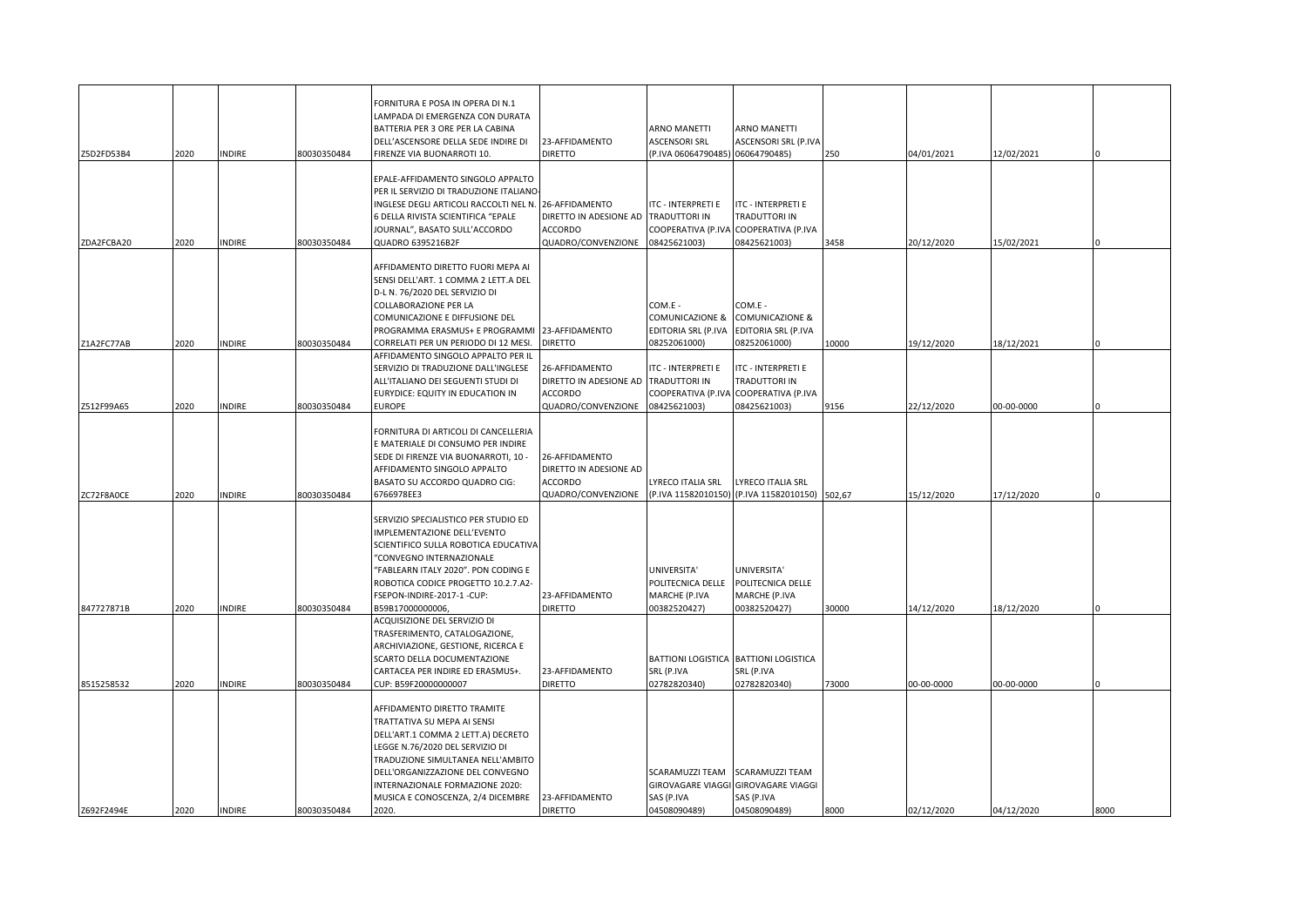|            |      |               |             | FORNITURA E POSA IN OPERA DI N.1<br>LAMPADA DI EMERGENZA CON DURATA<br>BATTERIA PER 3 ORE PER LA CABINA<br>DELL'ASCENSORE DELLA SEDE INDIRE DI                                                                                                                                                | 23-AFFIDAMENTO                                                                   | ARNO MANETTI<br><b>ASCENSORI SRL</b>                               | ARNO MANETTI<br>ASCENSORI SRL (P.IVA                                                |        |            |            |      |
|------------|------|---------------|-------------|-----------------------------------------------------------------------------------------------------------------------------------------------------------------------------------------------------------------------------------------------------------------------------------------------|----------------------------------------------------------------------------------|--------------------------------------------------------------------|-------------------------------------------------------------------------------------|--------|------------|------------|------|
| Z5D2FD53B4 | 2020 | <b>INDIRE</b> | 80030350484 | FIRENZE VIA BUONARROTI 10.                                                                                                                                                                                                                                                                    | <b>DIRETTO</b>                                                                   | (P.IVA 06064790485) 06064790485)                                   |                                                                                     | 250    | 04/01/2021 | 12/02/2021 |      |
|            |      |               |             | EPALE-AFFIDAMENTO SINGOLO APPALTO<br>PER IL SERVIZIO DI TRADUZIONE ITALIANO-<br>INGLESE DEGLI ARTICOLI RACCOLTI NEL N. 26-AFFIDAMENTO<br>6 DELLA RIVISTA SCIENTIFICA "EPALE<br>JOURNAL", BASATO SULL'ACCORDO                                                                                  | DIRETTO IN ADESIONE AD<br><b>ACCORDO</b>                                         | ITC - INTERPRETI E<br>TRADUTTORI IN                                | ITC - INTERPRETI E<br>TRADUTTORI IN<br>COOPERATIVA (P.IVA COOPERATIVA (P.IVA        |        |            |            |      |
| ZDA2FCBA20 | 2020 | <b>INDIRE</b> | 30030350484 | QUADRO 6395216B2F                                                                                                                                                                                                                                                                             | QUADRO/CONVENZIONE                                                               | 08425621003)                                                       | 08425621003)                                                                        | 3458   | 20/12/2020 | 15/02/2021 |      |
| Z1A2FC77AB | 2020 | <b>INDIRE</b> | 80030350484 | AFFIDAMENTO DIRETTO FUORI MEPA AI<br>SENSI DELL'ART. 1 COMMA 2 LETT.A DEL<br>D-L N. 76/2020 DEL SERVIZIO DI<br><b>COLLABORAZIONE PER LA</b><br>COMUNICAZIONE E DIFFUSIONE DEL<br>PROGRAMMA ERASMUS+ E PROGRAMMI 23-AFFIDAMENTO<br>CORRELATI PER UN PERIODO DI 12 MESI.                        | <b>DIRETTO</b>                                                                   | COM.E -<br>COMUNICAZIONE &<br>EDITORIA SRL (P.IVA<br>08252061000)  | COM.E -<br><b>COMUNICAZIONE &amp;</b><br>EDITORIA SRL (P.IVA<br>08252061000)        | 10000  | 19/12/2020 | 18/12/2021 |      |
|            |      |               |             | AFFIDAMENTO SINGOLO APPALTO PER IL<br>SERVIZIO DI TRADUZIONE DALL'INGLESE<br>ALL'ITALIANO DEI SEGUENTI STUDI DI<br>EURYDICE: EQUITY IN EDUCATION IN                                                                                                                                           | 26-AFFIDAMENTO<br>DIRETTO IN ADESIONE AD<br><b>ACCORDO</b>                       | ITC - INTERPRETI E<br><b>TRADUTTORI IN</b>                         | <b>ITC - INTERPRETI E</b><br>TRADUTTORI IN<br>COOPERATIVA (P.IVA COOPERATIVA (P.IVA |        |            |            |      |
| Z512F99A65 | 2020 | <b>INDIRE</b> | 80030350484 | <b>EUROPE</b>                                                                                                                                                                                                                                                                                 | QUADRO/CONVENZIONE                                                               | 08425621003)                                                       | 08425621003)                                                                        | 9156   | 22/12/2020 | 00-00-0000 |      |
| ZC72F8A0CE | 2020 | <b>INDIRE</b> | 80030350484 | FORNITURA DI ARTICOLI DI CANCELLERIA<br>E MATERIALE DI CONSUMO PER INDIRE<br>SEDE DI FIRENZE VIA BUONARROTI, 10 -<br>AFFIDAMENTO SINGOLO APPALTO<br>BASATO SU ACCORDO QUADRO CIG:<br>6766978EE3                                                                                               | 26-AFFIDAMENTO<br>DIRETTO IN ADESIONE AD<br><b>ACCORDO</b><br>QUADRO/CONVENZIONE | LYRECO ITALIA SRL                                                  | LYRECO ITALIA SRL<br>P.IVA 11582010150) (P.IVA 11582010150)                         | 502,67 | 15/12/2020 | 17/12/2020 |      |
| 847727871B | 2020 | <b>INDIRE</b> | 80030350484 | SERVIZIO SPECIALISTICO PER STUDIO ED<br>IMPLEMENTAZIONE DELL'EVENTO<br>SCIENTIFICO SULLA ROBOTICA EDUCATIVA<br>"CONVEGNO INTERNAZIONALE<br>"FABLEARN ITALY 2020". PON CODING E<br>ROBOTICA CODICE PROGETTO 10.2.7.A2-<br>FSEPON-INDIRE-2017-1-CUP:<br>B59B17000000006,                        | 23-AFFIDAMENTO<br><b>DIRETTO</b>                                                 | UNIVERSITA'<br>POLITECNICA DELLE<br>MARCHE (P.IVA<br>00382520427)  | UNIVERSITA'<br>POLITECNICA DELLE<br>MARCHE (P.IVA<br>00382520427)                   | 30000  | 14/12/2020 | 18/12/2020 |      |
|            |      |               |             | ACQUISIZIONE DEL SERVIZIO DI<br>TRASFERIMENTO, CATALOGAZIONE,<br>ARCHIVIAZIONE, GESTIONE, RICERCA E<br>SCARTO DELLA DOCUMENTAZIONE<br>CARTACEA PER INDIRE ED ERASMUS+.                                                                                                                        | 23-AFFIDAMENTO                                                                   | SRL (P.IVA                                                         | BATTIONI LOGISTICA BATTIONI LOGISTICA<br>SRL (P.IVA                                 |        |            |            |      |
| 8515258532 | 2020 | <b>INDIRE</b> | 80030350484 | CUP: B59F20000000007                                                                                                                                                                                                                                                                          | <b>DIRETTO</b>                                                                   | 02782820340)                                                       | 02782820340)                                                                        | 73000  | 00-00-0000 | 00-00-0000 |      |
| Z692F2494E | 2020 | <b>INDIRE</b> | 80030350484 | AFFIDAMENTO DIRETTO TRAMITE<br>TRATTATIVA SU MEPA AI SENSI<br>DELL'ART.1 COMMA 2 LETT.A) DECRETO<br>LEGGE N.76/2020 DEL SERVIZIO DI<br>TRADUZIONE SIMULTANEA NELL'AMBITO<br>DELL'ORGANIZZAZIONE DEL CONVEGNO<br>INTERNAZIONALE FORMAZIONE 2020:<br>MUSICA E CONOSCENZA, 2/4 DICEMBRE<br>2020. | 23-AFFIDAMENTO<br><b>DIRETTO</b>                                                 | SCARAMUZZI TEAM<br>GIROVAGARE VIAGGI<br>SAS (P.IVA<br>04508090489) | SCARAMUZZI TEAM<br><b>GIROVAGARE VIAGGI</b><br>SAS (P.IVA<br>04508090489)           | 8000   | 02/12/2020 | 04/12/2020 | 8000 |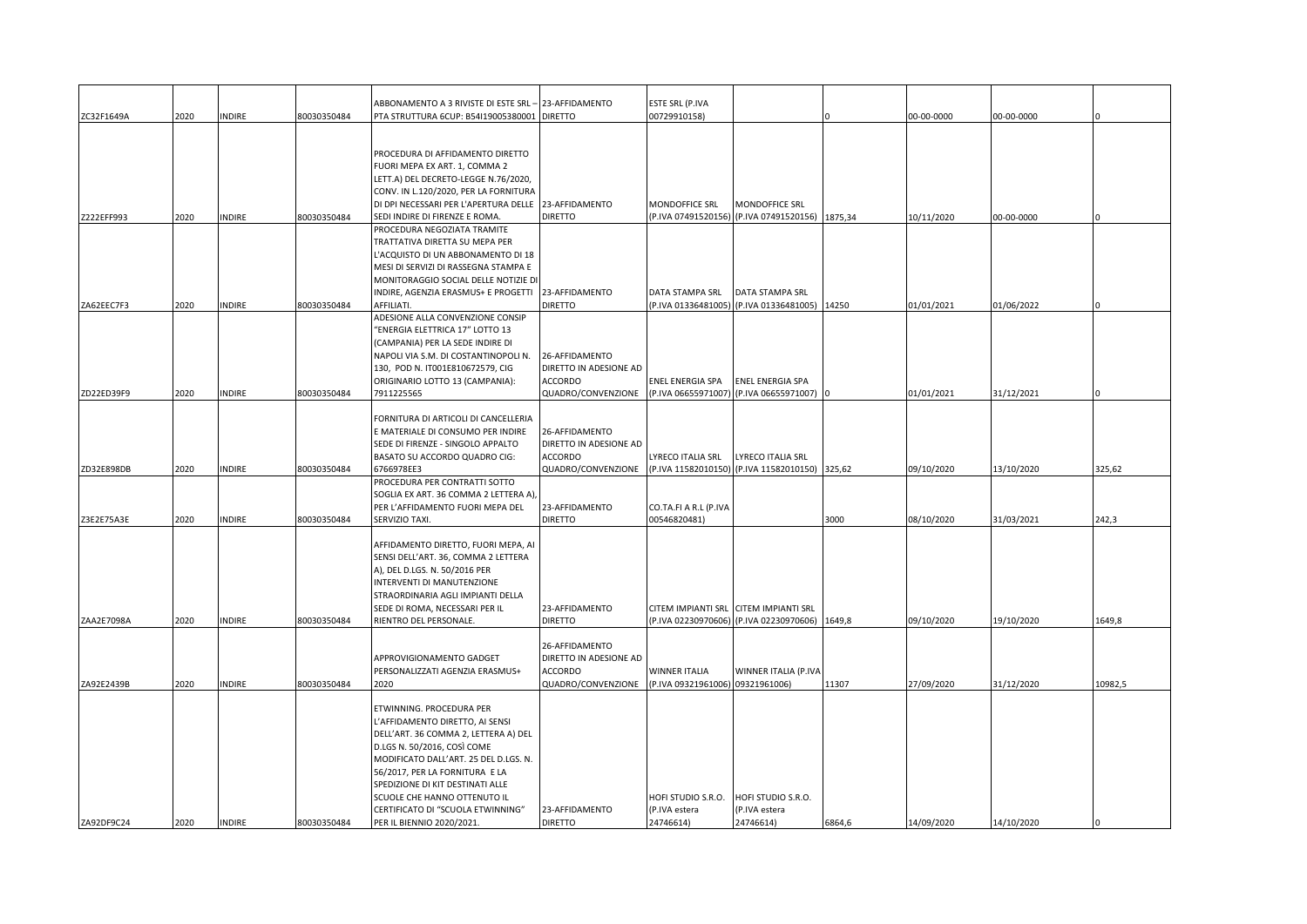|            |      |               |             | ABBONAMENTO A 3 RIVISTE DI ESTE SRL-                          | 23-AFFIDAMENTO         | ESTE SRL (P.IVA                  |                                       |        |            |            |         |
|------------|------|---------------|-------------|---------------------------------------------------------------|------------------------|----------------------------------|---------------------------------------|--------|------------|------------|---------|
| ZC32F1649A | 2020 | <b>INDIRE</b> | 80030350484 | PTA STRUTTURA 6CUP: B54I19005380001                           | <b>DIRETTO</b>         | 00729910158)                     |                                       |        | 00-00-0000 | 00-00-0000 |         |
|            |      |               |             |                                                               |                        |                                  |                                       |        |            |            |         |
|            |      |               |             |                                                               |                        |                                  |                                       |        |            |            |         |
|            |      |               |             | PROCEDURA DI AFFIDAMENTO DIRETTO                              |                        |                                  |                                       |        |            |            |         |
|            |      |               |             | FUORI MEPA EX ART. 1, COMMA 2                                 |                        |                                  |                                       |        |            |            |         |
|            |      |               |             | LETT.A) DEL DECRETO-LEGGE N.76/2020,                          |                        |                                  |                                       |        |            |            |         |
|            |      |               |             | CONV. IN L.120/2020, PER LA FORNITURA                         |                        |                                  |                                       |        |            |            |         |
|            |      |               |             | DI DPI NECESSARI PER L'APERTURA DELLE 23-AFFIDAMENTO          |                        | MONDOFFICE SRL                   | MONDOFFICE SRL                        |        |            |            |         |
|            |      |               |             |                                                               |                        |                                  |                                       |        |            |            |         |
| Z222EFF993 | 2020 | <b>INDIRE</b> | 80030350484 | SEDI INDIRE DI FIRENZE E ROMA.<br>PROCEDURA NEGOZIATA TRAMITE | <b>DIRETTO</b>         | (P.IVA 07491520156)              | (P.IVA 07491520156) 1875,34           |        | 10/11/2020 | 00-00-0000 |         |
|            |      |               |             |                                                               |                        |                                  |                                       |        |            |            |         |
|            |      |               |             | TRATTATIVA DIRETTA SU MEPA PER                                |                        |                                  |                                       |        |            |            |         |
|            |      |               |             | 'ACQUISTO DI UN ABBONAMENTO DI 18                             |                        |                                  |                                       |        |            |            |         |
|            |      |               |             | MESI DI SERVIZI DI RASSEGNA STAMPA E                          |                        |                                  |                                       |        |            |            |         |
|            |      |               |             | MONITORAGGIO SOCIAL DELLE NOTIZIE DI                          |                        |                                  |                                       |        |            |            |         |
|            |      |               |             | INDIRE, AGENZIA ERASMUS+ E PROGETTI                           | 23-AFFIDAMENTO         | DATA STAMPA SRL                  | DATA STAMPA SRL                       |        |            |            |         |
| ZA62EEC7F3 | 2020 | <b>INDIRE</b> | 80030350484 | AFFILIATI.                                                    | <b>DIRETTO</b>         | (P.IVA 01336481005)              | (P.IVA 01336481005) 14250             |        | 01/01/2021 | 01/06/2022 |         |
|            |      |               |             | ADESIONE ALLA CONVENZIONE CONSIP                              |                        |                                  |                                       |        |            |            |         |
|            |      |               |             | "ENERGIA ELETTRICA 17" LOTTO 13                               |                        |                                  |                                       |        |            |            |         |
|            |      |               |             | (CAMPANIA) PER LA SEDE INDIRE DI                              |                        |                                  |                                       |        |            |            |         |
|            |      |               |             | NAPOLI VIA S.M. DI COSTANTINOPOLI N.                          | 26-AFFIDAMENTO         |                                  |                                       |        |            |            |         |
|            |      |               |             | 130, POD N. IT001E810672579, CIG                              | DIRETTO IN ADESIONE AD |                                  |                                       |        |            |            |         |
|            |      |               |             | ORIGINARIO LOTTO 13 (CAMPANIA):                               | <b>ACCORDO</b>         | ENEL ENERGIA SPA                 | ENEL ENERGIA SPA                      |        |            |            |         |
| ZD22ED39F9 | 2020 | <b>INDIRE</b> | 80030350484 | 7911225565                                                    | QUADRO/CONVENZIONE     | (P.IVA 06655971007)              | (P.IVA 06655971007)                   |        | 01/01/2021 | 31/12/2021 |         |
|            |      |               |             |                                                               |                        |                                  |                                       |        |            |            |         |
|            |      |               |             | FORNITURA DI ARTICOLI DI CANCELLERIA                          |                        |                                  |                                       |        |            |            |         |
|            |      |               |             | E MATERIALE DI CONSUMO PER INDIRE                             | 26-AFFIDAMENTO         |                                  |                                       |        |            |            |         |
|            |      |               |             | SEDE DI FIRENZE - SINGOLO APPALTO                             | DIRETTO IN ADESIONE AD |                                  |                                       |        |            |            |         |
|            |      |               |             | BASATO SU ACCORDO QUADRO CIG:                                 | <b>ACCORDO</b>         | LYRECO ITALIA SRL                | LYRECO ITALIA SRL                     |        |            |            |         |
| ZD32E898DB | 2020 | <b>INDIRE</b> | 80030350484 | 6766978EE3                                                    | QUADRO/CONVENZIONE     | (P.IVA 11582010150)              | (P.IVA 11582010150)                   | 325,62 | 09/10/2020 | 13/10/2020 | 325,62  |
|            |      |               |             | PROCEDURA PER CONTRATTI SOTTO                                 |                        |                                  |                                       |        |            |            |         |
|            |      |               |             | SOGLIA EX ART. 36 COMMA 2 LETTERA A),                         |                        |                                  |                                       |        |            |            |         |
|            |      |               |             | PER L'AFFIDAMENTO FUORI MEPA DEL                              | 23-AFFIDAMENTO         | CO.TA.FI A R.L (P.IVA            |                                       |        |            |            |         |
| Z3E2E75A3E | 2020 | <b>INDIRE</b> | 80030350484 | SERVIZIO TAXI.                                                | <b>DIRETTO</b>         | 00546820481)                     |                                       | 3000   | 08/10/2020 | 31/03/2021 | 242,3   |
|            |      |               |             |                                                               |                        |                                  |                                       |        |            |            |         |
|            |      |               |             | AFFIDAMENTO DIRETTO, FUORI MEPA, AI                           |                        |                                  |                                       |        |            |            |         |
|            |      |               |             | SENSI DELL'ART. 36, COMMA 2 LETTERA                           |                        |                                  |                                       |        |            |            |         |
|            |      |               |             | A), DEL D.LGS. N. 50/2016 PER                                 |                        |                                  |                                       |        |            |            |         |
|            |      |               |             | INTERVENTI DI MANUTENZIONE                                    |                        |                                  |                                       |        |            |            |         |
|            |      |               |             | STRAORDINARIA AGLI IMPIANTI DELLA                             |                        |                                  |                                       |        |            |            |         |
|            |      |               |             | SEDE DI ROMA, NECESSARI PER IL                                | 23-AFFIDAMENTO         |                                  | CITEM IMPIANTI SRL CITEM IMPIANTI SRL |        |            |            |         |
| ZAA2E7098A | 2020 | <b>INDIRE</b> | 80030350484 | RIENTRO DEL PERSONALE.                                        | <b>DIRETTO</b>         | (P.IVA 02230970606)              | (P.IVA 02230970606)                   | 1649,8 | 09/10/2020 | 19/10/2020 | 1649,8  |
|            |      |               |             |                                                               |                        |                                  |                                       |        |            |            |         |
|            |      |               |             |                                                               | 26-AFFIDAMENTO         |                                  |                                       |        |            |            |         |
|            |      |               |             | APPROVIGIONAMENTO GADGET                                      | DIRETTO IN ADESIONE AD |                                  |                                       |        |            |            |         |
|            |      |               |             | PERSONALIZZATI AGENZIA ERASMUS+                               | ACCORDO                | WINNER ITALIA                    | WINNER ITALIA (P.IVA                  |        |            |            |         |
| ZA92E2439B | 2020 | INDIRE        | 80030350484 | 2020                                                          | QUADRO/CONVENZIONE     | (P.IVA 09321961006) 09321961006) |                                       | 11307  | 27/09/2020 | 31/12/2020 | 10982,5 |
|            |      |               |             |                                                               |                        |                                  |                                       |        |            |            |         |
|            |      |               |             | ETWINNING. PROCEDURA PER                                      |                        |                                  |                                       |        |            |            |         |
|            |      |               |             | 'AFFIDAMENTO DIRETTO, AI SENSI                                |                        |                                  |                                       |        |            |            |         |
|            |      |               |             | DELL'ART. 36 COMMA 2, LETTERA A) DEL                          |                        |                                  |                                       |        |            |            |         |
|            |      |               |             | D.LGS N. 50/2016, COSÌ COME                                   |                        |                                  |                                       |        |            |            |         |
|            |      |               |             | MODIFICATO DALL'ART. 25 DEL D.LGS. N.                         |                        |                                  |                                       |        |            |            |         |
|            |      |               |             | 56/2017, PER LA FORNITURA E LA                                |                        |                                  |                                       |        |            |            |         |
|            |      |               |             | SPEDIZIONE DI KIT DESTINATI ALLE                              |                        |                                  |                                       |        |            |            |         |
|            |      |               |             | SCUOLE CHE HANNO OTTENUTO IL                                  |                        | HOFI STUDIO S.R.O.               | HOFI STUDIO S.R.O.                    |        |            |            |         |
|            |      |               |             | CERTIFICATO DI "SCUOLA ETWINNING"                             | 23-AFFIDAMENTO         | (P.IVA estera                    | (P.IVA estera                         |        |            |            |         |
| ZA92DF9C24 | 2020 | <b>INDIRE</b> | 80030350484 | PER IL BIENNIO 2020/2021.                                     | <b>DIRETTO</b>         | 24746614)                        | 24746614)                             | 6864,6 | 14/09/2020 | 14/10/2020 |         |
|            |      |               |             |                                                               |                        |                                  |                                       |        |            |            |         |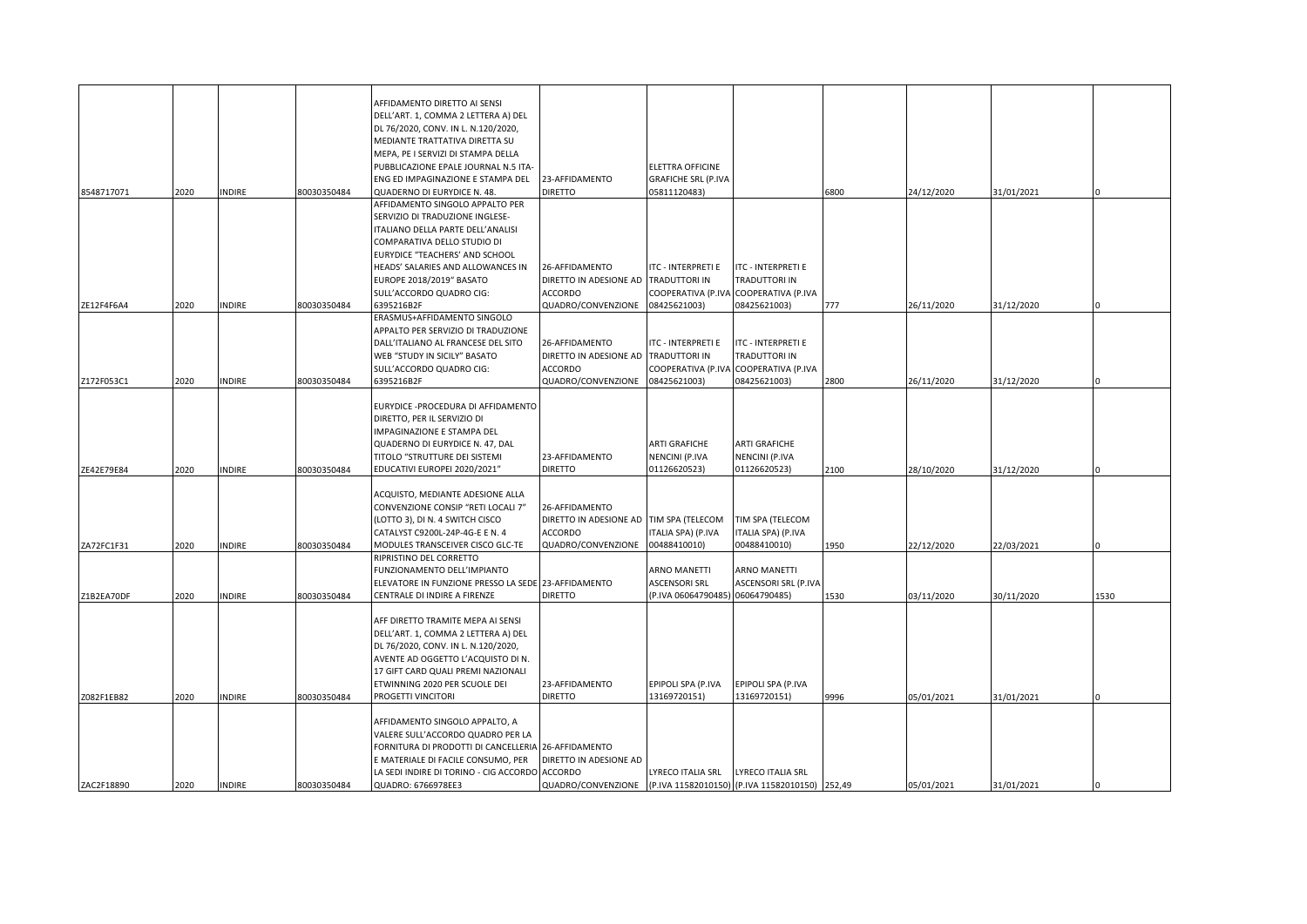|            |      |               |             | AFFIDAMENTO DIRETTO AI SENSI                                                         |                                         |                                    |                                                |      |            |            |      |
|------------|------|---------------|-------------|--------------------------------------------------------------------------------------|-----------------------------------------|------------------------------------|------------------------------------------------|------|------------|------------|------|
|            |      |               |             | DELL'ART. 1, COMMA 2 LETTERA A) DEL                                                  |                                         |                                    |                                                |      |            |            |      |
|            |      |               |             | DL 76/2020, CONV. IN L. N.120/2020,                                                  |                                         |                                    |                                                |      |            |            |      |
|            |      |               |             | MEDIANTE TRATTATIVA DIRETTA SU                                                       |                                         |                                    |                                                |      |            |            |      |
|            |      |               |             | MEPA, PE I SERVIZI DI STAMPA DELLA                                                   |                                         |                                    |                                                |      |            |            |      |
|            |      |               |             | PUBBLICAZIONE EPALE JOURNAL N.5 ITA-                                                 |                                         | ELETTRA OFFICINE                   |                                                |      |            |            |      |
|            |      |               |             | ENG ED IMPAGINAZIONE E STAMPA DEL                                                    | 23-AFFIDAMENTO                          | <b>GRAFICHE SRL (P.IVA</b>         |                                                |      |            |            |      |
| 8548717071 | 2020 | <b>INDIRE</b> | 80030350484 | QUADERNO DI EURYDICE N. 48.<br>AFFIDAMENTO SINGOLO APPALTO PER                       | <b>DIRETTO</b>                          | 05811120483)                       |                                                | 6800 | 24/12/2020 | 31/01/2021 |      |
|            |      |               |             | SERVIZIO DI TRADUZIONE INGLESE-                                                      |                                         |                                    |                                                |      |            |            |      |
|            |      |               |             | ITALIANO DELLA PARTE DELL'ANALISI                                                    |                                         |                                    |                                                |      |            |            |      |
|            |      |               |             | COMPARATIVA DELLO STUDIO DI                                                          |                                         |                                    |                                                |      |            |            |      |
|            |      |               |             | EURYDICE "TEACHERS' AND SCHOOL                                                       |                                         |                                    |                                                |      |            |            |      |
|            |      |               |             | HEADS' SALARIES AND ALLOWANCES IN                                                    | 26-AFFIDAMENTO                          | ITC - INTERPRETI E                 | <b>ITC - INTERPRETI E</b>                      |      |            |            |      |
|            |      |               |             | EUROPE 2018/2019" BASATO                                                             | DIRETTO IN ADESIONE AD                  | TRADUTTORI IN                      | TRADUTTORI IN                                  |      |            |            |      |
|            |      |               |             | SULL'ACCORDO QUADRO CIG:                                                             | ACCORDO                                 |                                    | COOPERATIVA (P.IVA COOPERATIVA (P.IVA          |      |            |            |      |
| ZE12F4F6A4 | 2020 | <b>INDIRE</b> | 80030350484 | 6395216B2F                                                                           | QUADRO/CONVENZIONE                      | 08425621003)                       | 08425621003)                                   | 777  | 26/11/2020 | 31/12/2020 |      |
|            |      |               |             | ERASMUS+AFFIDAMENTO SINGOLO                                                          |                                         |                                    |                                                |      |            |            |      |
|            |      |               |             | APPALTO PER SERVIZIO DI TRADUZIONE                                                   |                                         |                                    |                                                |      |            |            |      |
|            |      |               |             | DALL'ITALIANO AL FRANCESE DEL SITO                                                   | 26-AFFIDAMENTO                          | ITC - INTERPRETI E                 | <b>ITC - INTERPRETI E</b>                      |      |            |            |      |
|            |      |               |             | WEB "STUDY IN SICILY" BASATO                                                         | DIRETTO IN ADESIONE AD                  | <b>TRADUTTORI IN</b>               | TRADUTTORI IN                                  |      |            |            |      |
|            |      |               |             | SULL'ACCORDO QUADRO CIG:                                                             | ACCORDO                                 |                                    | COOPERATIVA (P.IVA COOPERATIVA (P.IVA          |      |            |            |      |
| Z172F053C1 | 2020 | <b>INDIRE</b> | 80030350484 | 6395216B2F                                                                           | QUADRO/CONVENZIONE                      | 08425621003)                       | 08425621003)                                   | 2800 | 26/11/2020 | 31/12/2020 |      |
|            |      |               |             |                                                                                      |                                         |                                    |                                                |      |            |            |      |
|            |      |               |             | EURYDICE - PROCEDURA DI AFFIDAMENTO                                                  |                                         |                                    |                                                |      |            |            |      |
|            |      |               |             | DIRETTO, PER IL SERVIZIO DI                                                          |                                         |                                    |                                                |      |            |            |      |
|            |      |               |             | IMPAGINAZIONE E STAMPA DEL                                                           |                                         |                                    |                                                |      |            |            |      |
|            |      |               |             | QUADERNO DI EURYDICE N. 47, DAL                                                      |                                         | ARTI GRAFICHE                      | <b>ARTI GRAFICHE</b>                           |      |            |            |      |
|            |      |               |             | TITOLO "STRUTTURE DEI SISTEMI                                                        | 23-AFFIDAMENTO                          | NENCINI (P.IVA                     | NENCINI (P.IVA                                 |      |            |            |      |
| ZE42E79E84 | 2020 | <b>INDIRE</b> | 80030350484 | EDUCATIVI EUROPEI 2020/2021"                                                         | <b>DIRETTO</b>                          | 01126620523)                       | 01126620523)                                   | 2100 | 28/10/2020 | 31/12/2020 |      |
|            |      |               |             |                                                                                      |                                         |                                    |                                                |      |            |            |      |
|            |      |               |             | ACQUISTO, MEDIANTE ADESIONE ALLA                                                     |                                         |                                    |                                                |      |            |            |      |
|            |      |               |             | CONVENZIONE CONSIP "RETI LOCALI 7"                                                   | 26-AFFIDAMENTO                          |                                    |                                                |      |            |            |      |
|            |      |               |             | (LOTTO 3), DI N. 4 SWITCH CISCO                                                      | DIRETTO IN ADESIONE AD TIM SPA (TELECOM |                                    | TIM SPA (TELECOM                               |      |            |            |      |
|            |      |               |             | CATALYST C9200L-24P-4G-E E N. 4<br>MODULES TRANSCEIVER CISCO GLC-TE                  | <b>ACCORDO</b><br>QUADRO/CONVENZIONE    | ITALIA SPA) (P.IVA<br>00488410010) | ITALIA SPA) (P.IVA<br>00488410010)             |      |            |            |      |
| ZA72FC1F31 | 2020 | <b>INDIRE</b> | 80030350484 | RIPRISTINO DEL CORRETTO                                                              |                                         |                                    |                                                | 1950 | 22/12/2020 | 22/03/2021 |      |
|            |      |               |             | FUNZIONAMENTO DELL'IMPIANTO                                                          |                                         | ARNO MANETTI                       | ARNO MANETTI                                   |      |            |            |      |
|            |      |               |             | ELEVATORE IN FUNZIONE PRESSO LA SEDE 23-AFFIDAMENTO                                  |                                         | ASCENSORI SRL                      | ASCENSORI SRL (P.IVA                           |      |            |            |      |
| Z1B2EA70DF | 2020 | <b>INDIRE</b> | 80030350484 | CENTRALE DI INDIRE A FIRENZE                                                         | <b>DIRETTO</b>                          | P.IVA 06064790485) 06064790485)    |                                                | 1530 | 03/11/2020 | 30/11/2020 | 1530 |
|            |      |               |             |                                                                                      |                                         |                                    |                                                |      |            |            |      |
|            |      |               |             | AFF DIRETTO TRAMITE MEPA AI SENSI                                                    |                                         |                                    |                                                |      |            |            |      |
|            |      |               |             | DELL'ART. 1, COMMA 2 LETTERA A) DEL                                                  |                                         |                                    |                                                |      |            |            |      |
|            |      |               |             | DL 76/2020, CONV. IN L. N.120/2020,                                                  |                                         |                                    |                                                |      |            |            |      |
|            |      |               |             | AVENTE AD OGGETTO L'ACQUISTO DI N.                                                   |                                         |                                    |                                                |      |            |            |      |
|            |      |               |             | 17 GIFT CARD QUALI PREMI NAZIONALI                                                   |                                         |                                    |                                                |      |            |            |      |
|            |      |               |             | ETWINNING 2020 PER SCUOLE DEI                                                        | 23-AFFIDAMENTO                          | EPIPOLI SPA (P.IVA                 | <b>EPIPOLI SPA (P.IVA</b>                      |      |            |            |      |
| Z082F1EB82 | 2020 | <b>INDIRE</b> | 80030350484 | PROGETTI VINCITORI                                                                   | <b>DIRETTO</b>                          | 13169720151)                       | 13169720151)                                   | 9996 | 05/01/2021 | 31/01/2021 |      |
|            |      |               |             |                                                                                      |                                         |                                    |                                                |      |            |            |      |
|            |      |               |             | AFFIDAMENTO SINGOLO APPALTO, A                                                       |                                         |                                    |                                                |      |            |            |      |
|            |      |               |             | VALERE SULL'ACCORDO QUADRO PER LA                                                    |                                         |                                    |                                                |      |            |            |      |
|            |      |               |             | FORNITURA DI PRODOTTI DI CANCELLERIA 26-AFFIDAMENTO                                  |                                         |                                    |                                                |      |            |            |      |
|            |      |               |             | E MATERIALE DI FACILE CONSUMO, PER<br>LA SEDI INDIRE DI TORINO - CIG ACCORDO ACCORDO | DIRETTO IN ADESIONE AD                  | LYRECO ITALIA SRL                  | LYRECO ITALIA SRL                              |      |            |            |      |
| ZAC2F18890 | 2020 | <b>INDIRE</b> | 80030350484 | QUADRO: 6766978EE3                                                                   | QUADRO/CONVENZIONE                      |                                    | (P.IVA 11582010150) (P.IVA 11582010150) 252.49 |      | 05/01/2021 | 31/01/2021 |      |
|            |      |               |             |                                                                                      |                                         |                                    |                                                |      |            |            |      |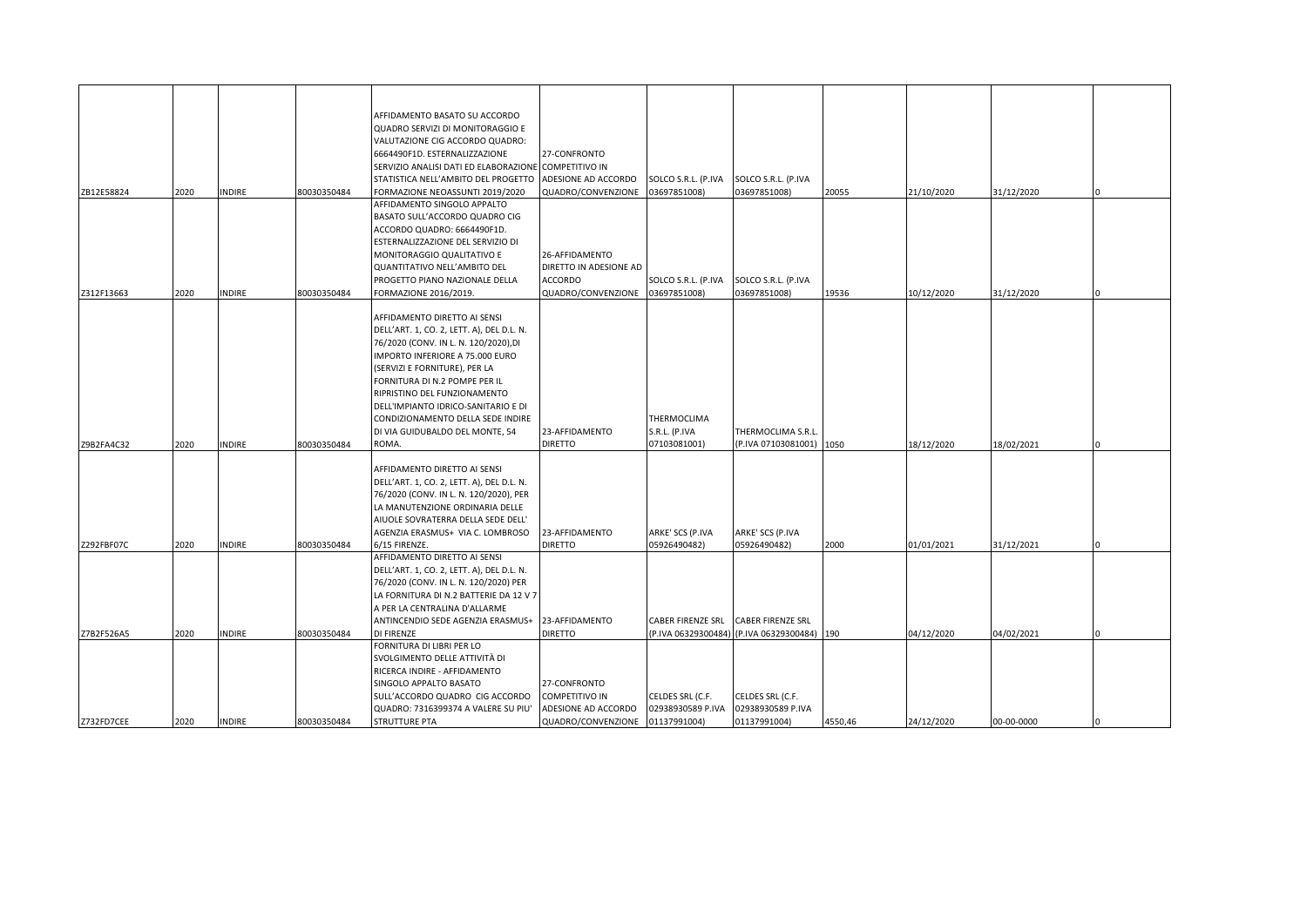|            |      |               |             | AFFIDAMENTO BASATO SU ACCORDO<br>QUADRO SERVIZI DI MONITORAGGIO E                           |                        |                          |                                         |         |            |            |  |
|------------|------|---------------|-------------|---------------------------------------------------------------------------------------------|------------------------|--------------------------|-----------------------------------------|---------|------------|------------|--|
|            |      |               |             | VALUTAZIONE CIG ACCORDO QUADRO:                                                             |                        |                          |                                         |         |            |            |  |
|            |      |               |             | 6664490F1D. ESTERNALIZZAZIONE                                                               | 27-CONFRONTO           |                          |                                         |         |            |            |  |
|            |      |               |             |                                                                                             |                        |                          |                                         |         |            |            |  |
|            |      |               |             | SERVIZIO ANALISI DATI ED ELABORAZIONE COMPETITIVO IN<br>STATISTICA NELL'AMBITO DEL PROGETTO | ADESIONE AD ACCORDO    | SOLCO S.R.L. (P.IVA      | SOLCO S.R.L. (P.IVA                     |         |            |            |  |
| ZB12E58824 | 2020 | <b>INDIRE</b> | 80030350484 | FORMAZIONE NEOASSUNTI 2019/2020                                                             | QUADRO/CONVENZIONE     | 03697851008)             | 03697851008)                            | 20055   | 21/10/2020 | 31/12/2020 |  |
|            |      |               |             | AFFIDAMENTO SINGOLO APPALTO                                                                 |                        |                          |                                         |         |            |            |  |
|            |      |               |             | BASATO SULL'ACCORDO QUADRO CIG                                                              |                        |                          |                                         |         |            |            |  |
|            |      |               |             | ACCORDO QUADRO: 6664490F1D.                                                                 |                        |                          |                                         |         |            |            |  |
|            |      |               |             | ESTERNALIZZAZIONE DEL SERVIZIO DI                                                           |                        |                          |                                         |         |            |            |  |
|            |      |               |             | MONITORAGGIO QUALITATIVO E                                                                  | 26-AFFIDAMENTO         |                          |                                         |         |            |            |  |
|            |      |               |             | QUANTITATIVO NELL'AMBITO DEL                                                                | DIRETTO IN ADESIONE AD |                          |                                         |         |            |            |  |
|            |      |               |             | PROGETTO PIANO NAZIONALE DELLA                                                              | <b>ACCORDO</b>         | SOLCO S.R.L. (P.IVA      | SOLCO S.R.L. (P.IVA                     |         |            |            |  |
| Z312F13663 | 2020 | <b>INDIRE</b> | 80030350484 | FORMAZIONE 2016/2019.                                                                       | QUADRO/CONVENZIONE     | 03697851008)             | 03697851008)                            | 19536   | 10/12/2020 | 31/12/2020 |  |
|            |      |               |             |                                                                                             |                        |                          |                                         |         |            |            |  |
|            |      |               |             | AFFIDAMENTO DIRETTO AI SENSI                                                                |                        |                          |                                         |         |            |            |  |
|            |      |               |             | DELL'ART. 1, CO. 2, LETT. A), DEL D.L. N.                                                   |                        |                          |                                         |         |            |            |  |
|            |      |               |             | 76/2020 (CONV. IN L. N. 120/2020),DI                                                        |                        |                          |                                         |         |            |            |  |
|            |      |               |             | IMPORTO INFERIORE A 75.000 EURO                                                             |                        |                          |                                         |         |            |            |  |
|            |      |               |             | (SERVIZI E FORNITURE), PER LA                                                               |                        |                          |                                         |         |            |            |  |
|            |      |               |             | FORNITURA DI N.2 POMPE PER IL                                                               |                        |                          |                                         |         |            |            |  |
|            |      |               |             | RIPRISTINO DEL FUNZIONAMENTO                                                                |                        |                          |                                         |         |            |            |  |
|            |      |               |             | DELL'IMPIANTO IDRICO-SANITARIO E DI                                                         |                        |                          |                                         |         |            |            |  |
|            |      |               |             | CONDIZIONAMENTO DELLA SEDE INDIRE                                                           |                        | THERMOCLIMA              |                                         |         |            |            |  |
|            |      |               |             | DI VIA GUIDUBALDO DEL MONTE, 54                                                             | 23-AFFIDAMENTO         | S.R.L. (P.IVA            | THERMOCLIMA S.R.L                       |         |            |            |  |
| Z9B2FA4C32 | 2020 | <b>INDIRE</b> | 80030350484 | ROMA.                                                                                       | <b>DIRETTO</b>         | 07103081001)             | (P.IVA 07103081001)                     | 1050    | 18/12/2020 | 18/02/2021 |  |
|            |      |               |             | AFFIDAMENTO DIRETTO AI SENSI                                                                |                        |                          |                                         |         |            |            |  |
|            |      |               |             | DELL'ART. 1, CO. 2, LETT. A), DEL D.L. N.                                                   |                        |                          |                                         |         |            |            |  |
|            |      |               |             | 76/2020 (CONV. IN L. N. 120/2020), PER                                                      |                        |                          |                                         |         |            |            |  |
|            |      |               |             | LA MANUTENZIONE ORDINARIA DELLE                                                             |                        |                          |                                         |         |            |            |  |
|            |      |               |             | AIUOLE SOVRATERRA DELLA SEDE DELL'                                                          |                        |                          |                                         |         |            |            |  |
|            |      |               |             | AGENZIA ERASMUS+ VIA C. LOMBROSO                                                            | 23-AFFIDAMENTO         | ARKE' SCS (P.IVA         | ARKE' SCS (P.IVA                        |         |            |            |  |
| Z292FBF07C | 2020 | <b>INDIRE</b> | 80030350484 | 6/15 FIRENZE.                                                                               | <b>DIRETTO</b>         | 05926490482)             | 05926490482)                            | 2000    | 01/01/2021 | 31/12/2021 |  |
|            |      |               |             | AFFIDAMENTO DIRETTO AI SENSI                                                                |                        |                          |                                         |         |            |            |  |
|            |      |               |             | DELL'ART. 1, CO. 2, LETT. A), DEL D.L. N.                                                   |                        |                          |                                         |         |            |            |  |
|            |      |               |             | 76/2020 (CONV. IN L. N. 120/2020) PER                                                       |                        |                          |                                         |         |            |            |  |
|            |      |               |             | LA FORNITURA DI N.2 BATTERIE DA 12 V 7                                                      |                        |                          |                                         |         |            |            |  |
|            |      |               |             | A PER LA CENTRALINA D'ALLARME                                                               |                        |                          |                                         |         |            |            |  |
|            |      |               |             | ANTINCENDIO SEDE AGENZIA ERASMUS+                                                           | 23-AFFIDAMENTO         | <b>CABER FIRENZE SRL</b> | <b>CABER FIRENZE SRL</b>                |         |            |            |  |
| Z7B2F526A5 | 2020 | <b>INDIRE</b> | 80030350484 | DI FIRENZE                                                                                  | <b>DIRETTO</b>         |                          | (P.IVA 06329300484) (P.IVA 06329300484) | 190     | 04/12/2020 | 04/02/2021 |  |
|            |      |               |             | FORNITURA DI LIBRI PER LO                                                                   |                        |                          |                                         |         |            |            |  |
|            |      |               |             | SVOLGIMENTO DELLE ATTIVITÀ DI                                                               |                        |                          |                                         |         |            |            |  |
|            |      |               |             | RICERCA INDIRE - AFFIDAMENTO                                                                |                        |                          |                                         |         |            |            |  |
|            |      |               |             | SINGOLO APPALTO BASATO                                                                      | 27-CONFRONTO           |                          |                                         |         |            |            |  |
|            |      |               |             | SULL'ACCORDO QUADRO CIG ACCORDO                                                             | COMPETITIVO IN         | CELDES SRL (C.F.         | CELDES SRL (C.F.                        |         |            |            |  |
|            |      |               |             | QUADRO: 7316399374 A VALERE SU PIU'                                                         | ADESIONE AD ACCORDO    | 02938930589 P.IVA        | 02938930589 P.IVA                       |         |            |            |  |
| Z732FD7CEE | 2020 | <b>INDIRE</b> | 80030350484 | STRUTTURE PTA                                                                               | QUADRO/CONVENZIONE     | 01137991004)             | 01137991004)                            | 4550,46 | 24/12/2020 | 00-00-0000 |  |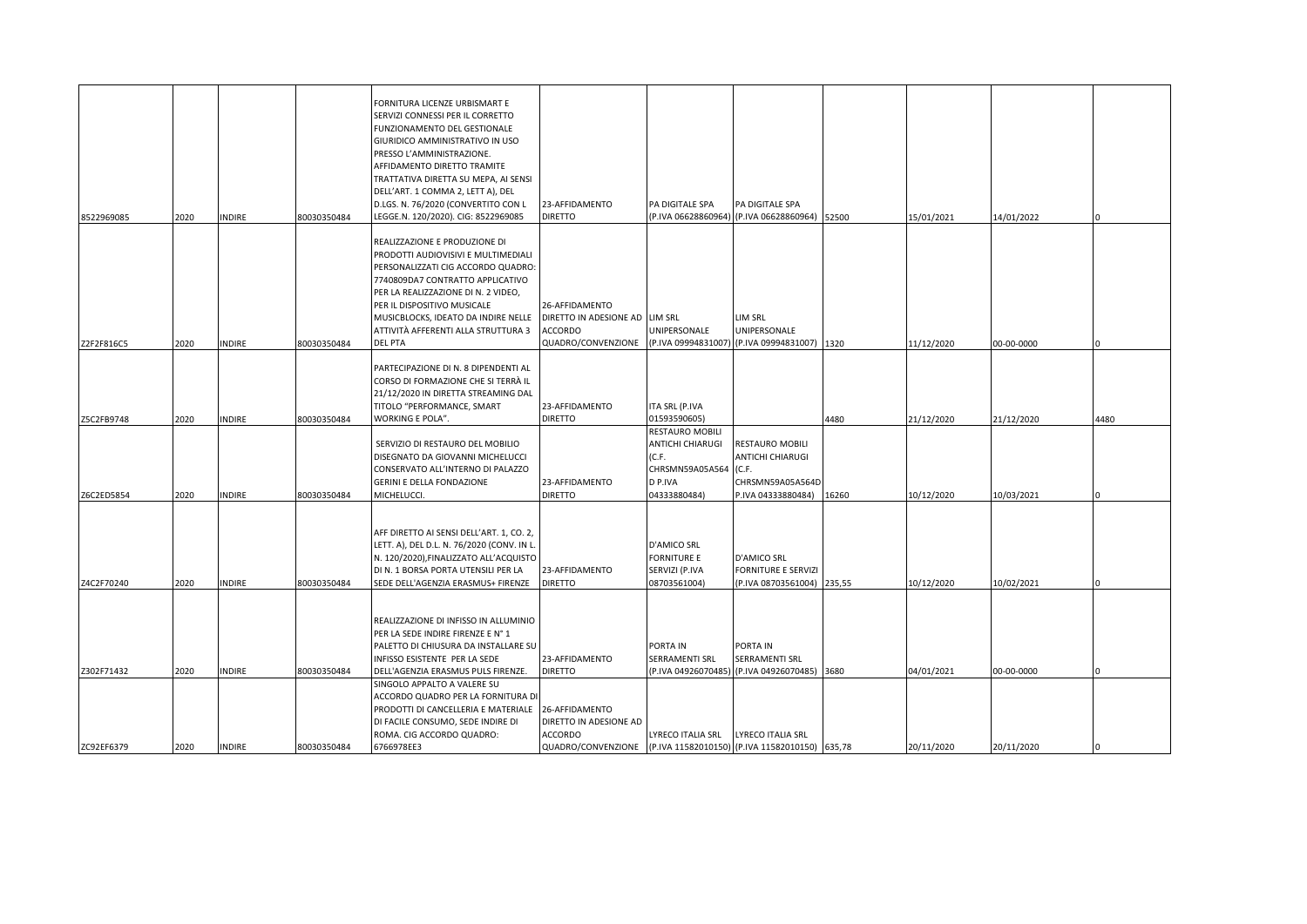|            |      |               |             | FORNITURA LICENZE URBISMART E<br>SERVIZI CONNESSI PER IL CORRETTO<br>FUNZIONAMENTO DEL GESTIONALE<br>GIURIDICO AMMINISTRATIVO IN USO |                                                                   |                           |                                               |        |            |            |      |
|------------|------|---------------|-------------|--------------------------------------------------------------------------------------------------------------------------------------|-------------------------------------------------------------------|---------------------------|-----------------------------------------------|--------|------------|------------|------|
|            |      |               |             | PRESSO L'AMMINISTRAZIONE.<br>AFFIDAMENTO DIRETTO TRAMITE                                                                             |                                                                   |                           |                                               |        |            |            |      |
|            |      |               |             | TRATTATIVA DIRETTA SU MEPA, AI SENSI                                                                                                 |                                                                   |                           |                                               |        |            |            |      |
|            |      |               |             | DELL'ART. 1 COMMA 2, LETT A), DEL                                                                                                    |                                                                   |                           |                                               |        |            |            |      |
|            |      |               |             | D.LGS. N. 76/2020 (CONVERTITO CON L                                                                                                  | 23-AFFIDAMENTO                                                    | PA DIGITALE SPA           | PA DIGITALE SPA                               |        |            |            |      |
| 8522969085 | 2020 | INDIRE        | 80030350484 | LEGGE.N. 120/2020). CIG: 8522969085                                                                                                  | <b>DIRETTO</b>                                                    |                           | (P.IVA 06628860964) (P.IVA 06628860964) 52500 |        | 15/01/2021 | 14/01/2022 |      |
|            |      |               |             |                                                                                                                                      |                                                                   |                           |                                               |        |            |            |      |
|            |      |               |             | REALIZZAZIONE E PRODUZIONE DI                                                                                                        |                                                                   |                           |                                               |        |            |            |      |
|            |      |               |             | PRODOTTI AUDIOVISIVI E MULTIMEDIALI                                                                                                  |                                                                   |                           |                                               |        |            |            |      |
|            |      |               |             | PERSONALIZZATI CIG ACCORDO QUADRO:                                                                                                   |                                                                   |                           |                                               |        |            |            |      |
|            |      |               |             | 7740809DA7 CONTRATTO APPLICATIVO                                                                                                     |                                                                   |                           |                                               |        |            |            |      |
|            |      |               |             | PER LA REALIZZAZIONE DI N. 2 VIDEO,<br>PER IL DISPOSITIVO MUSICALE                                                                   | 26-AFFIDAMENTO                                                    |                           |                                               |        |            |            |      |
|            |      |               |             | MUSICBLOCKS, IDEATO DA INDIRE NELLE                                                                                                  | DIRETTO IN ADESIONE AD LIM SRL                                    |                           | LIM SRL                                       |        |            |            |      |
|            |      |               |             | ATTIVITÀ AFFERENTI ALLA STRUTTURA 3                                                                                                  | ACCORDO                                                           | UNIPERSONALE              | UNIPERSONALE                                  |        |            |            |      |
| Z2F2F816C5 | 2020 | INDIRE        | 80030350484 | <b>DEL PTA</b>                                                                                                                       | QUADRO/CONVENZIONE                                                |                           | (P.IVA 09994831007) (P.IVA 09994831007) 1320  |        | 11/12/2020 | 00-00-0000 |      |
|            |      |               |             |                                                                                                                                      |                                                                   |                           |                                               |        |            |            |      |
|            |      |               |             | PARTECIPAZIONE DI N. 8 DIPENDENTI AL                                                                                                 |                                                                   |                           |                                               |        |            |            |      |
|            |      |               |             | CORSO DI FORMAZIONE CHE SI TERRÀ IL                                                                                                  |                                                                   |                           |                                               |        |            |            |      |
|            |      |               |             | 21/12/2020 IN DIRETTA STREAMING DAL                                                                                                  |                                                                   |                           |                                               |        |            |            |      |
|            |      |               |             | TITOLO "PERFORMANCE, SMART                                                                                                           | 23-AFFIDAMENTO                                                    | ITA SRL (P.IVA            |                                               |        |            |            |      |
| Z5C2FB9748 | 2020 | INDIRE        | 80030350484 | WORKING E POLA".                                                                                                                     | <b>DIRETTO</b>                                                    | 01593590605)              |                                               | 4480   | 21/12/2020 | 21/12/2020 | 4480 |
|            |      |               |             |                                                                                                                                      |                                                                   | <b>RESTAURO MOBILI</b>    |                                               |        |            |            |      |
|            |      |               |             | SERVIZIO DI RESTAURO DEL MOBILIO                                                                                                     |                                                                   | ANTICHI CHIARUGI<br>(C.F. | RESTAURO MOBILI                               |        |            |            |      |
|            |      |               |             | DISEGNATO DA GIOVANNI MICHELUCCI<br>CONSERVATO ALL'INTERNO DI PALAZZO                                                                |                                                                   | CHRSMN59A05A564           | <b>ANTICHI CHIARUGI</b>                       |        |            |            |      |
|            |      |               |             | GERINI E DELLA FONDAZIONE                                                                                                            | 23-AFFIDAMENTO                                                    | D P.IVA                   | (C.F.<br>CHRSMN59A05A564D                     |        |            |            |      |
| Z6C2ED5854 | 2020 | INDIRE        | 80030350484 | MICHELUCCI.                                                                                                                          | <b>DIRETTO</b>                                                    | 04333880484)              | P.IVA 04333880484)                            | 16260  | 10/12/2020 | 10/03/2021 |      |
|            |      |               |             |                                                                                                                                      |                                                                   |                           |                                               |        |            |            |      |
|            |      |               |             |                                                                                                                                      |                                                                   |                           |                                               |        |            |            |      |
|            |      |               |             | AFF DIRETTO AI SENSI DELL'ART. 1, CO. 2,                                                                                             |                                                                   |                           |                                               |        |            |            |      |
|            |      |               |             | LETT. A), DEL D.L. N. 76/2020 (CONV. IN L.                                                                                           |                                                                   | <b>D'AMICO SRL</b>        |                                               |        |            |            |      |
|            |      |               |             | N. 120/2020), FINALIZZATO ALL'ACQUISTO                                                                                               |                                                                   | <b>FORNITURE E</b>        | <b>D'AMICO SRL</b>                            |        |            |            |      |
|            |      |               |             | DI N. 1 BORSA PORTA UTENSILI PER LA                                                                                                  | 23-AFFIDAMENTO                                                    | SERVIZI (P.IVA            | <b>FORNITURE E SERVIZI</b>                    |        |            |            |      |
| Z4C2F70240 | 2020 | <b>INDIRE</b> | 80030350484 | SEDE DELL'AGENZIA ERASMUS+ FIRENZE                                                                                                   | <b>DIRETTO</b>                                                    | 08703561004)              | (P.IVA 08703561004)                           | 235,55 | 10/12/2020 | 10/02/2021 |      |
|            |      |               |             |                                                                                                                                      |                                                                   |                           |                                               |        |            |            |      |
|            |      |               |             | REALIZZAZIONE DI INFISSO IN ALLUMINIO                                                                                                |                                                                   |                           |                                               |        |            |            |      |
|            |      |               |             | PER LA SEDE INDIRE FIRENZE E N° 1                                                                                                    |                                                                   |                           |                                               |        |            |            |      |
|            |      |               |             | PALETTO DI CHIUSURA DA INSTALLARE SU                                                                                                 |                                                                   | PORTA IN                  | PORTA IN                                      |        |            |            |      |
|            |      |               |             | INFISSO ESISTENTE PER LA SEDE                                                                                                        | 23-AFFIDAMENTO                                                    | SERRAMENTI SRL            | SERRAMENTI SRL                                |        |            |            |      |
| Z302F71432 | 2020 | <b>INDIRE</b> | 80030350484 | DELL'AGENZIA ERASMUS PULS FIRENZE.                                                                                                   | <b>DIRETTO</b>                                                    |                           | (P.IVA 04926070485) (P.IVA 04926070485) 3680  |        | 04/01/2021 | 00-00-0000 |      |
|            |      |               |             | SINGOLO APPALTO A VALERE SU                                                                                                          |                                                                   |                           |                                               |        |            |            |      |
|            |      |               |             | ACCORDO QUADRO PER LA FORNITURA DI                                                                                                   |                                                                   |                           |                                               |        |            |            |      |
|            |      |               |             | PRODOTTI DI CANCELLERIA E MATERIALE                                                                                                  | 26-AFFIDAMENTO                                                    |                           |                                               |        |            |            |      |
|            |      |               |             | DI FACILE CONSUMO, SEDE INDIRE DI                                                                                                    | DIRETTO IN ADESIONE AD                                            |                           |                                               |        |            |            |      |
|            |      |               |             | ROMA. CIG ACCORDO QUADRO:                                                                                                            | <b>ACCORDO</b>                                                    | LYRECO ITALIA SRL         | LYRECO ITALIA SRL                             |        |            |            |      |
| ZC92EF6379 | 2020 | <b>INDIRE</b> | 80030350484 | 6766978EE3                                                                                                                           | QUADRO/CONVENZIONE (P.IVA 11582010150) (P.IVA 11582010150) 635,78 |                           |                                               |        | 20/11/2020 | 20/11/2020 |      |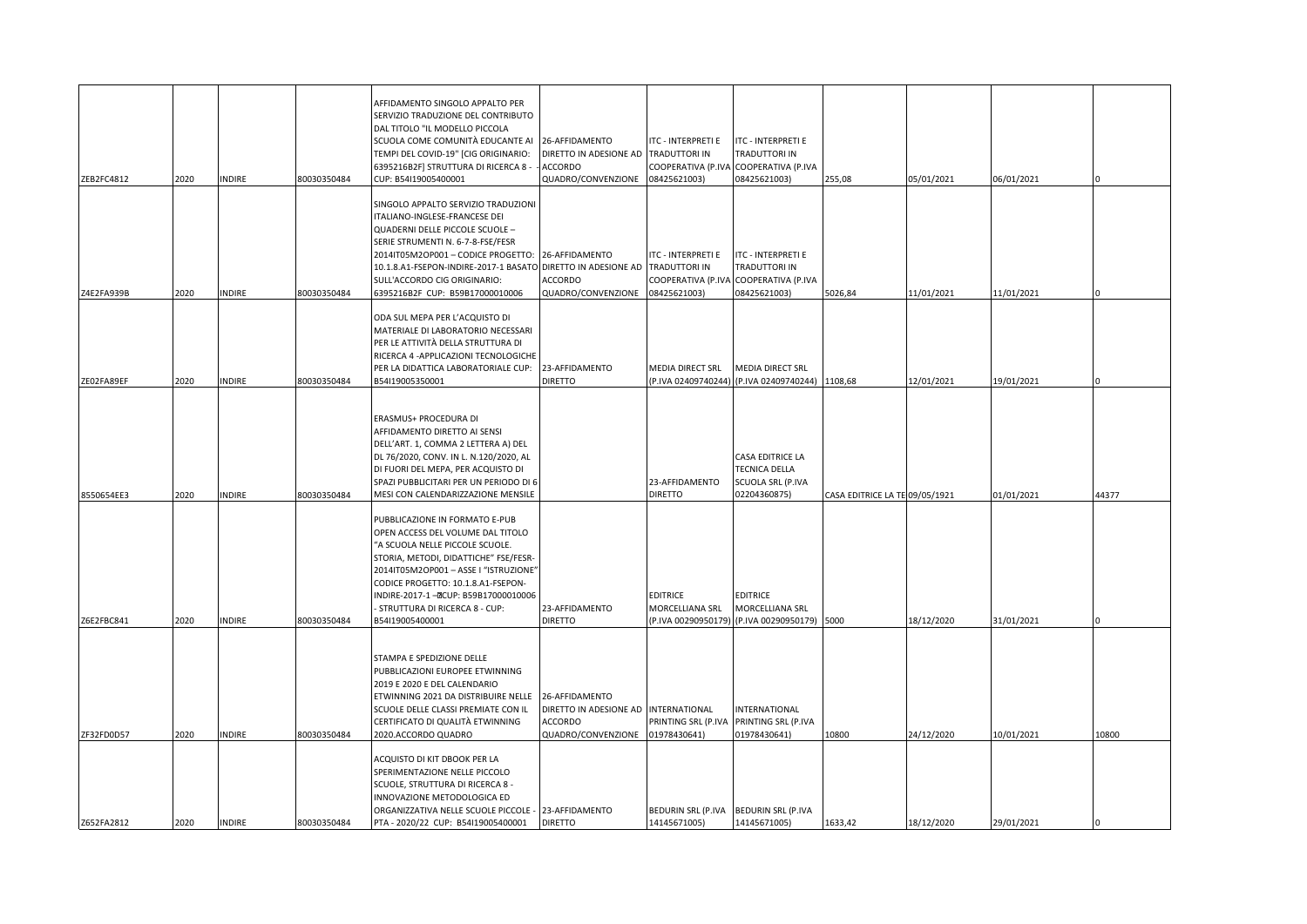| ZEB2FC4812               | 2020         | <b>INDIRE</b>                  | 80030350484                | AFFIDAMENTO SINGOLO APPALTO PER<br>SERVIZIO TRADUZIONE DEL CONTRIBUTO<br>DAL TITOLO "IL MODELLO PICCOLA<br>SCUOLA COME COMUNITÀ EDUCANTE AI 26-AFFIDAMENTO<br>TEMPI DEL COVID-19" [CIG ORIGINARIO:<br>6395216B2F] STRUTTURA DI RICERCA 8 -<br>CUP: B54I19005400001                                                                                 | DIRETTO IN ADESIONE AD<br><b>ACCORDO</b><br>QUADRO/CONVENZIONE                                     | ITC - INTERPRETI E<br><b>TRADUTTORI IN</b><br>COOPERATIVA (P.IVA<br>08425621003) | ITC - INTERPRETI E<br>TRADUTTORI IN<br>COOPERATIVA (P.IVA<br>08425621003)        | 255,08                         | 05/01/2021               | 06/01/2021               |       |
|--------------------------|--------------|--------------------------------|----------------------------|----------------------------------------------------------------------------------------------------------------------------------------------------------------------------------------------------------------------------------------------------------------------------------------------------------------------------------------------------|----------------------------------------------------------------------------------------------------|----------------------------------------------------------------------------------|----------------------------------------------------------------------------------|--------------------------------|--------------------------|--------------------------|-------|
| Z4E2FA939B               | 2020         | <b>INDIRE</b>                  | 80030350484                | SINGOLO APPALTO SERVIZIO TRADUZIONI<br>ITALIANO-INGLESE-FRANCESE DEI<br>QUADERNI DELLE PICCOLE SCUOLE -<br>SERIE STRUMENTI N. 6-7-8-FSE/FESR<br>2014IT05M2OP001 - CODICE PROGETTO: 26-AFFIDAMENTO<br>10.1.8.A1-FSEPON-INDIRE-2017-1 BASATO DIRETTO IN ADESIONE AD TRADUTTORI IN<br>SULL'ACCORDO CIG ORIGINARIO:<br>6395216B2F CUP: B59B17000010006 | <b>ACCORDO</b><br>QUADRO/CONVENZIONE                                                               | ITC - INTERPRETI E<br>COOPERATIVA (P.IVA<br>08425621003)                         | <b>ITC - INTERPRETI E</b><br>TRADUTTORI IN<br>COOPERATIVA (P.IVA<br>08425621003) | 5026,84                        | 11/01/2021               | 11/01/2021               |       |
| ZE02FA89EF               | 2020         | <b>INDIRE</b>                  | 80030350484                | ODA SUL MEPA PER L'ACQUISTO DI<br>MATERIALE DI LABORATORIO NECESSARI<br>PER LE ATTIVITÀ DELLA STRUTTURA DI<br>RICERCA 4 - APPLICAZIONI TECNOLOGICHE<br>PER LA DIDATTICA LABORATORIALE CUP:<br>B54I19005350001                                                                                                                                      | 23-AFFIDAMENTO<br><b>DIRETTO</b>                                                                   | MEDIA DIRECT SRL                                                                 | MEDIA DIRECT SRL<br>(P.IVA 02409740244) (P.IVA 02409740244) 1108,68              |                                | 12/01/2021               | 19/01/2021               |       |
| 8550654EE3               | 2020         | <b>INDIRE</b>                  | 80030350484                | ERASMUS+ PROCEDURA DI<br>AFFIDAMENTO DIRETTO AI SENSI<br>DELL'ART. 1, COMMA 2 LETTERA A) DEL<br>DL 76/2020, CONV. IN L. N.120/2020, AL<br>DI FUORI DEL MEPA, PER ACQUISTO DI<br>SPAZI PUBBLICITARI PER UN PERIODO DI 6<br>MESI CON CALENDARIZZAZIONE MENSILE                                                                                       |                                                                                                    | 23-AFFIDAMENTO<br><b>DIRETTO</b>                                                 | CASA EDITRICE LA<br>TECNICA DELLA<br>SCUOLA SRL (P.IVA<br>02204360875)           | CASA EDITRICE LA TE 09/05/1921 |                          | 01/01/2021               | 44377 |
|                          |              |                                |                            | PUBBLICAZIONE IN FORMATO E-PUB<br>OPEN ACCESS DEL VOLUME DAL TITOLO<br>"A SCUOLA NELLE PICCOLE SCUOLE.<br>STORIA, METODI, DIDATTICHE" FSE/FESR-<br>2014IT05M2OP001-ASSEI "ISTRUZIONE"<br>CODICE PROGETTO: 10.1.8.A1-FSEPON-<br>INDIRE-2017-1-DCUP: B59B17000010006<br>STRUTTURA DI RICERCA 8 - CUP:                                                | 23-AFFIDAMENTO                                                                                     | <b>EDITRICE</b><br>MORCELLIANA SRL                                               | <b>EDITRICE</b><br>MORCELLIANA SRL                                               |                                |                          |                          |       |
| Z6E2FBC841<br>ZF32FD0D57 | 2020<br>2020 | <b>INDIRE</b><br><b>INDIRE</b> | 80030350484<br>80030350484 | 354119005400001<br>STAMPA E SPEDIZIONE DELLE<br>PUBBLICAZIONI EUROPEE ETWINNING<br>2019 E 2020 E DEL CALENDARIO<br>ETWINNING 2021 DA DISTRIBUIRE NELLE<br>SCUOLE DELLE CLASSI PREMIATE CON IL<br>CERTIFICATO DI QUALITÀ ETWINNING<br>2020.ACCORDO QUADRO                                                                                           | <b>DIRETTO</b><br>26-AFFIDAMENTO<br>DIRETTO IN ADESIONE AD<br><b>ACCORDO</b><br>QUADRO/CONVENZIONE | P.IVA 00290950179)<br>INTERNATIONAL<br>PRINTING SRL (P.IVA<br>01978430641)       | (P.IVA 00290950179) 5000<br>INTERNATIONAL<br>PRINTING SRL (P.IVA<br>01978430641) | 10800                          | 18/12/2020<br>24/12/2020 | 31/01/2021<br>10/01/2021 | 10800 |
| Z652FA2812               | 2020         | <b>INDIRE</b>                  | 80030350484                | ACQUISTO DI KIT DBOOK PER LA<br>SPERIMENTAZIONE NELLE PICCOLO<br>SCUOLE, STRUTTURA DI RICERCA 8 -<br>NNOVAZIONE METODOLOGICA ED<br>ORGANIZZATIVA NELLE SCUOLE PICCOLE - 23-AFFIDAMENTO<br>PTA - 2020/22 CUP: B54I19005400001                                                                                                                       | <b>DIRETTO</b>                                                                                     | 14145671005)                                                                     | BEDURIN SRL (P.IVA BEDURIN SRL (P.IVA<br>14145671005)                            | 1633,42                        | 18/12/2020               | 29/01/2021               |       |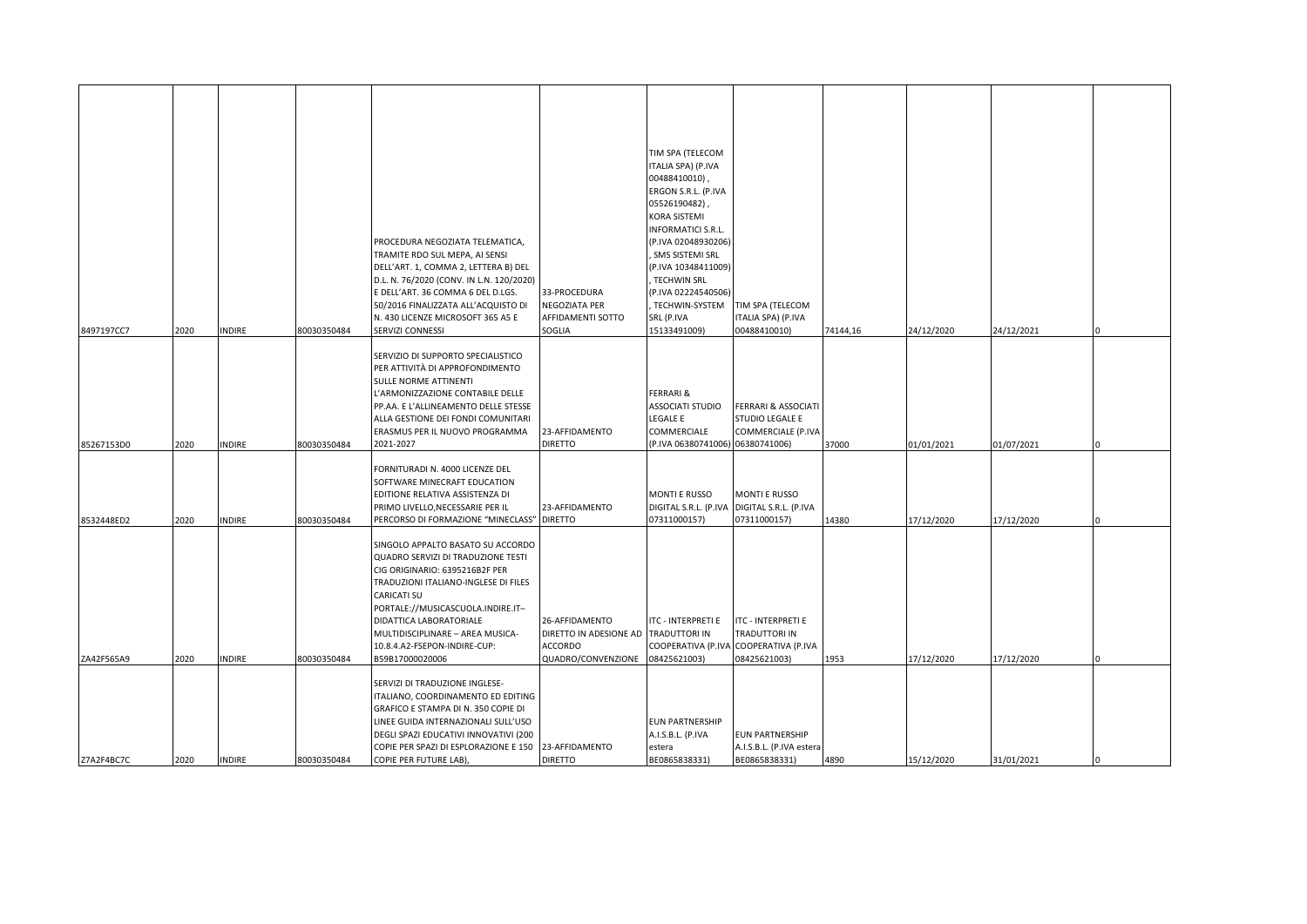|            |      |               |             |                                                                          |                                      | TIM SPA (TELECOM                        |                                       |          |            |            |  |
|------------|------|---------------|-------------|--------------------------------------------------------------------------|--------------------------------------|-----------------------------------------|---------------------------------------|----------|------------|------------|--|
|            |      |               |             |                                                                          |                                      | ITALIA SPA) (P.IVA<br>00488410010),     |                                       |          |            |            |  |
|            |      |               |             |                                                                          |                                      | ERGON S.R.L. (P.IVA                     |                                       |          |            |            |  |
|            |      |               |             |                                                                          |                                      | 05526190482),                           |                                       |          |            |            |  |
|            |      |               |             |                                                                          |                                      | KORA SISTEMI                            |                                       |          |            |            |  |
|            |      |               |             |                                                                          |                                      | INFORMATICI S.R.L.                      |                                       |          |            |            |  |
|            |      |               |             | PROCEDURA NEGOZIATA TELEMATICA,                                          |                                      | (P.IVA 02048930206)                     |                                       |          |            |            |  |
|            |      |               |             | TRAMITE RDO SUL MEPA, AI SENSI                                           |                                      | , SMS SISTEMI SRL                       |                                       |          |            |            |  |
|            |      |               |             | DELL'ART. 1, COMMA 2, LETTERA B) DEL                                     |                                      | (P.IVA 10348411009)                     |                                       |          |            |            |  |
|            |      |               |             | D.L. N. 76/2020 (CONV. IN L.N. 120/2020)                                 |                                      | , TECHWIN SRL                           |                                       |          |            |            |  |
|            |      |               |             | E DELL'ART. 36 COMMA 6 DEL D.LGS.<br>50/2016 FINALIZZATA ALL'ACQUISTO DI | 33-PROCEDURA<br>NEGOZIATA PER        | (P.IVA 02224540506)<br>, TECHWIN-SYSTEM | TIM SPA (TELECOM                      |          |            |            |  |
|            |      |               |             | N. 430 LICENZE MICROSOFT 365 A5 E                                        | AFFIDAMENTI SOTTO                    | SRL (P.IVA                              | ITALIA SPA) (P.IVA                    |          |            |            |  |
| 8497197CC7 | 2020 | INDIRE        | 80030350484 | SERVIZI CONNESSI                                                         | SOGLIA                               | 15133491009)                            | 00488410010)                          | 74144,16 | 24/12/2020 | 24/12/2021 |  |
|            |      |               |             |                                                                          |                                      |                                         |                                       |          |            |            |  |
|            |      |               |             | SERVIZIO DI SUPPORTO SPECIALISTICO                                       |                                      |                                         |                                       |          |            |            |  |
|            |      |               |             | PER ATTIVITÀ DI APPROFONDIMENTO                                          |                                      |                                         |                                       |          |            |            |  |
|            |      |               |             | SULLE NORME ATTINENTI                                                    |                                      |                                         |                                       |          |            |            |  |
|            |      |               |             | 'ARMONIZZAZIONE CONTABILE DELLE<br>PP.AA. E L'ALLINEAMENTO DELLE STESSE  |                                      | FERRARI &<br>ASSOCIATI STUDIO           | FERRARI & ASSOCIATI                   |          |            |            |  |
|            |      |               |             | ALLA GESTIONE DEI FONDI COMUNITARI                                       |                                      | legale e                                | STUDIO LEGALE E                       |          |            |            |  |
|            |      |               |             | ERASMUS PER IL NUOVO PROGRAMMA                                           | 23-AFFIDAMENTO                       | COMMERCIALE                             | COMMERCIALE (P.IVA                    |          |            |            |  |
| 85267153D0 | 2020 | INDIRE        | 80030350484 | 2021-2027                                                                | <b>DIRETTO</b>                       | (P.IVA 06380741006) 06380741006)        |                                       | 37000    | 01/01/2021 | 01/07/2021 |  |
|            |      |               |             |                                                                          |                                      |                                         |                                       |          |            |            |  |
|            |      |               |             | FORNITURADI N. 4000 LICENZE DEL                                          |                                      |                                         |                                       |          |            |            |  |
|            |      |               |             | SOFTWARE MINECRAFT EDUCATION<br>EDITIONE RELATIVA ASSISTENZA DI          |                                      | <b>MONTI E RUSSO</b>                    | <b>MONTI E RUSSO</b>                  |          |            |            |  |
|            |      |               |             | PRIMO LIVELLO, NECESSARIE PER IL                                         | 23-AFFIDAMENTO                       | DIGITAL S.R.L. (P.IVA                   | DIGITAL S.R.L. (P.IVA                 |          |            |            |  |
| 8532448ED2 | 2020 | <b>INDIRE</b> | 80030350484 | PERCORSO DI FORMAZIONE "MINECLASS" DIRETTO                               |                                      | 07311000157)                            | 07311000157)                          | 14380    | 17/12/2020 | 17/12/2020 |  |
|            |      |               |             |                                                                          |                                      |                                         |                                       |          |            |            |  |
|            |      |               |             | SINGOLO APPALTO BASATO SU ACCORDO                                        |                                      |                                         |                                       |          |            |            |  |
|            |      |               |             | QUADRO SERVIZI DI TRADUZIONE TESTI                                       |                                      |                                         |                                       |          |            |            |  |
|            |      |               |             | CIG ORIGINARIO: 6395216B2F PER                                           |                                      |                                         |                                       |          |            |            |  |
|            |      |               |             | TRADUZIONI ITALIANO-INGLESE DI FILES<br>CARICATI SU                      |                                      |                                         |                                       |          |            |            |  |
|            |      |               |             | PORTALE://MUSICASCUOLA.INDIRE.IT-                                        |                                      |                                         |                                       |          |            |            |  |
|            |      |               |             | DIDATTICA LABORATORIALE                                                  | 26-AFFIDAMENTO                       | <b>ITC - INTERPRETI E</b>               | <b>ITC - INTERPRETI E</b>             |          |            |            |  |
|            |      |               |             | MULTIDISCIPLINARE - AREA MUSICA-                                         | DIRETTO IN ADESIONE AD TRADUTTORI IN |                                         | TRADUTTORI IN                         |          |            |            |  |
|            |      |               |             | 10.8.4.A2-FSEPON-INDIRE-CUP:                                             | <b>ACCORDO</b>                       |                                         | COOPERATIVA (P.IVA COOPERATIVA (P.IVA |          |            |            |  |
| ZA42F565A9 | 2020 | INDIRE        | 80030350484 | B59B17000020006                                                          | QUADRO/CONVENZIONE                   | 08425621003)                            | 08425621003)                          | 1953     | 17/12/2020 | 17/12/2020 |  |
|            |      |               |             | SERVIZI DI TRADUZIONE INGLESE-                                           |                                      |                                         |                                       |          |            |            |  |
|            |      |               |             | ITALIANO, COORDINAMENTO ED EDITING                                       |                                      |                                         |                                       |          |            |            |  |
|            |      |               |             | GRAFICO E STAMPA DI N. 350 COPIE DI                                      |                                      |                                         |                                       |          |            |            |  |
|            |      |               |             | INEE GUIDA INTERNAZIONALI SULL'USO                                       |                                      | <b>EUN PARTNERSHIP</b>                  |                                       |          |            |            |  |
|            |      |               |             | DEGLI SPAZI EDUCATIVI INNOVATIVI (200                                    |                                      | A.I.S.B.L. (P.IVA                       | <b>EUN PARTNERSHIP</b>                |          |            |            |  |
|            |      |               |             | COPIE PER SPAZI DI ESPLORAZIONE E 150                                    | 23-AFFIDAMENTO                       | estera                                  | A.I.S.B.L. (P.IVA estera              |          |            |            |  |
| Z7A2F4BC7C | 2020 | <b>INDIRE</b> | 80030350484 | COPIE PER FUTURE LAB),                                                   | <b>DIRETTO</b>                       | BE0865838331)                           | BE0865838331)                         | 4890     | 15/12/2020 | 31/01/2021 |  |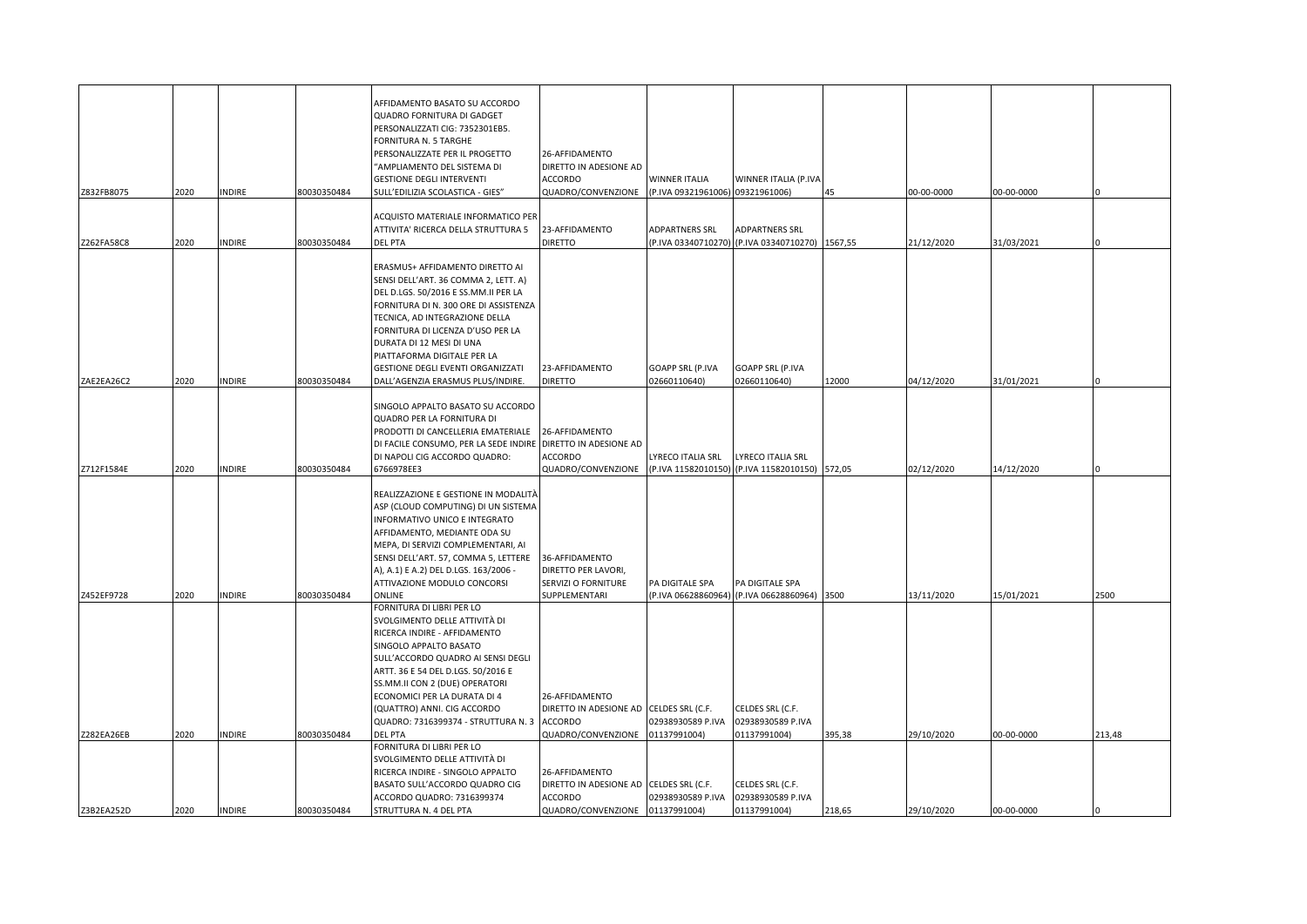| Z832FB8075 | 2020 | INDIRE        | 80030350484 | AFFIDAMENTO BASATO SU ACCORDO<br>QUADRO FORNITURA DI GADGET<br>PERSONALIZZATI CIG: 7352301EB5.<br>FORNITURA N. 5 TARGHE<br>PERSONALIZZATE PER IL PROGETTO<br>"AMPLIAMENTO DEL SISTEMA DI<br><b>GESTIONE DEGLI INTERVENTI</b><br>SULL'EDILIZIA SCOLASTICA - GIES"                                                                         | 26-AFFIDAMENTO<br>DIRETTO IN ADESIONE AD<br><b>ACCORDO</b><br>QUADRO/CONVENZIONE | <b>WINNER ITALIA</b><br>(P.IVA 09321961006) 09321961006) | WINNER ITALIA (P.IVA                                                | 45     | 00-00-0000 | 00-00-0000 |        |
|------------|------|---------------|-------------|------------------------------------------------------------------------------------------------------------------------------------------------------------------------------------------------------------------------------------------------------------------------------------------------------------------------------------------|----------------------------------------------------------------------------------|----------------------------------------------------------|---------------------------------------------------------------------|--------|------------|------------|--------|
|            |      |               |             | ACQUISTO MATERIALE INFORMATICO PER                                                                                                                                                                                                                                                                                                       |                                                                                  |                                                          |                                                                     |        |            |            |        |
|            |      |               |             | ATTIVITA' RICERCA DELLA STRUTTURA 5                                                                                                                                                                                                                                                                                                      | 23-AFFIDAMENTO                                                                   | <b>ADPARTNERS SRL</b>                                    | <b>ADPARTNERS SRL</b>                                               |        |            |            |        |
| Z262FA58C8 | 2020 | <b>INDIRE</b> | 80030350484 | <b>DEL PTA</b>                                                                                                                                                                                                                                                                                                                           | <b>DIRETTO</b>                                                                   |                                                          | (P.IVA 03340710270) (P.IVA 03340710270) 1567,55                     |        | 21/12/2020 | 31/03/2021 |        |
|            |      |               |             | ERASMUS+ AFFIDAMENTO DIRETTO AI<br>SENSI DELL'ART. 36 COMMA 2, LETT. A)<br>DEL D.LGS. 50/2016 E SS.MM.II PER LA<br>FORNITURA DI N. 300 ORE DI ASSISTENZA<br>TECNICA, AD INTEGRAZIONE DELLA<br>FORNITURA DI LICENZA D'USO PER LA<br>DURATA DI 12 MESI DI UNA<br>PIATTAFORMA DIGITALE PER LA<br>GESTIONE DEGLI EVENTI ORGANIZZATI          | 23-AFFIDAMENTO                                                                   | GOAPP SRL (P.IVA                                         | <b>GOAPP SRL (P.IVA</b>                                             |        |            |            |        |
| ZAE2EA26C2 | 2020 | INDIRE        | 80030350484 | DALL'AGENZIA ERASMUS PLUS/INDIRE.                                                                                                                                                                                                                                                                                                        | <b>DIRETTO</b>                                                                   | 02660110640)                                             | 02660110640)                                                        | 12000  | 04/12/2020 | 31/01/2021 |        |
| Z712F1584E | 2020 | INDIRE        | 80030350484 | SINGOLO APPALTO BASATO SU ACCORDO<br>QUADRO PER LA FORNITURA DI<br>PRODOTTI DI CANCELLERIA EMATERIALE<br>DI FACILE CONSUMO, PER LA SEDE INDIRE DIRETTO IN ADESIONE AD<br>DI NAPOLI CIG ACCORDO QUADRO:<br>6766978EE3                                                                                                                     | 26-AFFIDAMENTO<br>ACCORDO<br>QUADRO/CONVENZIONE                                  | LYRECO ITALIA SRL                                        | LYRECO ITALIA SRL<br>(P.IVA 11582010150) (P.IVA 11582010150) 572,05 |        | 02/12/2020 | 14/12/2020 |        |
| Z452EF9728 | 2020 | <b>INDIRE</b> | 80030350484 | REALIZZAZIONE E GESTIONE IN MODALITÀ<br>ASP (CLOUD COMPUTING) DI UN SISTEMA<br>INFORMATIVO UNICO E INTEGRATO<br>AFFIDAMENTO, MEDIANTE ODA SU<br>MEPA, DI SERVIZI COMPLEMENTARI, AI<br>SENSI DELL'ART. 57, COMMA 5, LETTERE<br>A), A.1) E A.2) DEL D.LGS. 163/2006 -<br>ATTIVAZIONE MODULO CONCORSI<br>ONLINE                             | 36-AFFIDAMENTO<br>DIRETTO PER LAVORI,<br>SERVIZI O FORNITURE<br>SUPPLEMENTARI    | PA DIGITALE SPA                                          | PA DIGITALE SPA<br>(P.IVA 06628860964) (P.IVA 06628860964)          | 3500   | 13/11/2020 | 15/01/2021 | 2500   |
|            |      |               |             | FORNITURA DI LIBRI PER LO<br>SVOLGIMENTO DELLE ATTIVITÀ DI<br>RICERCA INDIRE - AFFIDAMENTO<br>SINGOLO APPALTO BASATO<br>SULL'ACCORDO QUADRO AI SENSI DEGLI<br>ARTT. 36 E 54 DEL D.LGS. 50/2016 E<br>SS.MM.II CON 2 (DUE) OPERATORI<br>ECONOMICI PER LA DURATA DI 4<br>(QUATTRO) ANNI. CIG ACCORDO<br>QUADRO: 7316399374 - STRUTTURA N. 3 | 26-AFFIDAMENTO<br>DIRETTO IN ADESIONE AD CELDES SRL (C.F.<br><b>ACCORDO</b>      | 02938930589 P.IVA                                        | CELDES SRL (C.F.<br>02938930589 P.IVA                               |        |            |            |        |
| Z282EA26EB | 2020 | <b>INDIRE</b> | 80030350484 | <b>DEL PTA</b><br>FORNITURA DI LIBRI PER LO<br>SVOLGIMENTO DELLE ATTIVITÀ DI<br>RICERCA INDIRE - SINGOLO APPALTO                                                                                                                                                                                                                         | QUADRO/CONVENZIONE<br>26-AFFIDAMENTO                                             | 01137991004)                                             | 01137991004)                                                        | 395,38 | 29/10/2020 | 00-00-0000 | 213,48 |
|            |      |               |             | BASATO SULL'ACCORDO QUADRO CIG                                                                                                                                                                                                                                                                                                           | DIRETTO IN ADESIONE AD CELDES SRL (C.F.                                          |                                                          | CELDES SRL (C.F.                                                    |        |            |            |        |
|            |      |               |             | ACCORDO QUADRO: 7316399374                                                                                                                                                                                                                                                                                                               | <b>ACCORDO</b>                                                                   | 02938930589 P.IVA                                        | 02938930589 P.IVA                                                   |        |            |            |        |
| Z3B2EA252D | 2020 | <b>INDIRE</b> | 80030350484 | STRUTTURA N. 4 DEL PTA                                                                                                                                                                                                                                                                                                                   | QUADRO/CONVENZIONE                                                               | 01137991004)                                             | 01137991004)                                                        | 218,65 | 29/10/2020 | 00-00-0000 |        |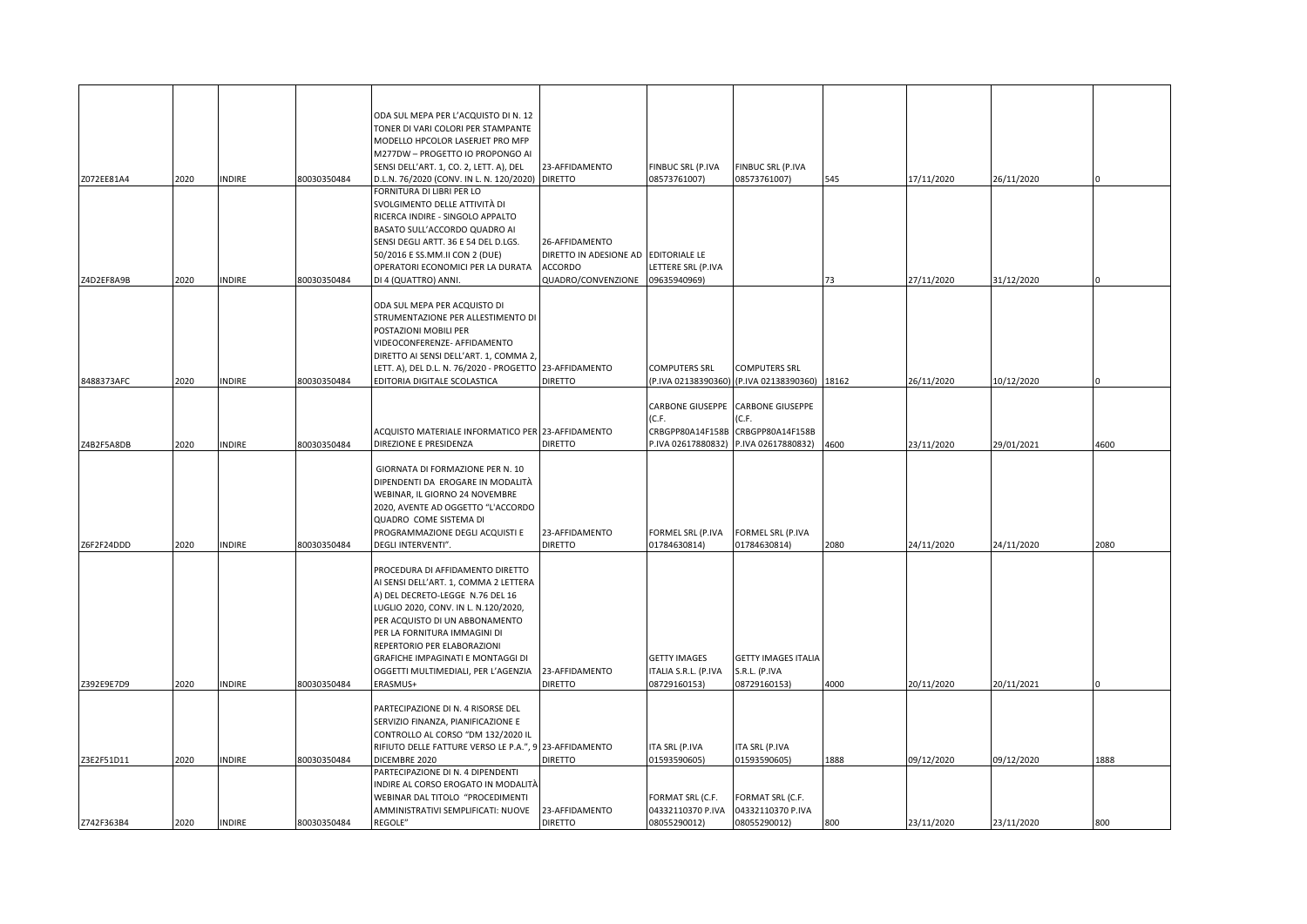|            |      |               |             | ODA SUL MEPA PER L'ACQUISTO DI N. 12                                        |                        |                                        |                                               |      |            |            |      |
|------------|------|---------------|-------------|-----------------------------------------------------------------------------|------------------------|----------------------------------------|-----------------------------------------------|------|------------|------------|------|
|            |      |               |             | TONER DI VARI COLORI PER STAMPANTE                                          |                        |                                        |                                               |      |            |            |      |
|            |      |               |             | MODELLO HPCOLOR LASERJET PRO MFP                                            |                        |                                        |                                               |      |            |            |      |
|            |      |               |             | M277DW - PROGETTO IO PROPONGO AI                                            |                        |                                        |                                               |      |            |            |      |
|            |      |               |             | SENSI DELL'ART. 1, CO. 2, LETT. A), DEL                                     | 23-AFFIDAMENTO         | FINBUC SRL (P.IVA                      | FINBUC SRL (P.IVA                             |      |            |            |      |
| Z072EE81A4 | 2020 | <b>INDIRE</b> | 80030350484 | D.L.N. 76/2020 (CONV. IN L. N. 120/2020) DIRETTO                            |                        | 08573761007)                           | 08573761007)                                  | 545  | 17/11/2020 | 26/11/2020 |      |
|            |      |               |             | FORNITURA DI LIBRI PER LO                                                   |                        |                                        |                                               |      |            |            |      |
|            |      |               |             | SVOLGIMENTO DELLE ATTIVITÀ DI                                               |                        |                                        |                                               |      |            |            |      |
|            |      |               |             | RICERCA INDIRE - SINGOLO APPALTO                                            |                        |                                        |                                               |      |            |            |      |
|            |      |               |             | BASATO SULL'ACCORDO QUADRO AI                                               |                        |                                        |                                               |      |            |            |      |
|            |      |               |             | SENSI DEGLI ARTT. 36 E 54 DEL D.LGS.                                        | 26-AFFIDAMENTO         |                                        |                                               |      |            |            |      |
|            |      |               |             | 50/2016 E SS.MM.II CON 2 (DUE)                                              | DIRETTO IN ADESIONE AD | <b>EDITORIALE LE</b>                   |                                               |      |            |            |      |
|            |      |               |             | OPERATORI ECONOMICI PER LA DURATA                                           | <b>ACCORDO</b>         | LETTERE SRL (P.IVA                     |                                               |      |            |            |      |
| Z4D2EF8A9B | 2020 | <b>INDIRE</b> | 80030350484 | DI 4 (QUATTRO) ANNI.                                                        | QUADRO/CONVENZIONE     | 09635940969)                           |                                               | 73   | 27/11/2020 | 31/12/2020 |      |
|            |      |               |             | ODA SUL MEPA PER ACQUISTO DI                                                |                        |                                        |                                               |      |            |            |      |
|            |      |               |             | STRUMENTAZIONE PER ALLESTIMENTO DI                                          |                        |                                        |                                               |      |            |            |      |
|            |      |               |             | POSTAZIONI MOBILI PER                                                       |                        |                                        |                                               |      |            |            |      |
|            |      |               |             | VIDEOCONFERENZE- AFFIDAMENTO                                                |                        |                                        |                                               |      |            |            |      |
|            |      |               |             | DIRETTO AI SENSI DELL'ART. 1, COMMA 2,                                      |                        |                                        |                                               |      |            |            |      |
|            |      |               |             | LETT. A), DEL D.L. N. 76/2020 - PROGETTO 23-AFFIDAMENTO                     |                        | <b>COMPUTERS SRL</b>                   | <b>COMPUTERS SRL</b>                          |      |            |            |      |
| 8488373AFC | 2020 | INDIRE        | 80030350484 | EDITORIA DIGITALE SCOLASTICA                                                | <b>DIRETTO</b>         |                                        | (P.IVA 02138390360) (P.IVA 02138390360) 18162 |      | 26/11/2020 | 10/12/2020 |      |
|            |      |               |             |                                                                             |                        |                                        |                                               |      |            |            |      |
|            |      |               |             |                                                                             |                        | <b>CARBONE GIUSEPPE</b>                | <b>CARBONE GIUSEPPE</b>                       |      |            |            |      |
|            |      |               |             |                                                                             |                        | (C.F.                                  | (C.F.                                         |      |            |            |      |
| Z4B2F5A8DB | 2020 | <b>INDIRE</b> | 80030350484 | ACQUISTO MATERIALE INFORMATICO PER 23-AFFIDAMENTO<br>DIREZIONE E PRESIDENZA | <b>DIRETTO</b>         | CRBGPP80A14F158B<br>P.IVA 02617880832) | CRBGPP80A14F158B<br>P.IVA 02617880832)        | 4600 | 23/11/2020 | 29/01/2021 | 4600 |
|            |      |               |             |                                                                             |                        |                                        |                                               |      |            |            |      |
|            |      |               |             | GIORNATA DI FORMAZIONE PER N. 10                                            |                        |                                        |                                               |      |            |            |      |
|            |      |               |             | DIPENDENTI DA EROGARE IN MODALITÀ                                           |                        |                                        |                                               |      |            |            |      |
|            |      |               |             | WEBINAR, IL GIORNO 24 NOVEMBRE                                              |                        |                                        |                                               |      |            |            |      |
|            |      |               |             | 2020, AVENTE AD OGGETTO "L'ACCORDO                                          |                        |                                        |                                               |      |            |            |      |
|            |      |               |             | <b>QUADRO COME SISTEMA DI</b>                                               |                        |                                        |                                               |      |            |            |      |
|            |      |               |             | PROGRAMMAZIONE DEGLI ACQUISTI E                                             | 23-AFFIDAMENTO         | FORMEL SRL (P.IVA                      | FORMEL SRL (P.IVA                             |      |            |            |      |
| Z6F2F24DDD | 2020 | <b>INDIRE</b> | 80030350484 | DEGLI INTERVENTI".                                                          | <b>DIRETTO</b>         | 01784630814)                           | 01784630814)                                  | 2080 | 24/11/2020 | 24/11/2020 | 2080 |
|            |      |               |             |                                                                             |                        |                                        |                                               |      |            |            |      |
|            |      |               |             | PROCEDURA DI AFFIDAMENTO DIRETTO                                            |                        |                                        |                                               |      |            |            |      |
|            |      |               |             | AI SENSI DELL'ART. 1, COMMA 2 LETTERA                                       |                        |                                        |                                               |      |            |            |      |
|            |      |               |             | A) DEL DECRETO-LEGGE N.76 DEL 16                                            |                        |                                        |                                               |      |            |            |      |
|            |      |               |             | LUGLIO 2020, CONV. IN L. N.120/2020,                                        |                        |                                        |                                               |      |            |            |      |
|            |      |               |             | PER ACQUISTO DI UN ABBONAMENTO                                              |                        |                                        |                                               |      |            |            |      |
|            |      |               |             | PER LA FORNITURA IMMAGINI DI                                                |                        |                                        |                                               |      |            |            |      |
|            |      |               |             | REPERTORIO PER ELABORAZIONI<br>GRAFICHE IMPAGINATI E MONTAGGI DI            |                        | <b>GETTY IMAGES</b>                    | <b>GETTY IMAGES ITALIA</b>                    |      |            |            |      |
|            |      |               |             | OGGETTI MULTIMEDIALI, PER L'AGENZIA                                         | 23-AFFIDAMENTO         | ITALIA S.R.L. (P.IVA                   | S.R.L. (P.IVA                                 |      |            |            |      |
| Z392E9E7D9 | 2020 | <b>INDIRE</b> | 80030350484 | ERASMUS+                                                                    | <b>DIRETTO</b>         | 08729160153)                           | 08729160153)                                  | 4000 | 20/11/2020 | 20/11/2021 |      |
|            |      |               |             |                                                                             |                        |                                        |                                               |      |            |            |      |
|            |      |               |             | PARTECIPAZIONE DI N. 4 RISORSE DEL                                          |                        |                                        |                                               |      |            |            |      |
|            |      |               |             | SERVIZIO FINANZA, PIANIFICAZIONE E                                          |                        |                                        |                                               |      |            |            |      |
|            |      |               |             | CONTROLLO AL CORSO "DM 132/2020 IL                                          |                        |                                        |                                               |      |            |            |      |
|            |      |               |             | RIFIUTO DELLE FATTURE VERSO LE P.A.", 9 23-AFFIDAMENTO                      |                        | ITA SRL (P.IVA                         | ITA SRL (P.IVA                                |      |            |            |      |
| Z3E2F51D11 | 2020 | <b>INDIRE</b> | 80030350484 | DICEMBRE 2020                                                               | <b>DIRETTO</b>         | 01593590605)                           | 01593590605)                                  | 1888 | 09/12/2020 | 09/12/2020 | 1888 |
|            |      |               |             | PARTECIPAZIONE DI N. 4 DIPENDENTI                                           |                        |                                        |                                               |      |            |            |      |
|            |      |               |             | INDIRE AL CORSO EROGATO IN MODALITÀ                                         |                        |                                        |                                               |      |            |            |      |
|            |      |               |             | WEBINAR DAL TITOLO "PROCEDIMENTI                                            |                        | FORMAT SRL (C.F.                       | FORMAT SRL (C.F.                              |      |            |            |      |
|            |      |               |             | AMMINISTRATIVI SEMPLIFICATI: NUOVE                                          | 23-AFFIDAMENTO         | 04332110370 P.IVA                      | 04332110370 P.IVA                             |      |            |            |      |
| Z742F363B4 | 2020 | <b>INDIRE</b> | 80030350484 | REGOLE"                                                                     | <b>DIRETTO</b>         | 08055290012)                           | 08055290012)                                  | 800  | 23/11/2020 | 23/11/2020 | 800  |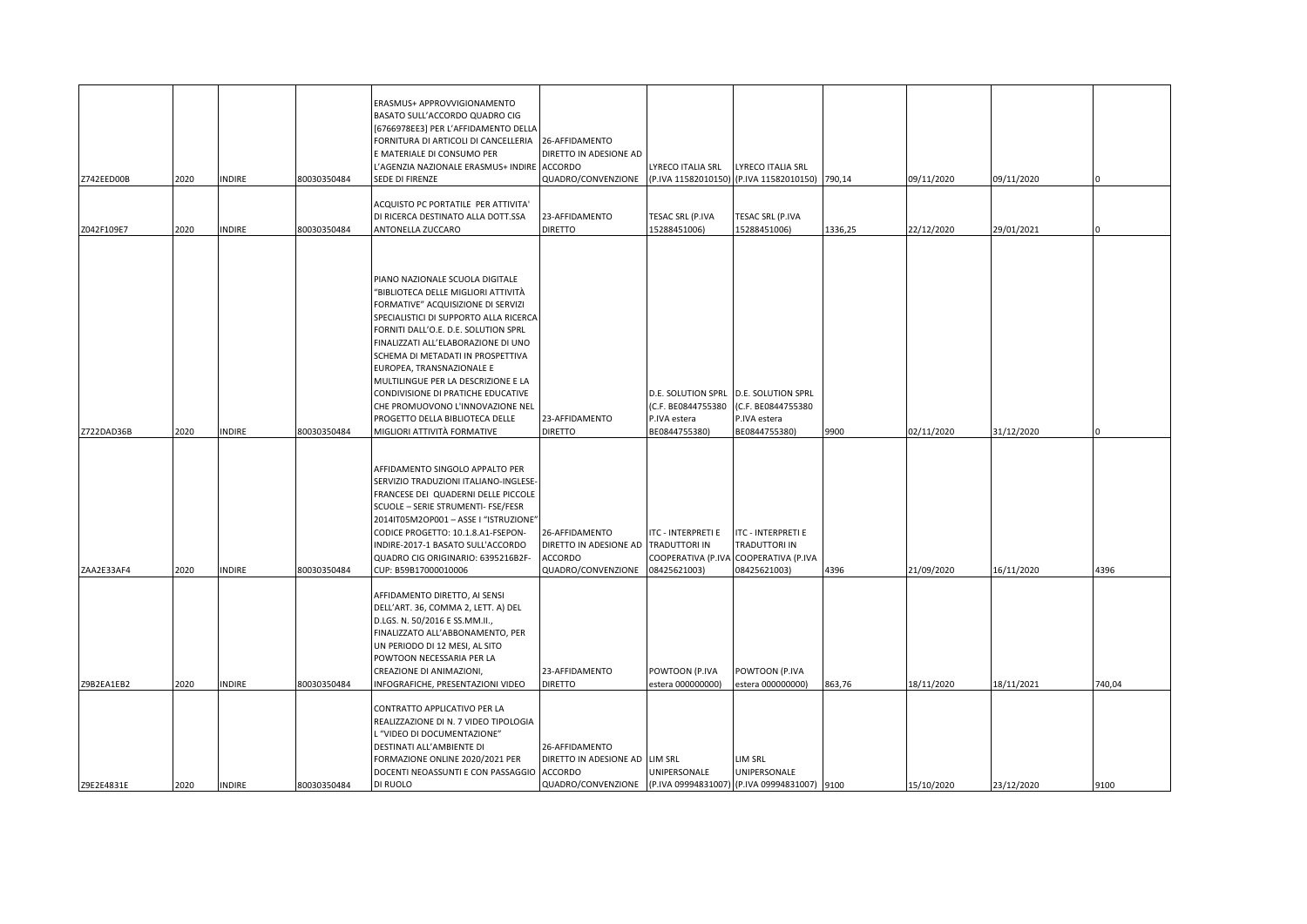| Z742EED00B | 2020 | <b>INDIRE</b> | 80030350484 | ERASMUS+ APPROVVIGIONAMENTO<br>BASATO SULL'ACCORDO QUADRO CIG<br>[6766978EE3] PER L'AFFIDAMENTO DELLA<br>FORNITURA DI ARTICOLI DI CANCELLERIA<br><b>EMATERIALE DI CONSUMO PER</b><br>L'AGENZIA NAZIONALE ERASMUS+ INDIRE ACCORDO<br>SEDE DI FIRENZE                                                                                                                                                                                                                                        | 26-AFFIDAMENTO<br>DIRETTO IN ADESIONE AD<br>QUADRO/CONVENZIONE                   | LYRECO ITALIA SRL                                                         | LYRECO ITALIA SRL<br>(P.IVA 11582010150) (P.IVA 11582010150) 790,14              |         | 09/11/2020 | 09/11/2020 |        |
|------------|------|---------------|-------------|--------------------------------------------------------------------------------------------------------------------------------------------------------------------------------------------------------------------------------------------------------------------------------------------------------------------------------------------------------------------------------------------------------------------------------------------------------------------------------------------|----------------------------------------------------------------------------------|---------------------------------------------------------------------------|----------------------------------------------------------------------------------|---------|------------|------------|--------|
|            |      |               |             | ACQUISTO PC PORTATILE PER ATTIVITA'                                                                                                                                                                                                                                                                                                                                                                                                                                                        |                                                                                  |                                                                           |                                                                                  |         |            |            |        |
| Z042F109E7 | 2020 | INDIRE        | 30030350484 | DI RICERCA DESTINATO ALLA DOTT.SSA<br>ANTONELLA ZUCCARO                                                                                                                                                                                                                                                                                                                                                                                                                                    | 23-AFFIDAMENTO<br><b>DIRETTO</b>                                                 | TESAC SRL (P.IVA<br>15288451006)                                          | TESAC SRL (P.IVA<br>15288451006)                                                 | 1336,25 | 22/12/2020 | 29/01/2021 |        |
| Z722DAD36B | 2020 | <b>INDIRE</b> | 80030350484 | PIANO NAZIONALE SCUOLA DIGITALE<br>"BIBLIOTECA DELLE MIGLIORI ATTIVITÀ<br>FORMATIVE" ACQUISIZIONE DI SERVIZI<br>SPECIALISTICI DI SUPPORTO ALLA RICERCA<br>FORNITI DALL'O.E. D.E. SOLUTION SPRL<br>FINALIZZATI ALL'ELABORAZIONE DI UNO<br>SCHEMA DI METADATI IN PROSPETTIVA<br>EUROPEA, TRANSNAZIONALE E<br>MULTILINGUE PER LA DESCRIZIONE E LA<br>CONDIVISIONE DI PRATICHE EDUCATIVE<br>CHE PROMUOVONO L'INNOVAZIONE NEL<br>PROGETTO DELLA BIBLIOTECA DELLE<br>MIGLIORI ATTIVITÀ FORMATIVE | 23-AFFIDAMENTO<br><b>DIRETTO</b>                                                 | D.E. SOLUTION SPRL<br>(C.F. BE0844755380<br>P.IVA estera<br>BE0844755380) | D.E. SOLUTION SPRL<br>(C.F. BE0844755380<br>P.IVA estera<br>BE0844755380)        | 9900    | 02/11/2020 | 31/12/2020 |        |
| ZAA2E33AF4 | 2020 | <b>INDIRE</b> | 80030350484 | AFFIDAMENTO SINGOLO APPALTO PER<br>SERVIZIO TRADUZIONI ITALIANO-INGLESE-<br>FRANCESE DEI QUADERNI DELLE PICCOLE<br>SCUOLE - SERIE STRUMENTI- FSE/FESR<br>2014IT05M2OP001 - ASSE I "ISTRUZIONE"<br>CODICE PROGETTO: 10.1.8.A1-FSEPON-<br>INDIRE-2017-1 BASATO SULL'ACCORDO<br>QUADRO CIG ORIGINARIO: 6395216B2F-<br>CUP: B59B17000010006                                                                                                                                                    | 26-AFFIDAMENTO<br>DIRETTO IN ADESIONE AD<br><b>ACCORDO</b><br>QUADRO/CONVENZIONE | ITC - INTERPRETI E<br>TRADUTTORI IN<br>COOPERATIVA (P.IVA<br>08425621003) | <b>ITC - INTERPRETI E</b><br>TRADUTTORI IN<br>COOPERATIVA (P.IVA<br>08425621003) | 4396    | 21/09/2020 | 16/11/2020 | 4396   |
| Z9B2EA1EB2 | 2020 | <b>INDIRE</b> | 80030350484 | AFFIDAMENTO DIRETTO, AI SENSI<br>DELL'ART. 36, COMMA 2, LETT. A) DEL<br>D.LGS. N. 50/2016 E SS.MM.II.,<br>FINALIZZATO ALL'ABBONAMENTO, PER<br>UN PERIODO DI 12 MESI, AL SITO<br>POWTOON NECESSARIA PER LA<br>CREAZIONE DI ANIMAZIONI,<br>INFOGRAFICHE, PRESENTAZIONI VIDEO                                                                                                                                                                                                                 | 23-AFFIDAMENTO<br><b>DIRETTO</b>                                                 | POWTOON (P.IVA<br>estera 000000000)                                       | POWTOON (P.IVA<br>estera 000000000)                                              | 863,76  | 18/11/2020 | 18/11/2021 | 740,04 |
| Z9E2E4831E | 2020 | <b>INDIRE</b> | 80030350484 | CONTRATTO APPLICATIVO PER LA<br>REALIZZAZIONE DI N. 7 VIDEO TIPOLOGIA<br>"VIDEO DI DOCUMENTAZIONE"<br>DESTINATI ALL'AMBIENTE DI<br>FORMAZIONE ONLINE 2020/2021 PER<br>DOCENTI NEOASSUNTI E CON PASSAGGIO<br>DI RUOLO                                                                                                                                                                                                                                                                       | 26-AFFIDAMENTO<br>DIRETTO IN ADESIONE AD<br><b>ACCORDO</b><br>QUADRO/CONVENZIONE | lim Srl<br>UNIPERSONALE                                                   | LIM SRL<br>UNIPERSONALE<br>(P.IVA 09994831007) (P.IVA 09994831007) 9100          |         | 15/10/2020 | 23/12/2020 | 9100   |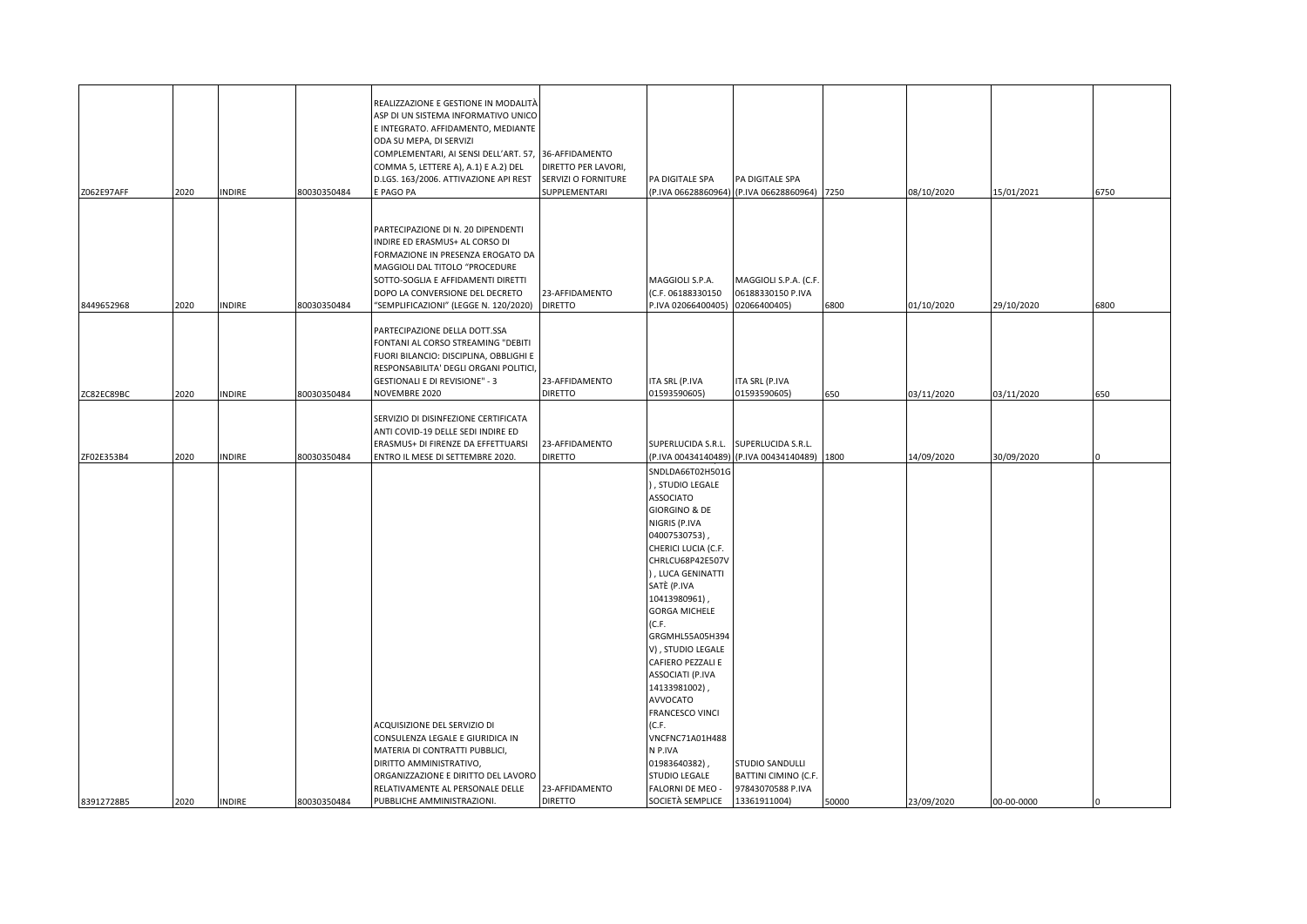| Z062E97AFF | 2020 | INDIRE        | 80030350484 | REALIZZAZIONE E GESTIONE IN MODALITÀ<br>ASP DI UN SISTEMA INFORMATIVO UNICO<br>E INTEGRATO. AFFIDAMENTO, MEDIANTE<br>ODA SU MEPA, DI SERVIZI<br>COMPLEMENTARI, AI SENSI DELL'ART. 57,<br>COMMA 5, LETTERE A), A.1) E A.2) DEL<br>D.LGS. 163/2006. ATTIVAZIONE API REST<br>E PAGO PA | 36-AFFIDAMENTO<br>DIRETTO PER LAVORI,<br>SERVIZI O FORNITURE<br>SUPPLEMENTARI | PA DIGITALE SPA                                                                                                                                                                                                                                                                                                                                                                                                                                                                                                        | PA DIGITALE SPA<br>(P.IVA 06628860964) (P.IVA 06628860964) 7250              |       | 08/10/2020 | 15/01/2021 | 6750 |
|------------|------|---------------|-------------|-------------------------------------------------------------------------------------------------------------------------------------------------------------------------------------------------------------------------------------------------------------------------------------|-------------------------------------------------------------------------------|------------------------------------------------------------------------------------------------------------------------------------------------------------------------------------------------------------------------------------------------------------------------------------------------------------------------------------------------------------------------------------------------------------------------------------------------------------------------------------------------------------------------|------------------------------------------------------------------------------|-------|------------|------------|------|
| 8449652968 | 2020 | <b>INDIRE</b> | 80030350484 | PARTECIPAZIONE DI N. 20 DIPENDENTI<br>INDIRE ED ERASMUS+ AL CORSO DI<br>FORMAZIONE IN PRESENZA EROGATO DA<br>MAGGIOLI DAL TITOLO "PROCEDURE<br>SOTTO-SOGLIA E AFFIDAMENTI DIRETTI<br>DOPO LA CONVERSIONE DEL DECRETO<br>"SEMPLIFICAZIONI" (LEGGE N. 120/2020)                       | 23-AFFIDAMENTO<br><b>DIRETTO</b>                                              | MAGGIOLI S.P.A.<br>(C.F. 06188330150<br>P.IVA 02066400405)                                                                                                                                                                                                                                                                                                                                                                                                                                                             | MAGGIOLI S.P.A. (C.F.<br>06188330150 P.IVA<br>02066400405)                   | 6800  | 01/10/2020 | 29/10/2020 | 6800 |
| ZC82EC89BC | 2020 | <b>INDIRE</b> | 80030350484 | PARTECIPAZIONE DELLA DOTT.SSA<br>FONTANI AL CORSO STREAMING "DEBITI<br>FUORI BILANCIO: DISCIPLINA, OBBLIGHI E<br>RESPONSABILITA' DEGLI ORGANI POLITICI,<br><b>GESTIONALI E DI REVISIONE" - 3</b><br>NOVEMBRE 2020                                                                   | 23-AFFIDAMENTO<br><b>DIRETTO</b>                                              | <b>ITA SRL (P.IVA</b><br>01593590605)                                                                                                                                                                                                                                                                                                                                                                                                                                                                                  | <b>ITA SRL (P.IVA</b><br>01593590605)                                        | 650   | 03/11/2020 | 03/11/2020 | 650  |
| ZF02E353B4 | 2020 | <b>INDIRE</b> | 80030350484 | SERVIZIO DI DISINFEZIONE CERTIFICATA<br>ANTI COVID-19 DELLE SEDI INDIRE ED<br>ERASMUS+ DI FIRENZE DA EFFETTUARSI<br>ENTRO IL MESE DI SETTEMBRE 2020.                                                                                                                                | 23-AFFIDAMENTO<br><b>DIRETTO</b>                                              | SUPERLUCIDA S.R.L.                                                                                                                                                                                                                                                                                                                                                                                                                                                                                                     | SUPERLUCIDA S.R.L.<br>(P.IVA 00434140489) (P.IVA 00434140489)                | 1800  | 14/09/2020 | 30/09/2020 |      |
| 83912728B5 | 2020 | <b>INDIRE</b> | 80030350484 | ACQUISIZIONE DEL SERVIZIO DI<br>CONSULENZA LEGALE E GIURIDICA IN<br>MATERIA DI CONTRATTI PUBBLICI,<br>DIRITTO AMMINISTRATIVO,<br>ORGANIZZAZIONE E DIRITTO DEL LAVORO<br>RELATIVAMENTE AL PERSONALE DELLE<br>PUBBLICHE AMMINISTRAZIONI.                                              | 23-AFFIDAMENTO<br><b>DIRETTO</b>                                              | SNDLDA66T02H501G<br>), STUDIO LEGALE<br><b>ASSOCIATO</b><br><b>GIORGINO &amp; DE</b><br>NIGRIS (P.IVA<br>04007530753)<br>CHERICI LUCIA (C.F.<br>CHRLCU68P42E507V<br>), LUCA GENINATTI<br>SATÈ (P.IVA<br>10413980961),<br><b>GORGA MICHELE</b><br>(C.F.<br>GRGMHL55A05H394<br>V), STUDIO LEGALE<br>CAFIERO PEZZALI E<br>ASSOCIATI (P.IVA<br>14133981002),<br>AVVOCATO<br><b>FRANCESCO VINCI</b><br>(C.F.<br>VNCFNC71A01H488<br>N P.IVA<br>01983640382),<br><b>STUDIO LEGALE</b><br>FALORNI DE MEO -<br>SOCIETÀ SEMPLICE | STUDIO SANDULLI<br>BATTINI CIMINO (C.F.<br>97843070588 P.IVA<br>13361911004) | 50000 | 23/09/2020 | 00-00-0000 |      |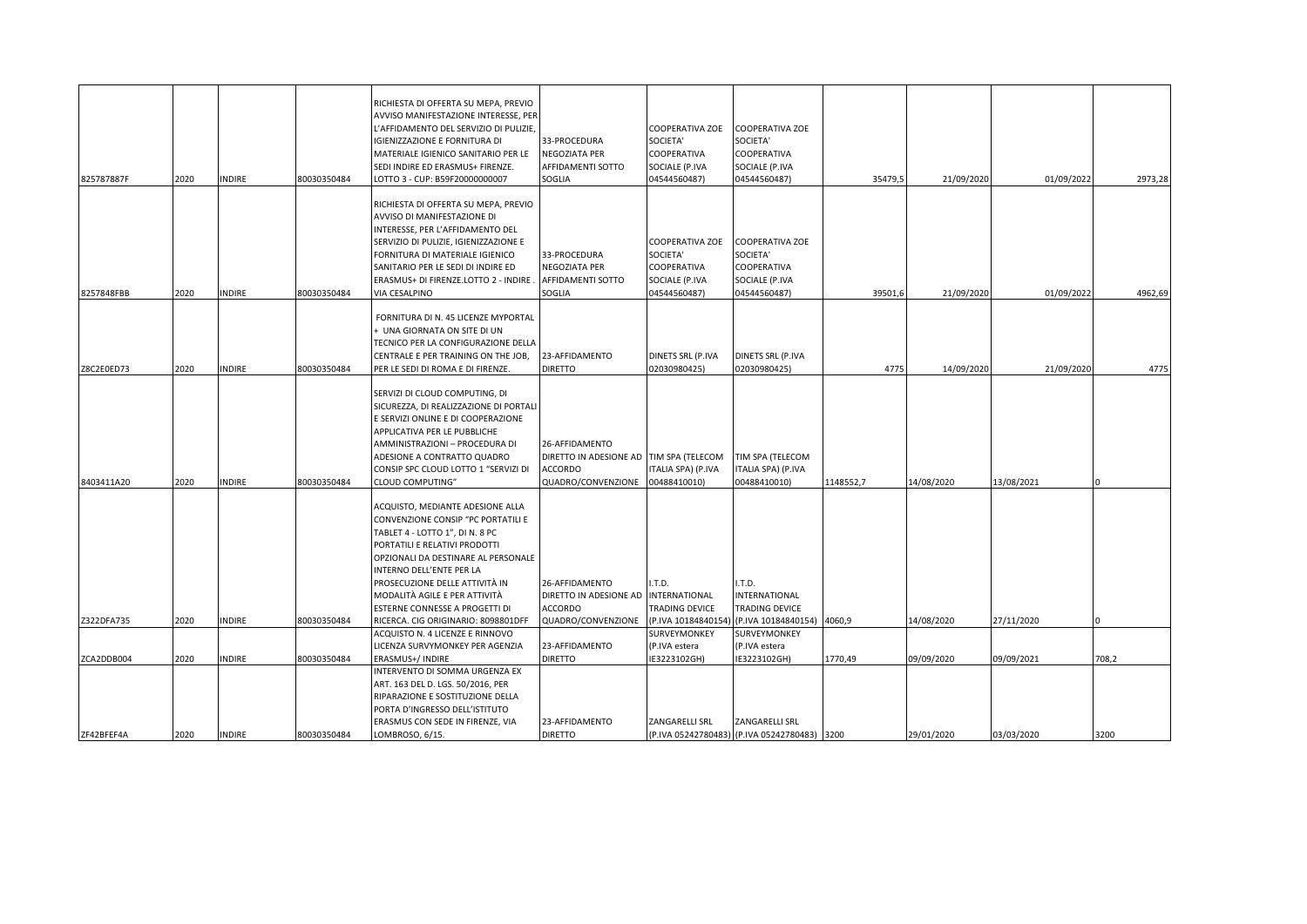| 825787887F               | 2020         | <b>INDIRE</b>                  | 80030350484                | RICHIESTA DI OFFERTA SU MEPA, PREVIO<br>AVVISO MANIFESTAZIONE INTERESSE, PER<br>'AFFIDAMENTO DEL SERVIZIO DI PULIZIE,<br>IGIENIZZAZIONE E FORNITURA DI<br>MATERIALE IGIENICO SANITARIO PER LE<br>SEDI INDIRE ED ERASMUS+ FIRENZE.<br>LOTTO 3 - CUP: B59F20000000007                                                                                       | 33-PROCEDURA<br>NEGOZIATA PER<br>AFFIDAMENTI SOTTO<br>SOGLIA                     | COOPERATIVA ZOE<br>SOCIETA'<br>COOPERATIVA<br>SOCIALE (P.IVA<br>04544560487) | COOPERATIVA ZOE<br>SOCIETA'<br>COOPERATIVA<br>SOCIALE (P.IVA<br>04544560487)        | 35479,5   | 21/09/2020               | 01/09/2022               | 2973,28       |
|--------------------------|--------------|--------------------------------|----------------------------|-----------------------------------------------------------------------------------------------------------------------------------------------------------------------------------------------------------------------------------------------------------------------------------------------------------------------------------------------------------|----------------------------------------------------------------------------------|------------------------------------------------------------------------------|-------------------------------------------------------------------------------------|-----------|--------------------------|--------------------------|---------------|
| 8257848FBB               | 2020         | <b>INDIRE</b>                  | 80030350484                | RICHIESTA DI OFFERTA SU MEPA, PREVIO<br>AVVISO DI MANIFESTAZIONE DI<br>INTERESSE, PER L'AFFIDAMENTO DEL<br>SERVIZIO DI PULIZIE, IGIENIZZAZIONE E<br>FORNITURA DI MATERIALE IGIENICO<br>SANITARIO PER LE SEDI DI INDIRE ED<br>ERASMUS+ DI FIRENZE.LOTTO 2 - INDIRE<br>VIA CESALPINO                                                                        | 33-PROCEDURA<br>NEGOZIATA PER<br>AFFIDAMENTI SOTTO<br>SOGLIA                     | COOPERATIVA ZOE<br>SOCIETA'<br>COOPERATIVA<br>SOCIALE (P.IVA<br>04544560487) | <b>COOPERATIVA ZOE</b><br>SOCIETA'<br>COOPERATIVA<br>SOCIALE (P.IVA<br>04544560487) | 39501,6   | 21/09/2020               | 01/09/2022               | 4962,69       |
| Z8C2E0ED73               | 2020         | <b>INDIRE</b>                  | 80030350484                | FORNITURA DI N. 45 LICENZE MYPORTAL<br>UNA GIORNATA ON SITE DI UN<br>TECNICO PER LA CONFIGURAZIONE DELLA<br>CENTRALE E PER TRAINING ON THE JOB,<br>PER LE SEDI DI ROMA E DI FIRENZE.                                                                                                                                                                      | 23-AFFIDAMENTO<br><b>DIRETTO</b>                                                 | DINETS SRL (P.IVA<br>02030980425)                                            | DINETS SRL (P.IVA<br>02030980425)                                                   | 4775      | 14/09/2020               | 21/09/2020               | 4775          |
| 8403411A20               | 2020         | <b>INDIRE</b>                  | 80030350484                | SERVIZI DI CLOUD COMPUTING, DI<br>SICUREZZA, DI REALIZZAZIONE DI PORTALI<br>E SERVIZI ONLINE E DI COOPERAZIONE<br>APPLICATIVA PER LE PUBBLICHE<br>AMMINISTRAZIONI - PROCEDURA DI<br>ADESIONE A CONTRATTO QUADRO<br>CONSIP SPC CLOUD LOTTO 1 "SERVIZI DI<br>CLOUD COMPUTING"                                                                               | 26-AFFIDAMENTO<br>DIRETTO IN ADESIONE AD<br><b>ACCORDO</b><br>QUADRO/CONVENZIONE | TIM SPA (TELECOM<br><b>TALIA SPA) (P.IVA</b><br>00488410010)                 | TIM SPA (TELECOM<br>ITALIA SPA) (P.IVA<br>00488410010)                              | 1148552,7 | 14/08/2020               | 13/08/2021               |               |
| Z322DFA735               | 2020         | <b>INDIRE</b>                  | 80030350484                | ACQUISTO, MEDIANTE ADESIONE ALLA<br>CONVENZIONE CONSIP "PC PORTATILI E<br>TABLET 4 - LOTTO 1", DI N. 8 PC<br>PORTATILI E RELATIVI PRODOTTI<br>OPZIONALI DA DESTINARE AL PERSONALE<br>INTERNO DELL'ENTE PER LA<br>PROSECUZIONE DELLE ATTIVITÀ IN<br>MODALITÀ AGILE E PER ATTIVITÀ<br>ESTERNE CONNESSE A PROGETTI DI<br>RICERCA. CIG ORIGINARIO: 8098801DFF | 26-AFFIDAMENTO<br>DIRETTO IN ADESIONE AD<br><b>ACCORDO</b><br>QUADRO/CONVENZIONE | I.T.D.<br>INTERNATIONAL<br>TRADING DEVICE<br>(P.IVA 10184840154              | I.T.D.<br><b>INTERNATIONAL</b><br>TRADING DEVICE<br>(P.IVA 10184840154) 4060,9      |           | 14/08/2020               | 27/11/2020               |               |
|                          |              |                                |                            | ACQUISTO N. 4 LICENZE E RINNOVO<br>LICENZA SURVYMONKEY PER AGENZIA                                                                                                                                                                                                                                                                                        | 23-AFFIDAMENTO                                                                   | SURVEYMONKEY<br>(P.IVA estera                                                | SURVEYMONKEY<br>(P.IVA estera                                                       |           |                          |                          |               |
| ZCA2DDB004<br>ZF42BFEF4A | 2020<br>2020 | <b>INDIRE</b><br><b>INDIRE</b> | 80030350484<br>80030350484 | ERASMUS+/ INDIRE<br>INTERVENTO DI SOMMA URGENZA EX<br>ART. 163 DEL D. LGS. 50/2016, PER<br>RIPARAZIONE E SOSTITUZIONE DELLA<br>PORTA D'INGRESSO DELL'ISTITUTO<br>ERASMUS CON SEDE IN FIRENZE, VIA<br>LOMBROSO, 6/15.                                                                                                                                      | <b>DIRETTO</b><br>23-AFFIDAMENTO<br><b>DIRETTO</b>                               | E3223102GH)<br>ZANGARELLI SRL                                                | E3223102GH)<br>ZANGARELLI SRL<br>(P.IVA 05242780483) (P.IVA 05242780483) 3200       | 1770,49   | 09/09/2020<br>29/01/2020 | 09/09/2021<br>03/03/2020 | 708,2<br>3200 |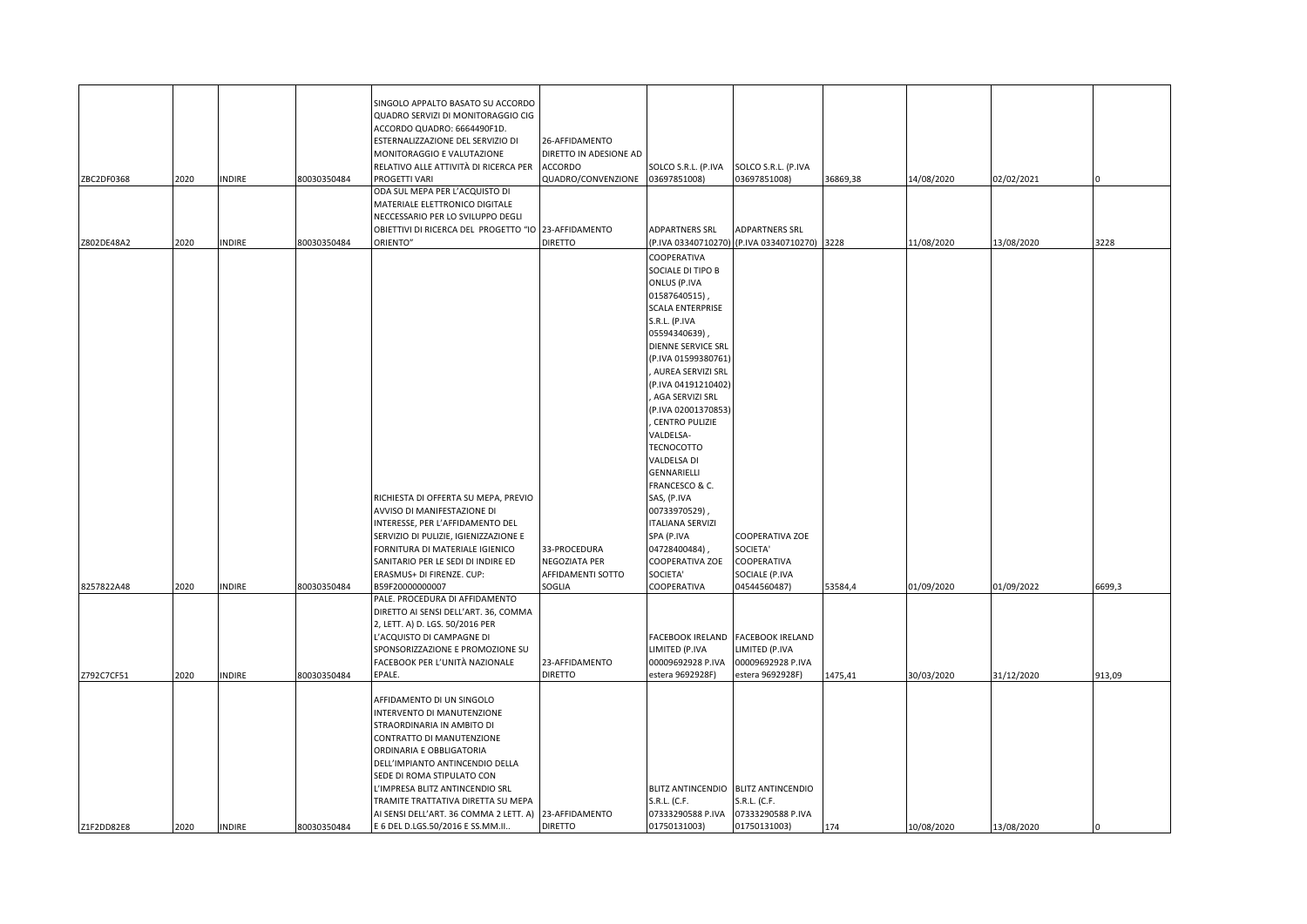| ZBC2DF0368 | 2020 | <b>INDIRE</b> | 80030350484 | SINGOLO APPALTO BASATO SU ACCORDO<br>QUADRO SERVIZI DI MONITORAGGIO CIG<br>ACCORDO QUADRO: 6664490F1D.<br>ESTERNALIZZAZIONE DEL SERVIZIO DI<br>MONITORAGGIO E VALUTAZIONE<br>RELATIVO ALLE ATTIVITÀ DI RICERCA PER<br>PROGETTI VARI<br>ODA SUL MEPA PER L'ACQUISTO DI                                                                                                                  | 26-AFFIDAMENTO<br>DIRETTO IN ADESIONE AD<br><b>ACCORDO</b><br>QUADRO/CONVENZIONE | SOLCO S.R.L. (P.IVA<br>03697851008)                                                                                                                                                                                                                                                                                                                                                                                                                                                                    | SOLCO S.R.L. (P.IVA<br>03697851008)                                                          | 36869,38 | 14/08/2020 | 02/02/2021 |        |
|------------|------|---------------|-------------|----------------------------------------------------------------------------------------------------------------------------------------------------------------------------------------------------------------------------------------------------------------------------------------------------------------------------------------------------------------------------------------|----------------------------------------------------------------------------------|--------------------------------------------------------------------------------------------------------------------------------------------------------------------------------------------------------------------------------------------------------------------------------------------------------------------------------------------------------------------------------------------------------------------------------------------------------------------------------------------------------|----------------------------------------------------------------------------------------------|----------|------------|------------|--------|
| Z802DE48A2 | 2020 | <b>INDIRE</b> | 80030350484 | MATERIALE ELETTRONICO DIGITALE<br>NECCESSARIO PER LO SVILUPPO DEGLI<br>OBIETTIVI DI RICERCA DEL PROGETTO "IO 23-AFFIDAMENTO<br>ORIENTO"                                                                                                                                                                                                                                                | <b>DIRETTO</b>                                                                   | ADPARTNERS SRL                                                                                                                                                                                                                                                                                                                                                                                                                                                                                         | <b>ADPARTNERS SRL</b><br>(P.IVA 03340710270) (P.IVA 03340710270) 3228                        |          | 11/08/2020 | 13/08/2020 | 3228   |
| 8257822A48 | 2020 | <b>INDIRE</b> | 80030350484 | RICHIESTA DI OFFERTA SU MEPA, PREVIO<br>AVVISO DI MANIFESTAZIONE DI<br>INTERESSE, PER L'AFFIDAMENTO DEL<br>SERVIZIO DI PULIZIE, IGIENIZZAZIONE E<br>FORNITURA DI MATERIALE IGIENICO<br>SANITARIO PER LE SEDI DI INDIRE ED<br>ERASMUS+ DI FIRENZE. CUP:<br>B59F20000000007                                                                                                              | 33-PROCEDURA<br><b>NEGOZIATA PER</b><br>AFFIDAMENTI SOTTO<br>SOGLIA              | COOPERATIVA<br>SOCIALE DI TIPO B<br>ONLUS (P.IVA<br>01587640515)<br>SCALA ENTERPRISE<br>S.R.L. (P.IVA<br>05594340639)<br>DIENNE SERVICE SRL<br>(P.IVA 01599380761)<br>, AUREA SERVIZI SRL<br>(P.IVA 04191210402)<br>AGA SERVIZI SRL<br>(P.IVA 02001370853)<br><b>CENTRO PULIZIE</b><br>VALDELSA-<br>TECNOCOTTO<br>VALDELSA DI<br>GENNARIELLI<br>FRANCESCO & C.<br>SAS, (P.IVA<br>00733970529),<br><b>ITALIANA SERVIZI</b><br>SPA (P.IVA<br>04728400484),<br>COOPERATIVA ZOE<br>SOCIETA'<br>COOPERATIVA | <b>COOPERATIVA ZOE</b><br>SOCIETA'<br>COOPERATIVA<br>SOCIALE (P.IVA<br>04544560487)          | 53584,4  | 01/09/2020 | 01/09/2022 | 6699,3 |
| Z792C7CF51 | 2020 | <b>INDIRE</b> | 80030350484 | PALE. PROCEDURA DI AFFIDAMENTO<br>DIRETTO AI SENSI DELL'ART. 36, COMMA<br>2, LETT. A) D. LGS. 50/2016 PER<br>L'ACQUISTO DI CAMPAGNE DI<br>SPONSORIZZAZIONE E PROMOZIONE SU<br>FACEBOOK PER L'UNITÀ NAZIONALE<br>EPALE.                                                                                                                                                                 | 23-AFFIDAMENTO<br><b>DIRETTO</b>                                                 | LIMITED (P.IVA<br>00009692928 P.IVA<br>estera 9692928F)                                                                                                                                                                                                                                                                                                                                                                                                                                                | FACEBOOK IRELAND FACEBOOK IRELAND<br>LIMITED (P.IVA<br>00009692928 P.IVA<br>estera 9692928F) | 1475,41  | 30/03/2020 | 31/12/2020 | 913,09 |
| Z1F2DD82E8 | 2020 | <b>INDIRE</b> | 80030350484 | AFFIDAMENTO DI UN SINGOLO<br>INTERVENTO DI MANUTENZIONE<br>STRAORDINARIA IN AMBITO DI<br>CONTRATTO DI MANUTENZIONE<br>ORDINARIA E OBBLIGATORIA<br>DELL'IMPIANTO ANTINCENDIO DELLA<br>SEDE DI ROMA STIPULATO CON<br>L'IMPRESA BLITZ ANTINCENDIO SRL<br>TRAMITE TRATTATIVA DIRETTA SU MEPA<br>AI SENSI DELL'ART. 36 COMMA 2 LETT. A) 23-AFFIDAMENTO<br>E 6 DEL D.LGS.50/2016 E SS.MM.II. | <b>DIRETTO</b>                                                                   | S.R.L. (C.F.<br>07333290588 P.IVA<br>01750131003)                                                                                                                                                                                                                                                                                                                                                                                                                                                      | BLITZ ANTINCENDIO BLITZ ANTINCENDIO<br>S.R.L. (C.F.<br>07333290588 P.IVA<br>01750131003)     | 174      | 10/08/2020 | 13/08/2020 |        |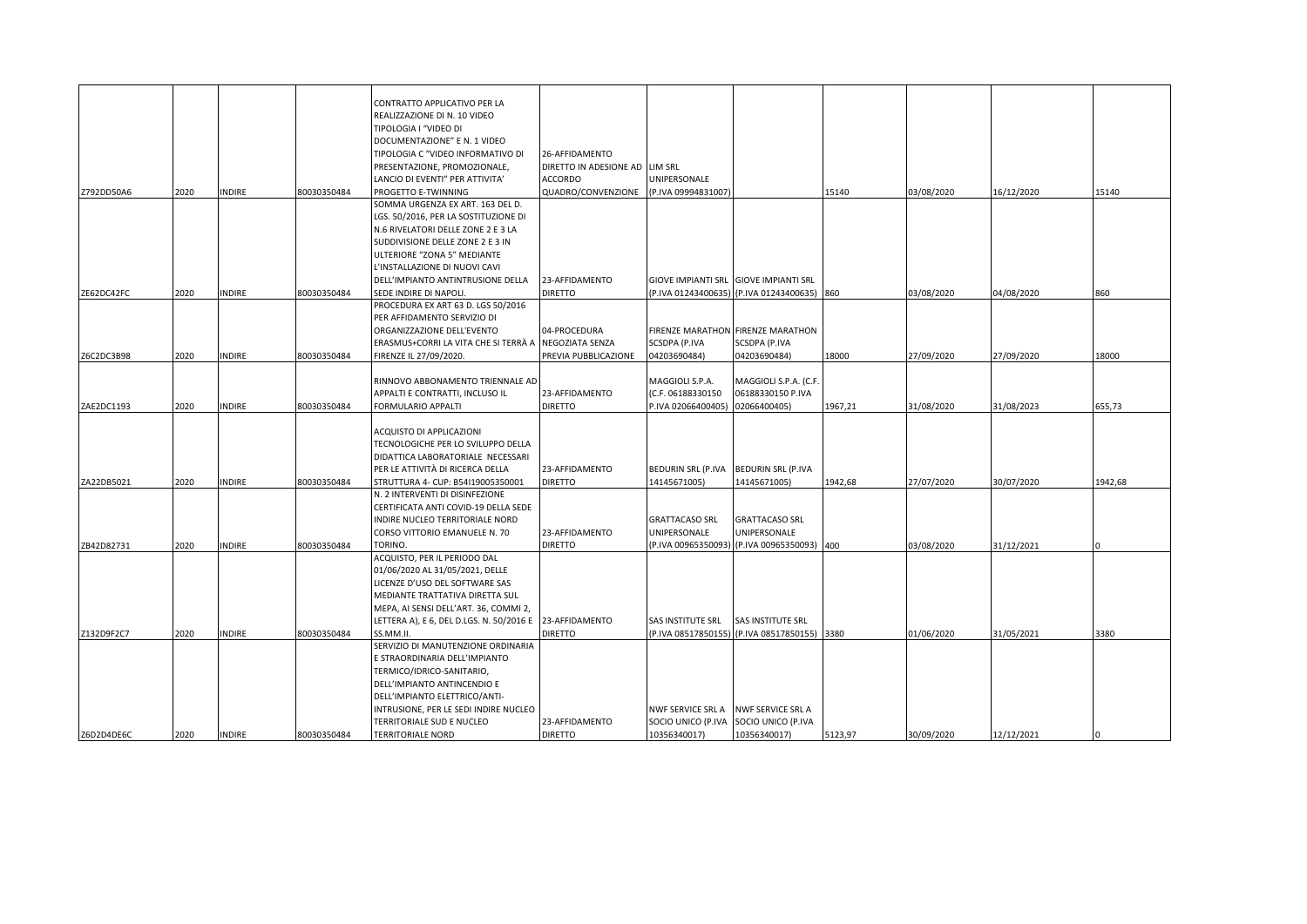|            |      |               |             | CONTRATTO APPLICATIVO PER LA<br>REALIZZAZIONE DI N. 10 VIDEO<br>TIPOLOGIA I "VIDEO DI<br>DOCUMENTAZIONE" E N. 1 VIDEO<br>TIPOLOGIA C "VIDEO INFORMATIVO DI | 26-AFFIDAMENTO                   |                                       |                                             |         |            |            |         |
|------------|------|---------------|-------------|------------------------------------------------------------------------------------------------------------------------------------------------------------|----------------------------------|---------------------------------------|---------------------------------------------|---------|------------|------------|---------|
|            |      |               |             | PRESENTAZIONE, PROMOZIONALE,                                                                                                                               | DIRETTO IN ADESIONE AD LIM SRL   |                                       |                                             |         |            |            |         |
|            |      |               |             | LANCIO DI EVENTI" PER ATTIVITA'                                                                                                                            | <b>ACCORDO</b>                   | UNIPERSONALE<br>(P.IVA 09994831007)   |                                             |         |            |            |         |
| Z792DD50A6 | 2020 | <b>INDIRE</b> | 80030350484 | PROGETTO E-TWINNING<br>SOMMA URGENZA EX ART. 163 DEL D.                                                                                                    | QUADRO/CONVENZIONE               |                                       |                                             | 15140   | 03/08/2020 | 16/12/2020 | 15140   |
|            |      |               |             | LGS. 50/2016, PER LA SOSTITUZIONE DI                                                                                                                       |                                  |                                       |                                             |         |            |            |         |
|            |      |               |             | N.6 RIVELATORI DELLE ZONE 2 E 3 LA                                                                                                                         |                                  |                                       |                                             |         |            |            |         |
|            |      |               |             | SUDDIVISIONE DELLE ZONE 2 E 3 IN                                                                                                                           |                                  |                                       |                                             |         |            |            |         |
|            |      |               |             | ULTERIORE "ZONA 5" MEDIANTE                                                                                                                                |                                  |                                       |                                             |         |            |            |         |
|            |      |               |             | L'INSTALLAZIONE DI NUOVI CAVI                                                                                                                              |                                  |                                       |                                             |         |            |            |         |
|            |      |               |             | DELL'IMPIANTO ANTINTRUSIONE DELLA                                                                                                                          | 23-AFFIDAMENTO                   |                                       | GIOVE IMPIANTI SRL GIOVE IMPIANTI SRL       |         |            |            |         |
| ZE62DC42FC | 2020 | <b>INDIRE</b> | 80030350484 | SEDE INDIRE DI NAPOLI.                                                                                                                                     | <b>DIRETTO</b>                   |                                       | (P.IVA 01243400635) (P.IVA 01243400635) 860 |         | 03/08/2020 | 04/08/2020 | 860     |
|            |      |               |             | PROCEDURA EX ART 63 D. LGS 50/2016                                                                                                                         |                                  |                                       |                                             |         |            |            |         |
|            |      |               |             | PER AFFIDAMENTO SERVIZIO DI                                                                                                                                |                                  |                                       |                                             |         |            |            |         |
|            |      |               |             | ORGANIZZAZIONE DELL'EVENTO                                                                                                                                 | 04-PROCEDURA                     |                                       | FIRENZE MARATHON FIRENZE MARATHON           |         |            |            |         |
|            | 2020 | <b>INDIRE</b> | 80030350484 | ERASMUS+CORRI LA VITA CHE SI TERRÀ A INEGOZIATA SENZA                                                                                                      |                                  | <b>SCSDPA (P.IVA</b>                  | SCSDPA (P.IVA                               |         | 27/09/2020 | 27/09/2020 | 18000   |
| Z6C2DC3B98 |      |               |             | FIRENZE IL 27/09/2020.                                                                                                                                     | PREVIA PUBBLICAZIONE             | 04203690484)                          | 04203690484)                                | 18000   |            |            |         |
|            |      |               |             | RINNOVO ABBONAMENTO TRIENNALE AD                                                                                                                           |                                  | MAGGIOLI S.P.A.                       | MAGGIOLI S.P.A. (C.F.                       |         |            |            |         |
|            |      |               |             | APPALTI E CONTRATTI, INCLUSO IL                                                                                                                            | 23-AFFIDAMENTO                   | (C.F. 06188330150                     | 06188330150 P.IVA                           |         |            |            |         |
| ZAE2DC1193 | 2020 | <b>INDIRE</b> | 80030350484 | FORMULARIO APPALTI                                                                                                                                         | <b>DIRETTO</b>                   | P.IVA 02066400405)                    | 02066400405)                                | 1967,21 | 31/08/2020 | 31/08/2023 | 655.73  |
|            |      |               |             |                                                                                                                                                            |                                  |                                       |                                             |         |            |            |         |
|            |      |               |             | ACQUISTO DI APPLICAZIONI                                                                                                                                   |                                  |                                       |                                             |         |            |            |         |
|            |      |               |             | TECNOLOGICHE PER LO SVILUPPO DELLA                                                                                                                         |                                  |                                       |                                             |         |            |            |         |
|            |      |               |             | DIDATTICA LABORATORIALE NECESSARI                                                                                                                          |                                  |                                       |                                             |         |            |            |         |
|            |      |               |             | PER LE ATTIVITÀ DI RICERCA DELLA                                                                                                                           | 23-AFFIDAMENTO                   | <b>BEDURIN SRL (P.IVA</b>             | <b>BEDURIN SRL (P.IVA</b>                   |         |            |            |         |
| ZA22DB5021 | 2020 | <b>INDIRE</b> | 80030350484 | STRUTTURA 4- CUP: B54119005350001                                                                                                                          | <b>DIRETTO</b>                   | 14145671005)                          | 14145671005)                                | 1942,68 | 27/07/2020 | 30/07/2020 | 1942,68 |
|            |      |               |             | N. 2 INTERVENTI DI DISINFEZIONE                                                                                                                            |                                  |                                       |                                             |         |            |            |         |
|            |      |               |             | CERTIFICATA ANTI COVID-19 DELLA SEDE                                                                                                                       |                                  |                                       |                                             |         |            |            |         |
|            |      |               |             | INDIRE NUCLEO TERRITORIALE NORD<br>CORSO VITTORIO EMANUELE N. 70                                                                                           | 23-AFFIDAMENTO                   | <b>GRATTACASO SRL</b><br>UNIPERSONALE | <b>GRATTACASO SRL</b><br>UNIPERSONALE       |         |            |            |         |
| ZB42D82731 | 2020 | <b>INDIRE</b> | 80030350484 | TORINO.                                                                                                                                                    | <b>DIRETTO</b>                   | (P.IVA 00965350093)                   | (P.IVA 00965350093)                         | 400     | 03/08/2020 | 31/12/2021 |         |
|            |      |               |             | ACQUISTO, PER IL PERIODO DAL                                                                                                                               |                                  |                                       |                                             |         |            |            |         |
|            |      |               |             | 01/06/2020 AL 31/05/2021, DELLE                                                                                                                            |                                  |                                       |                                             |         |            |            |         |
|            |      |               |             | LICENZE D'USO DEL SOFTWARE SAS                                                                                                                             |                                  |                                       |                                             |         |            |            |         |
|            |      |               |             | MEDIANTE TRATTATIVA DIRETTA SUL                                                                                                                            |                                  |                                       |                                             |         |            |            |         |
|            |      |               |             | MEPA, AI SENSI DELL'ART. 36, COMMI 2,                                                                                                                      |                                  |                                       |                                             |         |            |            |         |
|            |      |               |             | LETTERA A), E 6, DEL D.LGS. N. 50/2016 E 23-AFFIDAMENTO                                                                                                    |                                  | SAS INSTITUTE SRL                     | SAS INSTITUTE SRL                           |         |            |            |         |
| Z132D9F2C7 | 2020 | <b>INDIRE</b> | 80030350484 | SS.MM.II                                                                                                                                                   | <b>DIRETTO</b>                   |                                       | (P.IVA 08517850155) (P.IVA 08517850155)     | 3380    | 01/06/2020 | 31/05/2021 | 3380    |
|            |      |               |             | SERVIZIO DI MANUTENZIONE ORDINARIA                                                                                                                         |                                  |                                       |                                             |         |            |            |         |
|            |      |               |             | E STRAORDINARIA DELL'IMPIANTO                                                                                                                              |                                  |                                       |                                             |         |            |            |         |
|            |      |               |             | TERMICO/IDRICO-SANITARIO,                                                                                                                                  |                                  |                                       |                                             |         |            |            |         |
|            |      |               |             | DELL'IMPIANTO ANTINCENDIO E                                                                                                                                |                                  |                                       |                                             |         |            |            |         |
|            |      |               |             | DELL'IMPIANTO ELETTRICO/ANTI-                                                                                                                              |                                  |                                       |                                             |         |            |            |         |
|            |      |               |             | INTRUSIONE, PER LE SEDI INDIRE NUCLEO                                                                                                                      |                                  | NWF SERVICE SRL A                     | NWF SERVICE SRL A                           |         |            |            |         |
| Z6D2D4DE6C | 2020 | <b>INDIRE</b> | 80030350484 | TERRITORIALE SUD E NUCLEO<br><b>TERRITORIALE NORD</b>                                                                                                      | 23-AFFIDAMENTO<br><b>DIRETTO</b> | SOCIO UNICO (P.IVA<br>10356340017)    | SOCIO UNICO (P.IVA<br>10356340017)          | 5123,97 | 30/09/2020 | 12/12/2021 |         |
|            |      |               |             |                                                                                                                                                            |                                  |                                       |                                             |         |            |            |         |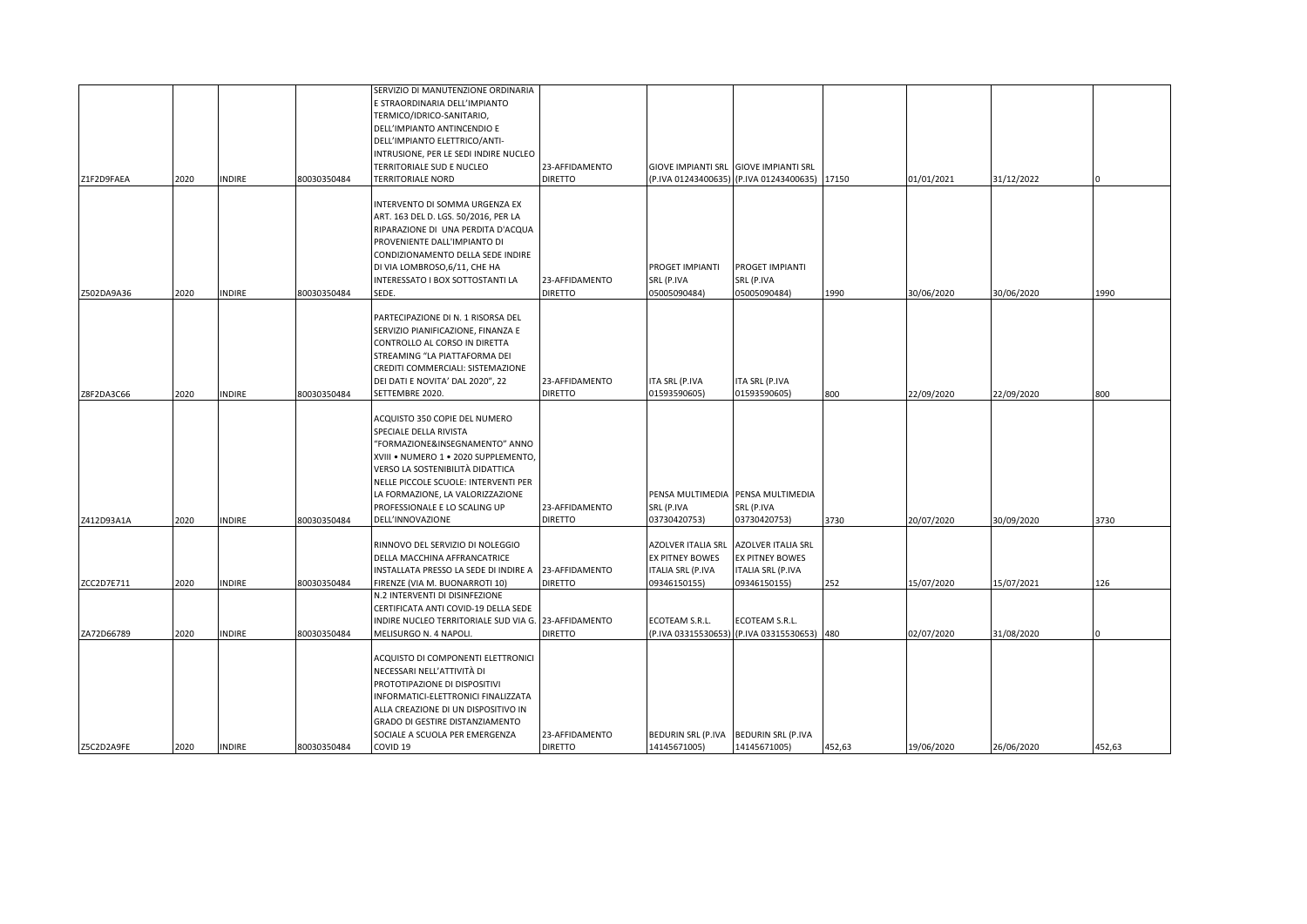| Z1F2D9FAEA | 2020 | <b>INDIRE</b> | 80030350484 | SERVIZIO DI MANUTENZIONE ORDINARIA<br>E STRAORDINARIA DELL'IMPIANTO<br>TERMICO/IDRICO-SANITARIO,<br>DELL'IMPIANTO ANTINCENDIO E<br>DELL'IMPIANTO ELETTRICO/ANTI-<br>INTRUSIONE, PER LE SEDI INDIRE NUCLEO<br>TERRITORIALE SUD E NUCLEO<br>TERRITORIALE NORD                                            | 23-AFFIDAMENTO<br><b>DIRETTO</b> |                                                                                                 | GIOVE IMPIANTI SRL GIOVE IMPIANTI SRL<br>(P.IVA 01243400635) (P.IVA 01243400635)  | 17150  | 01/01/2021 | 31/12/2022 |        |
|------------|------|---------------|-------------|--------------------------------------------------------------------------------------------------------------------------------------------------------------------------------------------------------------------------------------------------------------------------------------------------------|----------------------------------|-------------------------------------------------------------------------------------------------|-----------------------------------------------------------------------------------|--------|------------|------------|--------|
| Z502DA9A36 | 2020 | <b>INDIRE</b> | 80030350484 | INTERVENTO DI SOMMA URGENZA EX<br>ART. 163 DEL D. LGS. 50/2016, PER LA<br>RIPARAZIONE DI UNA PERDITA D'ACQUA<br>PROVENIENTE DALL'IMPIANTO DI<br>CONDIZIONAMENTO DELLA SEDE INDIRE<br>DI VIA LOMBROSO, 6/11, CHE HA<br>INTERESSATO I BOX SOTTOSTANTI LA<br>SEDE.                                        | 23-AFFIDAMENTO<br><b>DIRETTO</b> | <b>PROGET IMPIANTI</b><br>SRL (P.IVA<br>05005090484)                                            | PROGET IMPIANTI<br>SRL (P.IVA<br>05005090484)                                     | 1990   | 30/06/2020 | 30/06/2020 | 1990   |
| Z8F2DA3C66 | 2020 | <b>INDIRE</b> | 80030350484 | PARTECIPAZIONE DI N. 1 RISORSA DEL<br>SERVIZIO PIANIFICAZIONE, FINANZA E<br>CONTROLLO AL CORSO IN DIRETTA<br>STREAMING "LA PIATTAFORMA DEI<br>CREDITI COMMERCIALI: SISTEMAZIONE<br>DEI DATI E NOVITA' DAL 2020", 22<br>SETTEMBRE 2020.                                                                 | 23-AFFIDAMENTO<br><b>DIRETTO</b> | ITA SRL (P.IVA<br>01593590605)                                                                  | ITA SRL (P.IVA<br>01593590605)                                                    | 800    | 22/09/2020 | 22/09/2020 | 800    |
| Z412D93A1A | 2020 | <b>INDIRE</b> | 80030350484 | ACQUISTO 350 COPIE DEL NUMERO<br>SPECIALE DELLA RIVISTA<br>'FORMAZIONE&INSEGNAMENTO" ANNO<br>XVIII . NUMERO 1 . 2020 SUPPLEMENTO,<br>VERSO LA SOSTENIBILITÀ DIDATTICA<br>NELLE PICCOLE SCUOLE: INTERVENTI PER<br>LA FORMAZIONE, LA VALORIZZAZIONE<br>PROFESSIONALE E LO SCALING UP<br>DELL'INNOVAZIONE | 23-AFFIDAMENTO<br><b>DIRETTO</b> | SRL (P.IVA<br>03730420753)                                                                      | PENSA MULTIMEDIA PENSA MULTIMEDIA<br>SRL (P.IVA<br>03730420753)                   | 3730   | 20/07/2020 | 30/09/2020 | 3730   |
| ZCC2D7E711 | 2020 | <b>INDIRE</b> | 80030350484 | RINNOVO DEL SERVIZIO DI NOLEGGIO<br>DELLA MACCHINA AFFRANCATRICE<br>INSTALLATA PRESSO LA SEDE DI INDIRE A<br>FIRENZE (VIA M. BUONARROTI 10)                                                                                                                                                            | 23-AFFIDAMENTO<br><b>DIRETTO</b> | <b>AZOLVER ITALIA SRL</b><br><b>EX PITNEY BOWES</b><br><b>ITALIA SRL (P.IVA</b><br>09346150155) | AZOLVER ITALIA SRL<br>EX PITNEY BOWES<br><b>ITALIA SRL (P.IVA</b><br>09346150155) | 252    | 15/07/2020 | 15/07/2021 | 126    |
| ZA72D66789 | 2020 | <b>INDIRE</b> | 80030350484 | N.2 INTERVENTI DI DISINFEZIONE<br>CERTIFICATA ANTI COVID-19 DELLA SEDE<br>INDIRE NUCLEO TERRITORIALE SUD VIA G. 23-AFFIDAMENTO<br>MELISURGO N. 4 NAPOLI.                                                                                                                                               | <b>DIRETTO</b>                   | ECOTEAM S.R.L.                                                                                  | ECOTEAM S.R.L.<br>(P.IVA 03315530653) (P.IVA 03315530653) 480                     |        | 02/07/2020 | 31/08/2020 |        |
| Z5C2D2A9FE | 2020 | <b>INDIRE</b> | 80030350484 | ACQUISTO DI COMPONENTI ELETTRONICI<br>NECESSARI NELL'ATTIVITÀ DI<br>PROTOTIPAZIONE DI DISPOSITIVI<br>INFORMATICI-ELETTRONICI FINALIZZATA<br>ALLA CREAZIONE DI UN DISPOSITIVO IN<br>GRADO DI GESTIRE DISTANZIAMENTO<br>SOCIALE A SCUOLA PER EMERGENZA<br>COVID 19                                       | 23-AFFIDAMENTO<br><b>DIRETTO</b> | 14145671005)                                                                                    | BEDURIN SRL (P.IVA   BEDURIN SRL (P.IVA<br>14145671005)                           | 452,63 | 19/06/2020 | 26/06/2020 | 452,63 |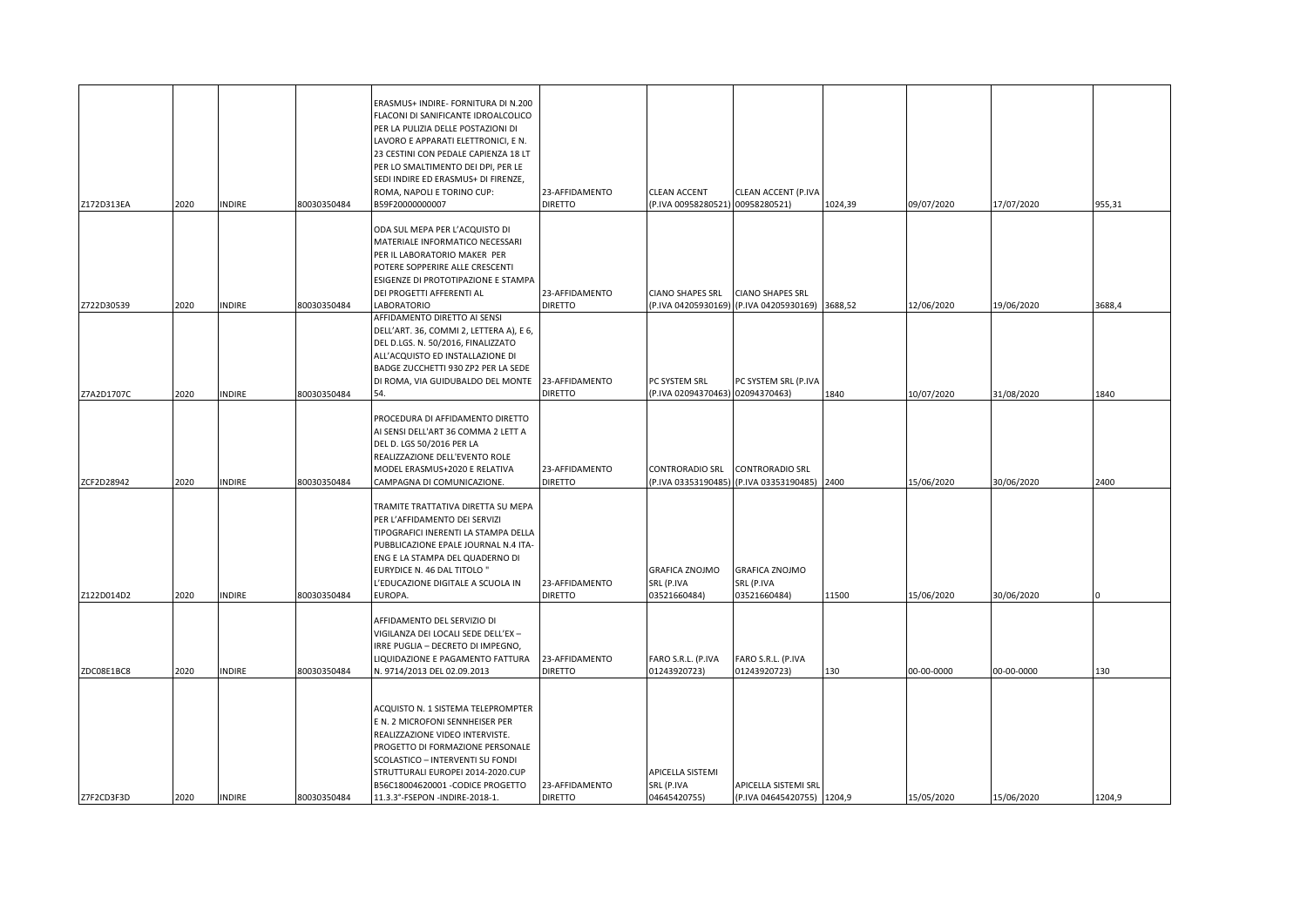| Z172D313EA               | 2020         | <b>INDIRE</b>          | 80030350484                | ERASMUS+ INDIRE- FORNITURA DI N.200<br>FLACONI DI SANIFICANTE IDROALCOLICO<br>PER LA PULIZIA DELLE POSTAZIONI DI<br>LAVORO E APPARATI ELETTRONICI, E N.<br>23 CESTINI CON PEDALE CAPIENZA 18 LT<br>PER LO SMALTIMENTO DEI DPI, PER LE<br>SEDI INDIRE ED ERASMUS+ DI FIRENZE,<br>ROMA, NAPOLI E TORINO CUP:<br>B59F20000000007 | 23-AFFIDAMENTO<br><b>DIRETTO</b>                   | CLEAN ACCENT<br>(P.IVA 00958280521) 00958280521)                           | CLEAN ACCENT (P.IVA                                                        | 1024,39       | 09/07/2020               | 17/07/2020               | 955,31 |
|--------------------------|--------------|------------------------|----------------------------|-------------------------------------------------------------------------------------------------------------------------------------------------------------------------------------------------------------------------------------------------------------------------------------------------------------------------------|----------------------------------------------------|----------------------------------------------------------------------------|----------------------------------------------------------------------------|---------------|--------------------------|--------------------------|--------|
|                          |              |                        |                            | ODA SUL MEPA PER L'ACQUISTO DI<br>MATERIALE INFORMATICO NECESSARI<br>PER IL LABORATORIO MAKER PER<br>POTERE SOPPERIRE ALLE CRESCENTI<br>ESIGENZE DI PROTOTIPAZIONE E STAMPA<br>DEI PROGETTI AFFERENTI AL                                                                                                                      | 23-AFFIDAMENTO                                     | <b>CIANO SHAPES SRL</b>                                                    | <b>CIANO SHAPES SRL</b>                                                    |               |                          |                          |        |
| Z722D30539               | 2020         | <b>INDIRE</b>          | 80030350484                | LABORATORIO<br>AFFIDAMENTO DIRETTO AI SENSI<br>DELL'ART. 36, COMMI 2, LETTERA A), E 6,<br>DEL D.LGS. N. 50/2016, FINALIZZATO<br>ALL'ACQUISTO ED INSTALLAZIONE DI<br>BADGE ZUCCHETTI 930 ZP2 PER LA SEDE<br>DI ROMA, VIA GUIDUBALDO DEL MONTE                                                                                  | <b>DIRETTO</b><br>23-AFFIDAMENTO                   | PC SYSTEM SRL                                                              | (P.IVA 04205930169) (P.IVA 04205930169) 3688,52<br>PC SYSTEM SRL (P.IVA    |               | 12/06/2020               | 19/06/2020               | 3688,4 |
| Z7A2D1707C               | 2020         | <b>NDIRE</b>           | 80030350484                | 54.<br>PROCEDURA DI AFFIDAMENTO DIRETTO<br>AI SENSI DELL'ART 36 COMMA 2 LETT A<br>DEL D. LGS 50/2016 PER LA<br>REALIZZAZIONE DELL'EVENTO ROLE<br>MODEL ERASMUS+2020 E RELATIVA                                                                                                                                                | <b>DIRETTO</b><br>23-AFFIDAMENTO                   | (P.IVA 02094370463) 02094370463)<br>CONTRORADIO SRL                        | CONTRORADIO SRL                                                            | 1840          | 10/07/2020               | 31/08/2020               | 1840   |
| ZCF2D28942<br>Z122D014D2 | 2020<br>2020 | INDIRE<br><b>NDIRE</b> | 80030350484<br>80030350484 | CAMPAGNA DI COMUNICAZIONE.<br>TRAMITE TRATTATIVA DIRETTA SU MEPA<br>PER L'AFFIDAMENTO DEI SERVIZI<br>TIPOGRAFICI INERENTI LA STAMPA DELLA<br>PUBBLICAZIONE EPALE JOURNAL N.4 ITA-<br>ENG E LA STAMPA DEL QUADERNO DI<br>EURYDICE N. 46 DAL TITOLO"<br>L'EDUCAZIONE DIGITALE A SCUOLA IN<br>EUROPA.                            | <b>DIRETTO</b><br>23-AFFIDAMENTO<br><b>DIRETTO</b> | (P.IVA 03353190485)<br><b>GRAFICA ZNOJMO</b><br>SRL (P.IVA<br>03521660484) | (P.IVA 03353190485)<br><b>GRAFICA ZNOJMO</b><br>SRL (P.IVA<br>03521660484) | 2400<br>11500 | 15/06/2020<br>15/06/2020 | 30/06/2020<br>30/06/2020 | 2400   |
| ZDC08E1BC8               | 2020         | <b>INDIRE</b>          | 80030350484                | AFFIDAMENTO DEL SERVIZIO DI<br>VIGILANZA DEI LOCALI SEDE DELL'EX –<br>IRRE PUGLIA - DECRETO DI IMPEGNO,<br>LIQUIDAZIONE E PAGAMENTO FATTURA<br>N. 9714/2013 DEL 02.09.2013                                                                                                                                                    | 23-AFFIDAMENTO<br><b>DIRETTO</b>                   | FARO S.R.L. (P.IVA<br>01243920723)                                         | FARO S.R.L. (P.IVA<br>01243920723)                                         | 130           | 00-00-0000               | 00-00-0000               | 130    |
| Z7F2CD3F3D               | 2020         | <b>INDIRE</b>          | 80030350484                | ACQUISTO N. 1 SISTEMA TELEPROMPTER<br>E N. 2 MICROFONI SENNHEISER PER<br>REALIZZAZIONE VIDEO INTERVISTE.<br>PROGETTO DI FORMAZIONE PERSONALE<br>SCOLASTICO - INTERVENTI SU FONDI<br>STRUTTURALI EUROPEI 2014-2020.CUP<br>B56C18004620001 - CODICE PROGETTO<br>11.3.3°-FSEPON -INDIRE-2018-1.                                  | 23-AFFIDAMENTO<br><b>DIRETTO</b>                   | APICELLA SISTEMI<br>SRL (P.IVA<br>04645420755)                             | APICELLA SISTEMI SRL<br>(P.IVA 04645420755) 1204,9                         |               | 15/05/2020               | 15/06/2020               | 1204.9 |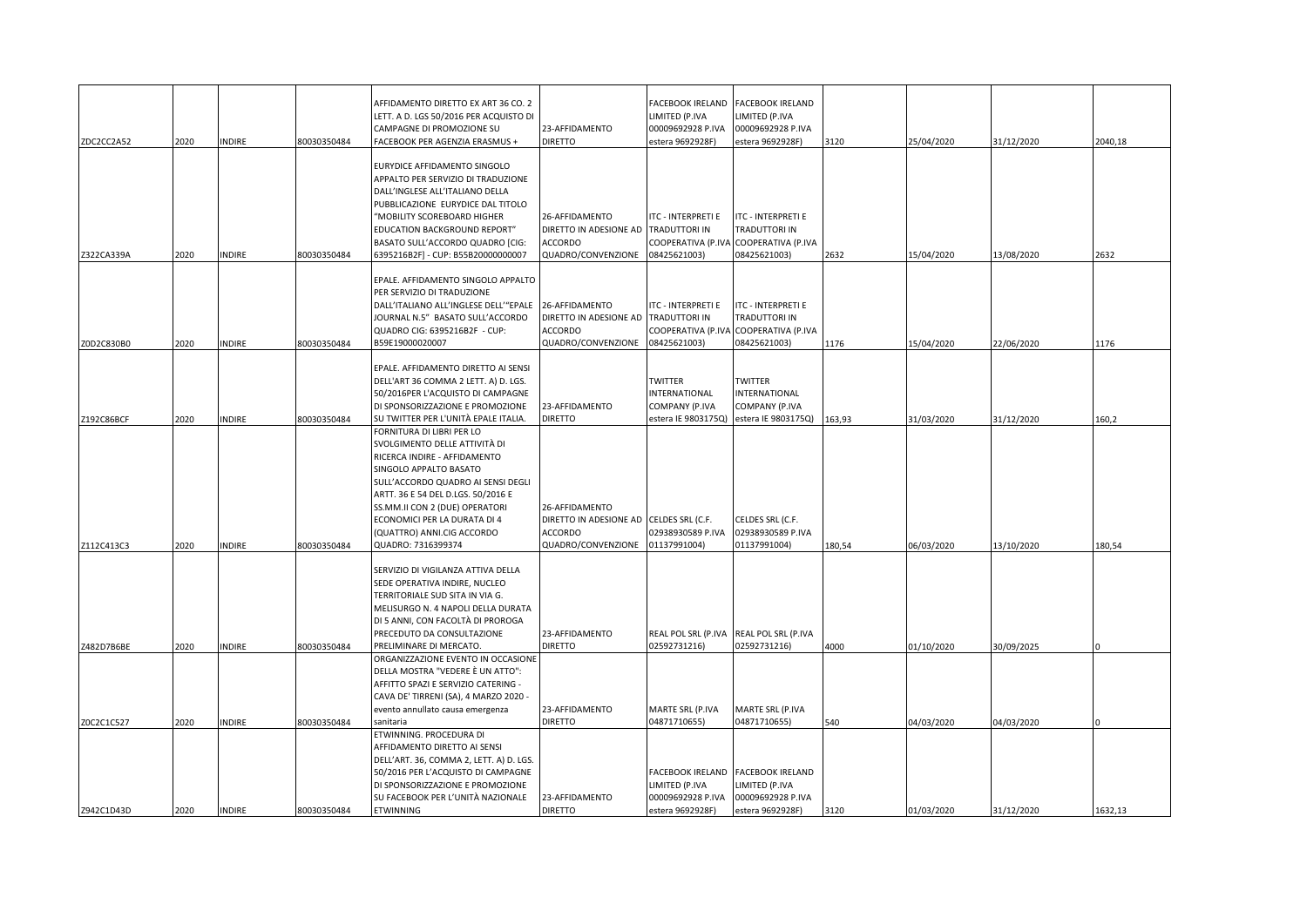| ZDC2CC2A52 | 2020 | <b>INDIRE</b> | 80030350484 | AFFIDAMENTO DIRETTO EX ART 36 CO. 2<br>LETT. A D. LGS 50/2016 PER ACQUISTO DI<br>CAMPAGNE DI PROMOZIONE SU<br>FACEBOOK PER AGENZIA ERASMUS +                                                                                                                                                                           | 23-AFFIDAMENTO<br><b>DIRETTO</b>                                          | FACEBOOK IRELAND<br>LIMITED (P.IVA<br>00009692928 P.IVA<br>estera 9692928F) | FACEBOOK IRELAND<br>LIMITED (P.IVA<br>00009692928 P.IVA<br>estera 9692928F)        | 3120   | 25/04/2020 | 31/12/2020 | 2040,18 |
|------------|------|---------------|-------------|------------------------------------------------------------------------------------------------------------------------------------------------------------------------------------------------------------------------------------------------------------------------------------------------------------------------|---------------------------------------------------------------------------|-----------------------------------------------------------------------------|------------------------------------------------------------------------------------|--------|------------|------------|---------|
| Z322CA339A | 2020 | <b>INDIRE</b> | 80030350484 | EURYDICE AFFIDAMENTO SINGOLO<br>APPALTO PER SERVIZIO DI TRADUZIONE<br>DALL'INGLESE ALL'ITALIANO DELLA<br>PUBBLICAZIONE EURYDICE DAL TITOLO<br>"MOBILITY SCOREBOARD HIGHER<br>EDUCATION BACKGROUND REPORT"<br>BASATO SULL'ACCORDO QUADRO [CIG:<br>6395216B2F] - CUP: B55B20000000007                                    | 26-AFFIDAMENTO<br>DIRETTO IN ADESIONE AD<br>ACCORDO<br>QUADRO/CONVENZIONE | ITC - INTERPRETI E<br>TRADUTTORI IN<br>COOPERATIVA (P.IVA<br>08425621003)   | ITC - INTERPRETI E<br>TRADUTTORI IN<br>COOPERATIVA (P.IVA<br>08425621003)          | 2632   | 15/04/2020 | 13/08/2020 | 2632    |
| Z0D2C830B0 | 2020 | <b>INDIRE</b> | 80030350484 | EPALE. AFFIDAMENTO SINGOLO APPALTO<br>PER SERVIZIO DI TRADUZIONE<br>DALL'ITALIANO ALL'INGLESE DELL'"EPALE<br>JOURNAL N.5" BASATO SULL'ACCORDO<br>QUADRO CIG: 6395216B2F - CUP:<br>B59E19000020007                                                                                                                      | 26-AFFIDAMENTO<br>DIRETTO IN ADESIONE AD<br>ACCORDO<br>QUADRO/CONVENZIONE | ITC - INTERPRETI E<br>TRADUTTORI IN<br>COOPERATIVA (P.IVA<br>08425621003)   | ITC - INTERPRETI E<br>TRADUTTORI IN<br>COOPERATIVA (P.IVA<br>08425621003)          | 1176   | 15/04/2020 | 22/06/2020 | 1176    |
| Z192C86BCF | 2020 | <b>NDIRE</b>  | 80030350484 | EPALE. AFFIDAMENTO DIRETTO AI SENSI<br>DELL'ART 36 COMMA 2 LETT. A) D. LGS.<br>50/2016PER L'ACQUISTO DI CAMPAGNE<br>DI SPONSORIZZAZIONE E PROMOZIONE<br>SU TWITTER PER L'UNITÀ EPALE ITALIA.                                                                                                                           | 23-AFFIDAMENTO<br><b>DIRETTO</b>                                          | TWITTER<br>INTERNATIONAL<br>COMPANY (P.IVA<br>estera IE 9803175Q)           | <b>TWITTER</b><br>INTERNATIONAL<br>COMPANY (P.IVA<br>estera IE 9803175Q)           | 163,93 | 31/03/2020 | 31/12/2020 | 160,2   |
| Z112C413C3 | 2020 | INDIRE        | 80030350484 | FORNITURA DI LIBRI PER LO<br>SVOLGIMENTO DELLE ATTIVITÀ DI<br>RICERCA INDIRE - AFFIDAMENTO<br>SINGOLO APPALTO BASATO<br>SULL'ACCORDO QUADRO AI SENSI DEGLI<br>ARTT. 36 E 54 DEL D.LGS. 50/2016 E<br>SS.MM.II CON 2 (DUE) OPERATORI<br>ECONOMICI PER LA DURATA DI 4<br>(QUATTRO) ANNI.CIG ACCORDO<br>QUADRO: 7316399374 | 26-AFFIDAMENTO<br>DIRETTO IN ADESIONE AD<br>ACCORDO<br>QUADRO/CONVENZIONE | CELDES SRL (C.F.<br>02938930589 P.IVA<br>01137991004)                       | CELDES SRL (C.F.<br>02938930589 P.IVA<br>01137991004)                              | 180,54 | 06/03/2020 | 13/10/2020 | 180,54  |
| Z482D7B6BE | 2020 | <b>INDIRE</b> | 80030350484 | SERVIZIO DI VIGILANZA ATTIVA DELLA<br>SEDE OPERATIVA INDIRE, NUCLEO<br>TERRITORIALE SUD SITA IN VIA G.<br>MELISURGO N. 4 NAPOLI DELLA DURATA<br>DI 5 ANNI, CON FACOLTÀ DI PROROGA<br>PRECEDUTO DA CONSULTAZIONE<br>PRELIMINARE DI MERCATO                                                                              | 23-AFFIDAMENTO<br><b>DIRETTO</b>                                          | REAL POL SRL (P.IVA<br>02592731216)                                         | REAL POL SRL (P.IVA<br>02592731216)                                                | 4000   | 01/10/2020 | 30/09/2025 |         |
| Z0C2C1C527 | 2020 | <b>INDIRE</b> | 80030350484 | ORGANIZZAZIONE EVENTO IN OCCASIONE<br>DELLA MOSTRA "VEDERE È UN ATTO":<br>AFFITTO SPAZI E SERVIZIO CATERING -<br>CAVA DE' TIRRENI (SA), 4 MARZO 2020 -<br>evento annullato causa emergenza<br>sanitaria                                                                                                                | 23-AFFIDAMENTO<br><b>DIRETTO</b>                                          | MARTE SRL (P.IVA<br>04871710655)                                            | MARTE SRL (P.IVA<br>04871710655)                                                   | 540    | 04/03/2020 | 04/03/2020 |         |
| Z942C1D43D | 2020 | <b>INDIRE</b> | 80030350484 | ETWINNING. PROCEDURA DI<br>AFFIDAMENTO DIRETTO AI SENSI<br>DELL'ART. 36, COMMA 2, LETT. A) D. LGS.<br>50/2016 PER L'ACQUISTO DI CAMPAGNE<br>DI SPONSORIZZAZIONE E PROMOZIONE<br>SU FACEBOOK PER L'UNITÀ NAZIONALE<br>ETWINNING                                                                                         | 23-AFFIDAMENTO<br><b>DIRETTO</b>                                          | FACEBOOK IRELAND<br>LIMITED (P.IVA<br>00009692928 P.IVA<br>estera 9692928F) | <b>FACEBOOK IRELAND</b><br>LIMITED (P.IVA<br>00009692928 P.IVA<br>estera 9692928F) | 3120   | 01/03/2020 | 31/12/2020 | 1632,13 |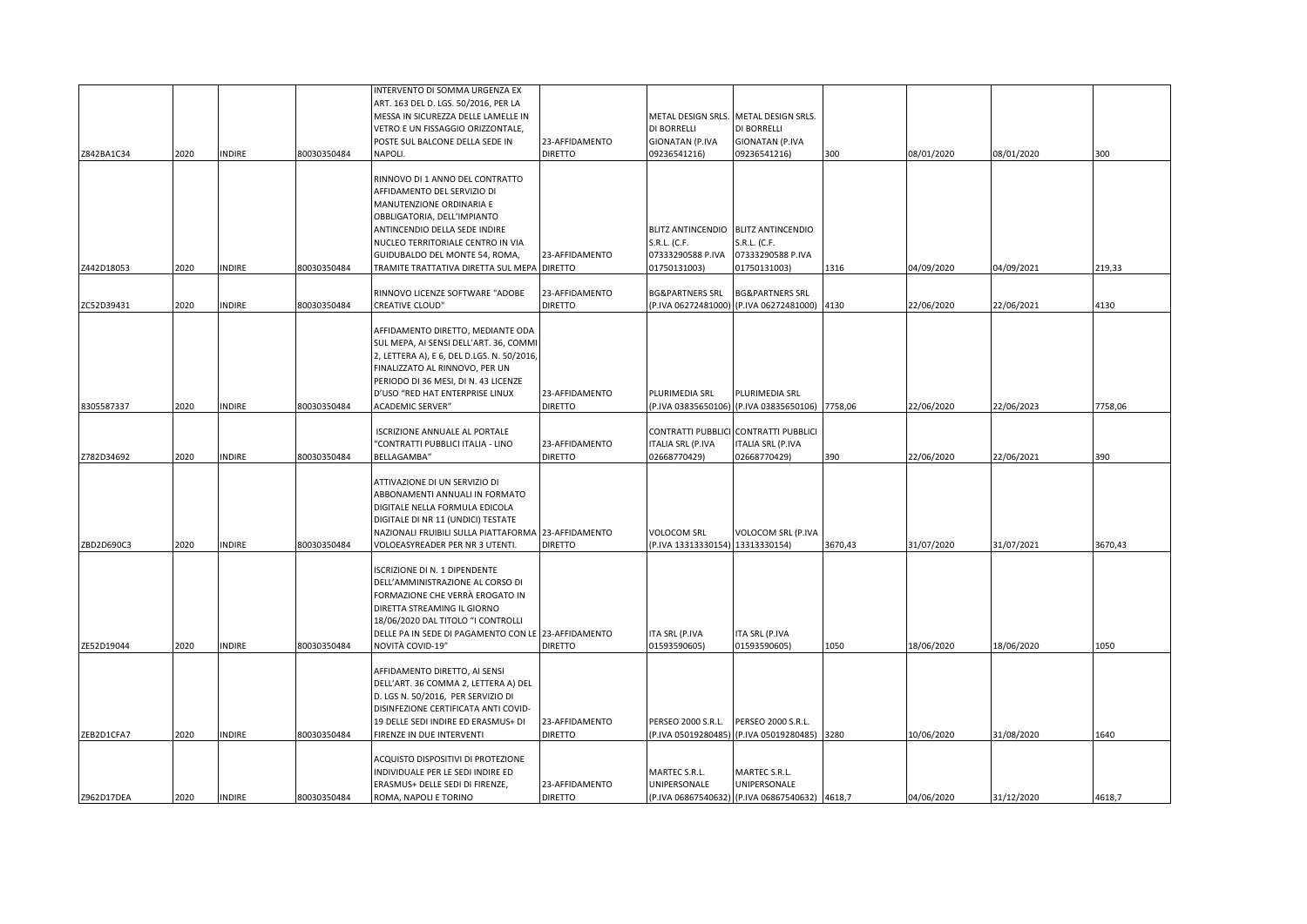|            |      |               |             | INTERVENTO DI SOMMA URGENZA EX                               |                |                                 |                                                |         |            |            |         |
|------------|------|---------------|-------------|--------------------------------------------------------------|----------------|---------------------------------|------------------------------------------------|---------|------------|------------|---------|
|            |      |               |             | ART. 163 DEL D. LGS. 50/2016, PER LA                         |                |                                 |                                                |         |            |            |         |
|            |      |               |             | MESSA IN SICUREZZA DELLE LAMELLE IN                          |                |                                 | METAL DESIGN SRLS. METAL DESIGN SRLS.          |         |            |            |         |
|            |      |               |             | VETRO E UN FISSAGGIO ORIZZONTALE,                            |                | DI BORRELLI                     | DI BORRELLI                                    |         |            |            |         |
|            |      |               |             | POSTE SUL BALCONE DELLA SEDE IN                              | 23-AFFIDAMENTO | <b>GIONATAN (P.IVA</b>          | <b>GIONATAN (P.IVA</b>                         |         |            |            |         |
| Z842BA1C34 | 2020 | <b>INDIRE</b> | 80030350484 | <b>NAPOLI</b>                                                | <b>DIRETTO</b> | 09236541216)                    | 09236541216)                                   | 300     | 08/01/2020 | 08/01/2020 | 300     |
|            |      |               |             |                                                              |                |                                 |                                                |         |            |            |         |
|            |      |               |             | RINNOVO DI 1 ANNO DEL CONTRATTO                              |                |                                 |                                                |         |            |            |         |
|            |      |               |             | AFFIDAMENTO DEL SERVIZIO DI                                  |                |                                 |                                                |         |            |            |         |
|            |      |               |             | MANUTENZIONE ORDINARIA E                                     |                |                                 |                                                |         |            |            |         |
|            |      |               |             | OBBLIGATORIA, DELL'IMPIANTO<br>ANTINCENDIO DELLA SEDE INDIRE |                |                                 | BLITZ ANTINCENDIO BLITZ ANTINCENDIO            |         |            |            |         |
|            |      |               |             | NUCLEO TERRITORIALE CENTRO IN VIA                            |                | S.R.L. (C.F.                    | S.R.L. (C.F.                                   |         |            |            |         |
|            |      |               |             | GUIDUBALDO DEL MONTE 54, ROMA,                               | 23-AFFIDAMENTO | 07333290588 P.IVA               | 07333290588 P.IVA                              |         |            |            |         |
| Z442D18053 | 2020 | <b>INDIRE</b> | 80030350484 | TRAMITE TRATTATIVA DIRETTA SUL MEPA DIRETTO                  |                | 01750131003)                    | 01750131003)                                   | 1316    | 04/09/2020 | 04/09/2021 | 219,33  |
|            |      |               |             |                                                              |                |                                 |                                                |         |            |            |         |
|            |      |               |             | RINNOVO LICENZE SOFTWARE "ADOBE                              | 23-AFFIDAMENTO | <b>BG&amp;PARTNERS SRL</b>      | <b>BG&amp;PARTNERS SRL</b>                     |         |            |            |         |
| ZC52D39431 | 2020 | <b>INDIRE</b> | 80030350484 | CREATIVE CLOUD"                                              | <b>DIRETTO</b> |                                 | P.IVA 06272481000) (P.IVA 06272481000) 4130    |         | 22/06/2020 | 22/06/2021 | 4130    |
|            |      |               |             | AFFIDAMENTO DIRETTO, MEDIANTE ODA                            |                |                                 |                                                |         |            |            |         |
|            |      |               |             | SUL MEPA, AI SENSI DELL'ART. 36, COMMI                       |                |                                 |                                                |         |            |            |         |
|            |      |               |             | 2, LETTERA A), E 6, DEL D.LGS. N. 50/2016,                   |                |                                 |                                                |         |            |            |         |
|            |      |               |             | FINALIZZATO AL RINNOVO, PER UN                               |                |                                 |                                                |         |            |            |         |
|            |      |               |             | PERIODO DI 36 MESI, DI N. 43 LICENZE                         |                |                                 |                                                |         |            |            |         |
|            |      |               |             | D'USO "RED HAT ENTERPRISE LINUX                              | 23-AFFIDAMENTO | PLURIMEDIA SRL                  | PLURIMEDIA SRL                                 |         |            |            |         |
| 8305587337 | 2020 | <b>INDIRE</b> | 80030350484 | ACADEMIC SERVER"                                             | <b>DIRETTO</b> |                                 | P.IVA 03835650106) (P.IVA 03835650106) 7758,06 |         | 22/06/2020 | 22/06/2023 | 7758,06 |
|            |      |               |             | ISCRIZIONE ANNUALE AL PORTALE                                |                |                                 | CONTRATTI PUBBLICI CONTRATTI PUBBLICI          |         |            |            |         |
|            |      |               |             | "CONTRATTI PUBBLICI ITALIA - LINO                            | 23-AFFIDAMENTO | <b>ITALIA SRL (P.IVA</b>        | <b>ITALIA SRL (P.IVA</b>                       |         |            |            |         |
| Z782D34692 | 2020 | <b>INDIRE</b> | 80030350484 | BELLAGAMBA"                                                  | <b>DIRETTO</b> | 02668770429)                    | 02668770429)                                   | 390     | 22/06/2020 | 22/06/2021 | 390     |
|            |      |               |             |                                                              |                |                                 |                                                |         |            |            |         |
|            |      |               |             | ATTIVAZIONE DI UN SERVIZIO DI                                |                |                                 |                                                |         |            |            |         |
|            |      |               |             | ABBONAMENTI ANNUALI IN FORMATO                               |                |                                 |                                                |         |            |            |         |
|            |      |               |             | DIGITALE NELLA FORMULA EDICOLA                               |                |                                 |                                                |         |            |            |         |
|            |      |               |             | DIGITALE DI NR 11 (UNDICI) TESTATE                           |                |                                 |                                                |         |            |            |         |
|            |      |               |             | NAZIONALI FRUIBILI SULLA PIATTAFORMA 23-AFFIDAMENTO          |                | VOLOCOM SRL                     | VOLOCOM SRL (P.IVA                             |         |            |            |         |
| ZBD2D690C3 | 2020 | <b>INDIRE</b> | 80030350484 | VOLOEASYREADER PER NR 3 UTENTI.                              | <b>DIRETTO</b> | P.IVA 13313330154) 13313330154) |                                                | 3670,43 | 31/07/2020 | 31/07/2021 | 3670,43 |
|            |      |               |             | <b>ISCRIZIONE DI N. 1 DIPENDENTE</b>                         |                |                                 |                                                |         |            |            |         |
|            |      |               |             | DELL'AMMINISTRAZIONE AL CORSO DI                             |                |                                 |                                                |         |            |            |         |
|            |      |               |             | FORMAZIONE CHE VERRÀ EROGATO IN                              |                |                                 |                                                |         |            |            |         |
|            |      |               |             | DIRETTA STREAMING IL GIORNO                                  |                |                                 |                                                |         |            |            |         |
|            |      |               |             | 18/06/2020 DAL TITOLO "I CONTROLLI                           |                |                                 |                                                |         |            |            |         |
|            |      |               |             | DELLE PA IN SEDE DI PAGAMENTO CON LE 23-AFFIDAMENTO          |                | ITA SRL (P.IVA                  | ITA SRL (P.IVA                                 |         |            |            |         |
| ZE52D19044 | 2020 | <b>INDIRE</b> | 80030350484 | NOVITÀ COVID-19″                                             | <b>DIRETTO</b> | 01593590605)                    | 01593590605)                                   | 1050    | 18/06/2020 | 18/06/2020 | 1050    |
|            |      |               |             | AFFIDAMENTO DIRETTO, AI SENSI                                |                |                                 |                                                |         |            |            |         |
|            |      |               |             | DELL'ART. 36 COMMA 2, LETTERA A) DEL                         |                |                                 |                                                |         |            |            |         |
|            |      |               |             | D. LGS N. 50/2016, PER SERVIZIO DI                           |                |                                 |                                                |         |            |            |         |
|            |      |               |             | DISINFEZIONE CERTIFICATA ANTI COVID-                         |                |                                 |                                                |         |            |            |         |
|            |      |               |             | 19 DELLE SEDI INDIRE ED ERASMUS+ DI                          | 23-AFFIDAMENTO | PERSEO 2000 S.R.L.              | PERSEO 2000 S.R.L.                             |         |            |            |         |
| ZEB2D1CFA7 | 2020 | <b>INDIRE</b> | 80030350484 | FIRENZE IN DUE INTERVENTI                                    | <b>DIRETTO</b> |                                 | (P.IVA 05019280485) (P.IVA 05019280485) 3280   |         | 10/06/2020 | 31/08/2020 | 1640    |
|            |      |               |             | ACQUISTO DISPOSITIVI DI PROTEZIONE                           |                |                                 |                                                |         |            |            |         |
|            |      |               |             | INDIVIDUALE PER LE SEDI INDIRE ED                            |                | MARTEC S.R.L.                   | MARTEC S.R.L.                                  |         |            |            |         |
|            |      |               |             | ERASMUS+ DELLE SEDI DI FIRENZE,                              | 23-AFFIDAMENTO | UNIPERSONALE                    | UNIPERSONALE                                   |         |            |            |         |
| Z962D17DEA | 2020 | <b>INDIRE</b> | 80030350484 | ROMA, NAPOLI E TORINO                                        | <b>DIRETTO</b> |                                 | (P.IVA 06867540632) (P.IVA 06867540632) 4618,7 |         | 04/06/2020 | 31/12/2020 | 4618,7  |
|            |      |               |             |                                                              |                |                                 |                                                |         |            |            |         |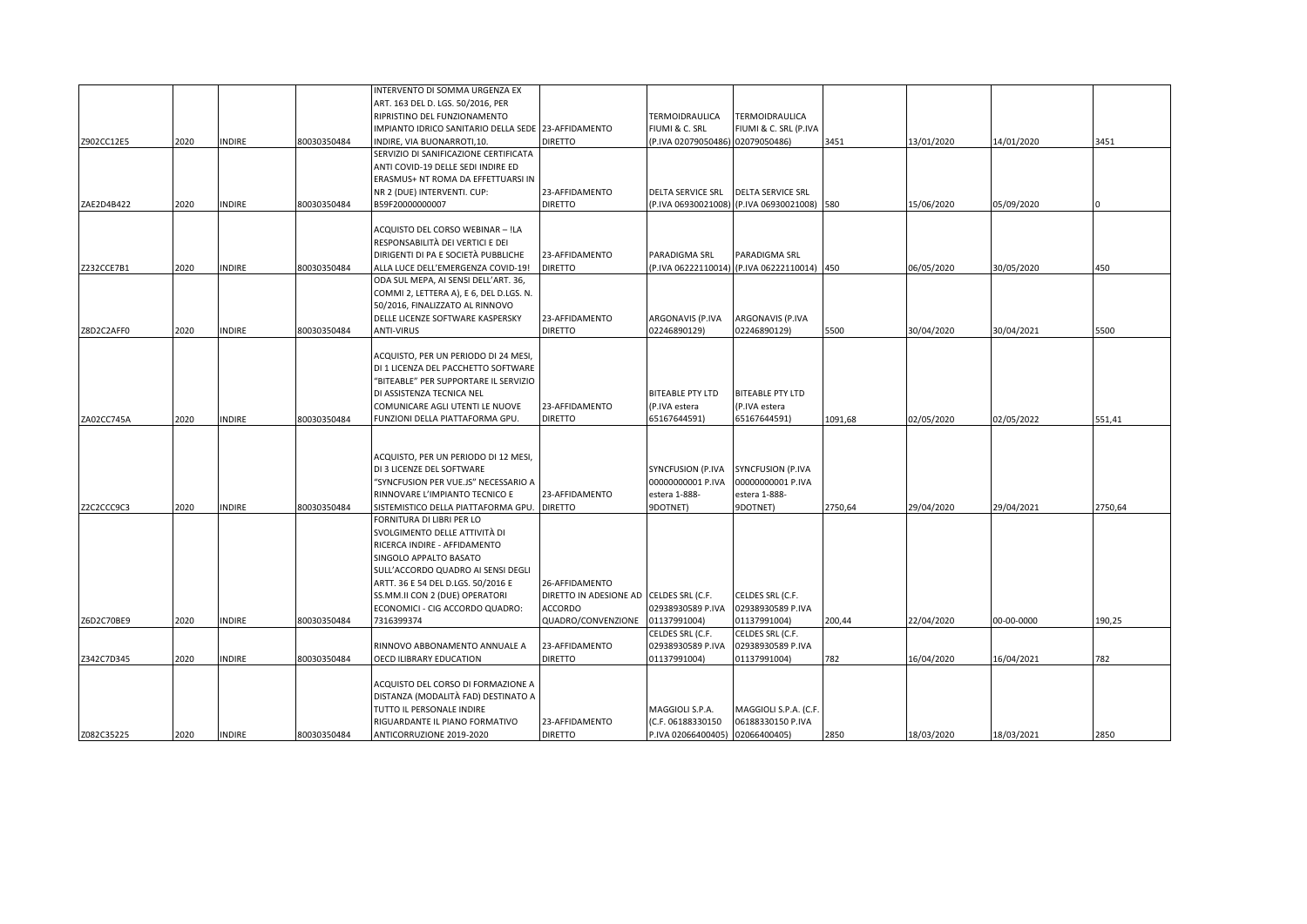| Z902CC12E5 | 2020 | <b>INDIRE</b> | 80030350484 | INTERVENTO DI SOMMA URGENZA EX<br>ART. 163 DEL D. LGS. 50/2016, PER<br>RIPRISTINO DEL FUNZIONAMENTO<br>IMPIANTO IDRICO SANITARIO DELLA SEDE 23-AFFIDAMENTO<br>INDIRE, VIA BUONARROTI,10.                                                                                            | <b>DIRETTO</b>                                                                                    | TERMOIDRAULICA<br>FIUMI & C. SRL<br>(P.IVA 02079050486)             | TERMOIDRAULICA<br>FIUMI & C. SRL (P.IVA<br>02079050486)             | 3451    | 13/01/2020 | 14/01/2020 | 3451    |
|------------|------|---------------|-------------|-------------------------------------------------------------------------------------------------------------------------------------------------------------------------------------------------------------------------------------------------------------------------------------|---------------------------------------------------------------------------------------------------|---------------------------------------------------------------------|---------------------------------------------------------------------|---------|------------|------------|---------|
|            |      |               |             | SERVIZIO DI SANIFICAZIONE CERTIFICATA<br>ANTI COVID-19 DELLE SEDI INDIRE ED<br>ERASMUS+ NT ROMA DA EFFETTUARSI IN<br>NR 2 (DUE) INTERVENTI. CUP:                                                                                                                                    | 23-AFFIDAMENTO                                                                                    | <b>DELTA SERVICE SRL</b>                                            | <b>DELTA SERVICE SRL</b>                                            |         |            |            |         |
| ZAE2D4B422 | 2020 | <b>INDIRE</b> | 80030350484 | B59F20000000007                                                                                                                                                                                                                                                                     | <b>DIRETTO</b>                                                                                    | (P.IVA 06930021008)                                                 | (P.IVA 06930021008) 580                                             |         | 15/06/2020 | 05/09/2020 |         |
| Z232CCE7B1 | 2020 | INDIRE        | 80030350484 | ACQUISTO DEL CORSO WEBINAR - !LA<br>RESPONSABILITÀ DEI VERTICI E DEI<br>DIRIGENTI DI PA E SOCIETÀ PUBBLICHE<br>ALLA LUCE DELL'EMERGENZA COVID-19!                                                                                                                                   | 23-AFFIDAMENTO<br><b>DIRETTO</b>                                                                  | PARADIGMA SRL<br>(P.IVA 06222110014)                                | PARADIGMA SRL<br>(P.IVA 06222110014) 450                            |         | 06/05/2020 | 30/05/2020 | 450     |
| Z8D2C2AFF0 | 2020 | <b>INDIRE</b> | 80030350484 | ODA SUL MEPA, AI SENSI DELL'ART. 36,<br>COMMI 2, LETTERA A), E 6, DEL D.LGS. N.<br>50/2016, FINALIZZATO AL RINNOVO<br>DELLE LICENZE SOFTWARE KASPERSKY<br><b>ANTI-VIRUS</b>                                                                                                         | 23-AFFIDAMENTO<br><b>DIRETTO</b>                                                                  | ARGONAVIS (P.IVA<br>02246890129)                                    | ARGONAVIS (P.IVA<br>02246890129)                                    | 5500    | 30/04/2020 | 30/04/2021 | 5500    |
| ZA02CC745A | 2020 | <b>INDIRE</b> | 80030350484 | ACQUISTO, PER UN PERIODO DI 24 MESI,<br>DI 1 LICENZA DEL PACCHETTO SOFTWARE<br>"BITEABLE" PER SUPPORTARE IL SERVIZIO<br>DI ASSISTENZA TECNICA NEL<br>COMUNICARE AGLI UTENTI LE NUOVE<br>FUNZIONI DELLA PIATTAFORMA GPU.                                                             | 23-AFFIDAMENTO<br><b>DIRETTO</b>                                                                  | <b>BITEABLE PTY LTD</b><br>(P.IVA estera<br>65167644591)            | <b>BITEABLE PTY LTD</b><br>(P.IVA estera<br>65167644591)            | 1091,68 | 02/05/2020 | 02/05/2022 | 551,41  |
| Z2C2CCC9C3 | 2020 | <b>INDIRE</b> | 80030350484 | ACQUISTO, PER UN PERIODO DI 12 MESI,<br>DI 3 LICENZE DEL SOFTWARE<br>"SYNCFUSION PER VUE.JS" NECESSARIO A<br>RINNOVARE L'IMPIANTO TECNICO E<br>SISTEMISTICO DELLA PIATTAFORMA GPU.                                                                                                  | 23-AFFIDAMENTO<br><b>DIRETTO</b>                                                                  | SYNCFUSION (P.IVA<br>00000000001 P.IVA<br>estera 1-888-<br>9DOTNET) | SYNCFUSION (P.IVA<br>00000000001 P.IVA<br>estera 1-888-<br>9DOTNET) | 2750,64 | 29/04/2020 | 29/04/2021 | 2750,64 |
| Z6D2C70BE9 | 2020 | <b>INDIRE</b> | 80030350484 | FORNITURA DI LIBRI PER LO<br>SVOLGIMENTO DELLE ATTIVITÀ DI<br>RICERCA INDIRE - AFFIDAMENTO<br>SINGOLO APPALTO BASATO<br>SULL'ACCORDO QUADRO AI SENSI DEGLI<br>ARTT. 36 E 54 DEL D.LGS. 50/2016 E<br>SS.MM.II CON 2 (DUE) OPERATORI<br>ECONOMICI - CIG ACCORDO QUADRO:<br>7316399374 | 26-AFFIDAMENTO<br>DIRETTO IN ADESIONE AD CELDES SRL (C.F.<br><b>ACCORDO</b><br>QUADRO/CONVENZIONE | 02938930589 P.IVA<br>01137991004)                                   | CELDES SRL (C.F.<br>02938930589 P.IVA<br>01137991004)               | 200,44  | 22/04/2020 | 00-00-0000 | 190,25  |
|            |      |               |             |                                                                                                                                                                                                                                                                                     |                                                                                                   | CELDES SRL (C.F.                                                    | CELDES SRL (C.F.                                                    |         |            |            |         |
| Z342C7D345 | 2020 | <b>INDIRE</b> | 80030350484 | RINNOVO ABBONAMENTO ANNUALE A<br>OECD ILIBRARY EDUCATION                                                                                                                                                                                                                            | 23-AFFIDAMENTO<br><b>DIRETTO</b>                                                                  | 02938930589 P.IVA<br>01137991004)                                   | 02938930589 P.IVA<br>01137991004)                                   | 782     | 16/04/2020 | 16/04/2021 | 782     |
| Z082C35225 | 2020 | <b>INDIRE</b> | 80030350484 | ACQUISTO DEL CORSO DI FORMAZIONE A<br>DISTANZA (MODALITÀ FAD) DESTINATO A<br>TUTTO IL PERSONALE INDIRE<br>RIGUARDANTE IL PIANO FORMATIVO<br>ANTICORRUZIONE 2019-2020                                                                                                                | 23-AFFIDAMENTO<br><b>DIRETTO</b>                                                                  | MAGGIOLI S.P.A.<br>(C.F. 06188330150<br>P.IVA 02066400405)          | MAGGIOLI S.P.A. (C.F.<br>06188330150 P.IVA<br>02066400405)          | 2850    | 18/03/2020 | 18/03/2021 | 2850    |
|            |      |               |             |                                                                                                                                                                                                                                                                                     |                                                                                                   |                                                                     |                                                                     |         |            |            |         |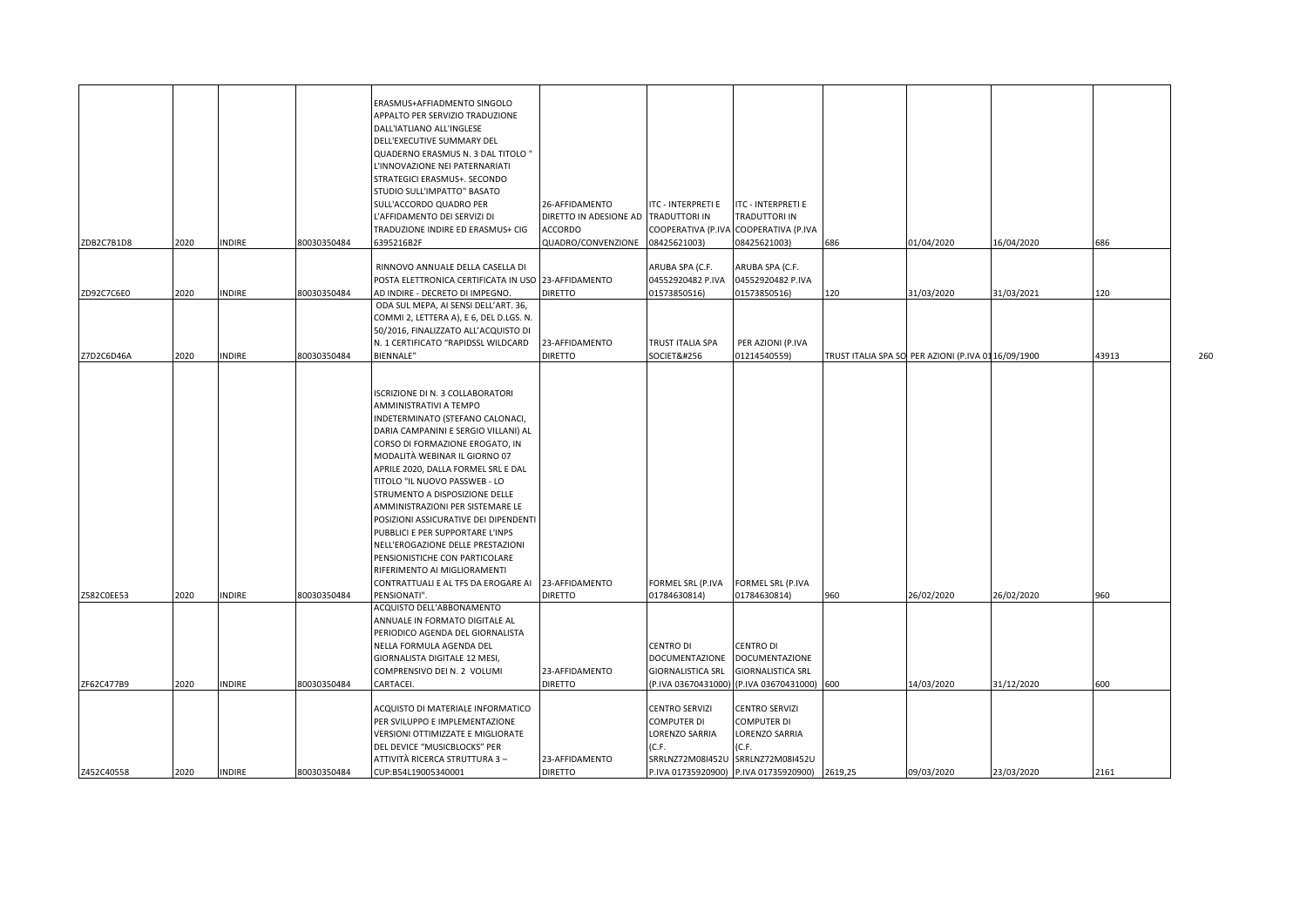| ZDB2C7B1D8 | 2020 | NDIRE         | 80030350484 | ERASMUS+AFFIADMENTO SINGOLO<br>APPALTO PER SERVIZIO TRADUZIONE<br>DALL'IATLIANO ALL'INGLESE<br>DELL'EXECUTIVE SUMMARY DEL<br>QUADERNO ERASMUS N. 3 DAL TITOLO "<br>L'INNOVAZIONE NEI PATERNARIATI<br>STRATEGICI ERASMUS+. SECONDO<br>STUDIO SULL'IMPATTO" BASATO<br>SULL'ACCORDO QUADRO PER<br>L'AFFIDAMENTO DEI SERVIZI DI<br>TRADUZIONE INDIRE ED ERASMUS+ CIG<br>6395216B2F                                                                                                                                                                                                                      | 26-AFFIDAMENTO<br>DIRETTO IN ADESIONE AD<br>ACCORDO<br>QUADRO/CONVENZIONE | ITC - INTERPRETI E<br>TRADUTTORI IN<br>COOPERATIVA (P.IVA<br>08425621003)                         | ITC - INTERPRETI E<br>TRADUTTORI IN<br>COOPERATIVA (P.IVA<br>08425621003)    | 686     | 01/04/2020                                         | 16/04/2020 | 686   |     |
|------------|------|---------------|-------------|-----------------------------------------------------------------------------------------------------------------------------------------------------------------------------------------------------------------------------------------------------------------------------------------------------------------------------------------------------------------------------------------------------------------------------------------------------------------------------------------------------------------------------------------------------------------------------------------------------|---------------------------------------------------------------------------|---------------------------------------------------------------------------------------------------|------------------------------------------------------------------------------|---------|----------------------------------------------------|------------|-------|-----|
|            |      |               |             | RINNOVO ANNUALE DELLA CASELLA DI                                                                                                                                                                                                                                                                                                                                                                                                                                                                                                                                                                    |                                                                           | ARUBA SPA (C.F.                                                                                   | ARUBA SPA (C.F.                                                              |         |                                                    |            |       |     |
|            |      |               |             | POSTA ELETTRONICA CERTIFICATA IN USO 23-AFFIDAMENTO                                                                                                                                                                                                                                                                                                                                                                                                                                                                                                                                                 |                                                                           | 04552920482 P.IVA                                                                                 | 04552920482 P.IVA                                                            |         |                                                    |            |       |     |
| ZD92C7C6E0 | 2020 | INDIRE        | 80030350484 | AD INDIRE - DECRETO DI IMPEGNO.                                                                                                                                                                                                                                                                                                                                                                                                                                                                                                                                                                     | <b>DIRETTO</b>                                                            | 01573850516)                                                                                      | 01573850516)                                                                 | 120     | 31/03/2020                                         | 31/03/2021 | 120   |     |
|            |      |               |             | ODA SUL MEPA, AI SENSI DELL'ART. 36,<br>COMMI 2, LETTERA A), E 6, DEL D.LGS. N.<br>50/2016, FINALIZZATO ALL'ACQUISTO DI<br>N. 1 CERTIFICATO "RAPIDSSL WILDCARD                                                                                                                                                                                                                                                                                                                                                                                                                                      | 23-AFFIDAMENTO                                                            | TRUST ITALIA SPA                                                                                  | PER AZIONI (P.IVA                                                            |         |                                                    |            |       |     |
| Z7D2C6D46A | 2020 | INDIRE        | 80030350484 | <b>BIENNALE"</b>                                                                                                                                                                                                                                                                                                                                                                                                                                                                                                                                                                                    | <b>DIRETTO</b>                                                            | SOCIETĀ                                                                                           | 01214540559)                                                                 |         | TRUST ITALIA SPA SO PER AZIONI (P.IVA 0116/09/1900 |            | 43913 | 260 |
| Z582C0EE53 | 2020 | NDIRE         | 80030350484 | ISCRIZIONE DI N. 3 COLLABORATORI<br>AMMINISTRATIVI A TEMPO<br>INDETERMINATO (STEFANO CALONACI,<br>DARIA CAMPANINI E SERGIO VILLANI) AL<br>CORSO DI FORMAZIONE EROGATO, IN<br>MODALITÀ WEBINAR IL GIORNO 07<br>APRILE 2020, DALLA FORMEL SRL E DAL<br>TITOLO "IL NUOVO PASSWEB - LO<br>STRUMENTO A DISPOSIZIONE DELLE<br>AMMINISTRAZIONI PER SISTEMARE LE<br>POSIZIONI ASSICURATIVE DEI DIPENDENTI<br>PUBBLICI E PER SUPPORTARE L'INPS<br>NELL'EROGAZIONE DELLE PRESTAZIONI<br>PENSIONISTICHE CON PARTICOLARE<br>RIFERIMENTO AI MIGLIORAMENTI<br>CONTRATTUALI E AL TFS DA EROGARE AI<br>PENSIONATI". | 23-AFFIDAMENTO<br><b>DIRETTO</b>                                          | FORMEL SRL (P.IVA<br>01784630814)                                                                 | FORMEL SRL (P.IVA<br>01784630814)                                            | 960     | 26/02/2020                                         | 26/02/2020 | 960   |     |
|            |      |               |             |                                                                                                                                                                                                                                                                                                                                                                                                                                                                                                                                                                                                     |                                                                           |                                                                                                   |                                                                              |         |                                                    |            |       |     |
|            |      |               |             | ACQUISTO DELL'ABBONAMENTO<br>ANNUALE IN FORMATO DIGITALE AL<br>PERIODICO AGENDA DEL GIORNALISTA<br>NELLA FORMULA AGENDA DEL<br>GIORNALISTA DIGITALE 12 MESI,<br>COMPRENSIVO DEI N. 2 VOLUMI                                                                                                                                                                                                                                                                                                                                                                                                         | 23-AFFIDAMENTO                                                            | <b>CENTRO DI</b><br><b>DOCUMENTAZIONE</b><br><b>GIORNALISTICA SRL</b>                             | <b>CENTRO DI</b><br><b>DOCUMENTAZIONE</b><br><b>GIORNALISTICA SRL</b>        |         |                                                    |            |       |     |
| ZF62C477B9 | 2020 | <b>INDIRE</b> | 80030350484 | CARTACEI.                                                                                                                                                                                                                                                                                                                                                                                                                                                                                                                                                                                           | <b>DIRETTO</b>                                                            |                                                                                                   | (P.IVA 03670431000) (P.IVA 03670431000)                                      | 600     | 14/03/2020                                         | 31/12/2020 | 600   |     |
|            |      |               |             | ACQUISTO DI MATERIALE INFORMATICO<br>PER SVILUPPO E IMPLEMENTAZIONE<br>VERSIONI OTTIMIZZATE E MIGLIORATE<br>DEL DEVICE "MUSICBLOCKS" PER<br>ATTIVITÀ RICERCA STRUTTURA 3-                                                                                                                                                                                                                                                                                                                                                                                                                           | 23-AFFIDAMENTO                                                            | <b>CENTRO SERVIZI</b><br><b>COMPUTER DI</b><br><b>LORENZO SARRIA</b><br>(C.F.<br>SRRLNZ72M08I452U | CENTRO SERVIZI<br>COMPUTER DI<br>LORENZO SARRIA<br>(C.F.<br>SRRLNZ72M08I452U |         |                                                    |            |       |     |
| Z452C40558 | 2020 | INDIRE        | 80030350484 | CUP:B54L19005340001                                                                                                                                                                                                                                                                                                                                                                                                                                                                                                                                                                                 | <b>DIRETTO</b>                                                            | P.IVA 01735920900)                                                                                | P.IVA 01735920900)                                                           | 2619,25 | 09/03/2020                                         | 23/03/2020 | 2161  |     |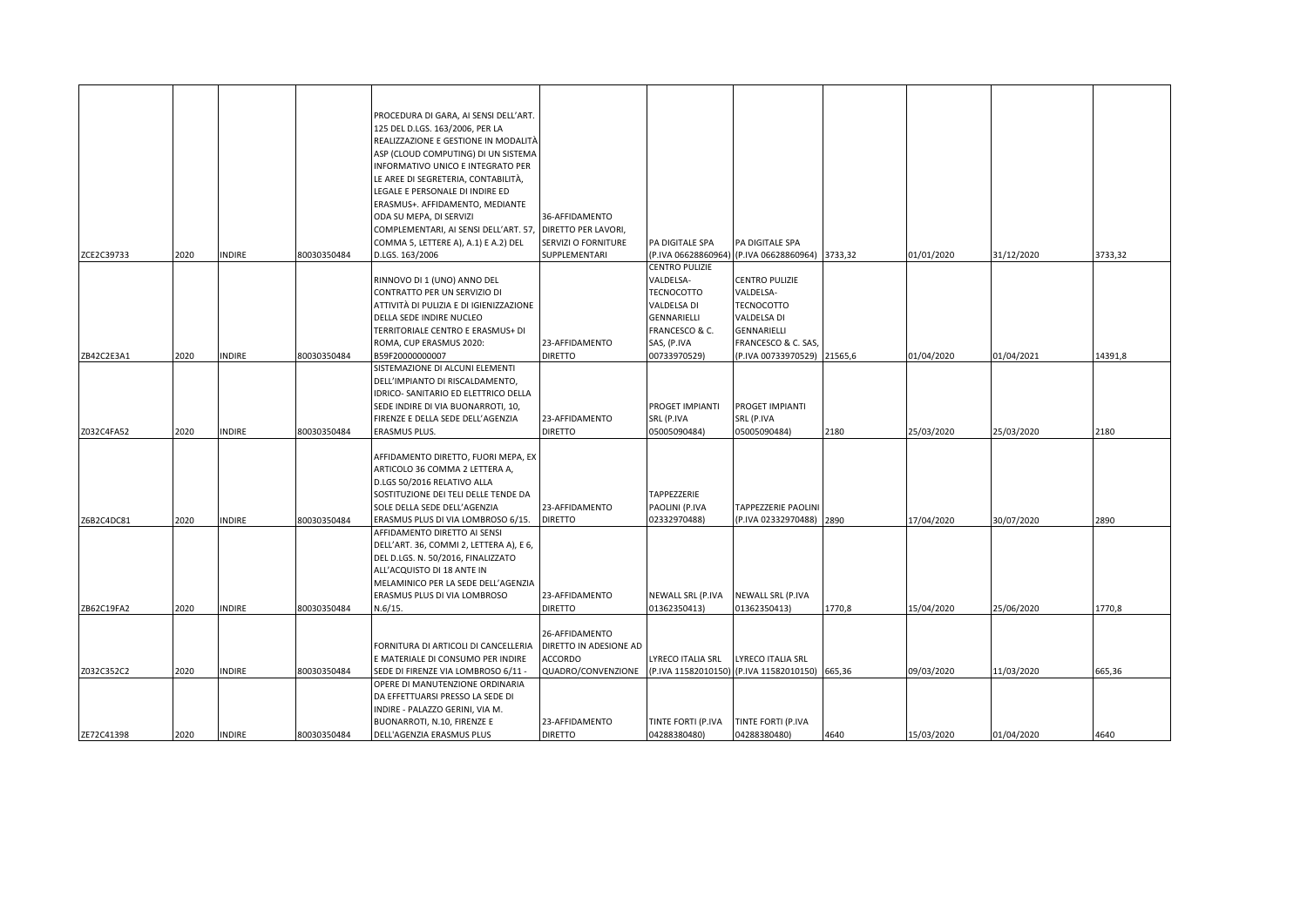|            |      |               |             | PROCEDURA DI GARA, AI SENSI DELL'ART.                         |                        |                     |                                                |         |            |            |         |
|------------|------|---------------|-------------|---------------------------------------------------------------|------------------------|---------------------|------------------------------------------------|---------|------------|------------|---------|
|            |      |               |             | 125 DEL D.LGS. 163/2006, PER LA                               |                        |                     |                                                |         |            |            |         |
|            |      |               |             | REALIZZAZIONE E GESTIONE IN MODALITÀ                          |                        |                     |                                                |         |            |            |         |
|            |      |               |             | ASP (CLOUD COMPUTING) DI UN SISTEMA                           |                        |                     |                                                |         |            |            |         |
|            |      |               |             | INFORMATIVO UNICO E INTEGRATO PER                             |                        |                     |                                                |         |            |            |         |
|            |      |               |             | LE AREE DI SEGRETERIA, CONTABILITÀ,                           |                        |                     |                                                |         |            |            |         |
|            |      |               |             | LEGALE E PERSONALE DI INDIRE ED                               |                        |                     |                                                |         |            |            |         |
|            |      |               |             | ERASMUS+. AFFIDAMENTO, MEDIANTE                               |                        |                     |                                                |         |            |            |         |
|            |      |               |             | ODA SU MEPA, DI SERVIZI                                       | 36-AFFIDAMENTO         |                     |                                                |         |            |            |         |
|            |      |               |             | COMPLEMENTARI, AI SENSI DELL'ART. 57                          | DIRETTO PER LAVORI,    |                     |                                                |         |            |            |         |
|            |      |               |             | COMMA 5, LETTERE A), A.1) E A.2) DEL                          | SERVIZI O FORNITURE    | PA DIGITALE SPA     | PA DIGITALE SPA                                |         |            |            |         |
| ZCE2C39733 | 2020 | <b>INDIRE</b> | 80030350484 | D.LGS. 163/2006                                               | SUPPLEMENTARI          | (P.IVA 06628860964) | (P.IVA 06628860964)                            | 3733,32 | 01/01/2020 | 31/12/2020 | 3733,32 |
|            |      |               |             |                                                               |                        | CENTRO PULIZIE      |                                                |         |            |            |         |
|            |      |               |             | RINNOVO DI 1 (UNO) ANNO DEL                                   |                        | VALDELSA-           | <b>CENTRO PULIZIE</b>                          |         |            |            |         |
|            |      |               |             | CONTRATTO PER UN SERVIZIO DI                                  |                        | TECNOCOTTO          | VALDELSA-                                      |         |            |            |         |
|            |      |               |             | ATTIVITÀ DI PULIZIA E DI IGIENIZZAZIONE                       |                        | VALDELSA DI         | <b>TECNOCOTTO</b>                              |         |            |            |         |
|            |      |               |             | DELLA SEDE INDIRE NUCLEO                                      |                        | GENNARIELLI         | VALDELSA DI                                    |         |            |            |         |
|            |      |               |             | TERRITORIALE CENTRO E ERASMUS+ DI                             |                        | FRANCESCO & C.      | GENNARIELLI                                    |         |            |            |         |
|            |      |               |             | ROMA, CUP ERASMUS 2020:                                       | 23-AFFIDAMENTO         | SAS, (P.IVA         | FRANCESCO & C. SAS,                            |         |            |            |         |
| ZB42C2E3A1 | 2020 | <b>INDIRE</b> | 80030350484 | B59F20000000007                                               | <b>DIRETTO</b>         | 00733970529)        | (P.IVA 00733970529) 21565,6                    |         | 01/04/2020 | 01/04/2021 | 14391,8 |
|            |      |               |             | SISTEMAZIONE DI ALCUNI ELEMENTI                               |                        |                     |                                                |         |            |            |         |
|            |      |               |             | DELL'IMPIANTO DI RISCALDAMENTO,                               |                        |                     |                                                |         |            |            |         |
|            |      |               |             | IDRICO- SANITARIO ED ELETTRICO DELLA                          |                        |                     |                                                |         |            |            |         |
|            |      |               |             | SEDE INDIRE DI VIA BUONARROTI, 10,                            |                        | PROGET IMPIANTI     | PROGET IMPIANTI                                |         |            |            |         |
|            |      |               |             | FIRENZE E DELLA SEDE DELL'AGENZIA                             | 23-AFFIDAMENTO         | SRL (P.IVA          | SRL (P.IVA                                     |         |            |            |         |
| Z032C4FA52 | 2020 | <b>INDIRE</b> | 80030350484 | ERASMUS PLUS.                                                 | <b>DIRETTO</b>         | 05005090484)        | 05005090484)                                   | 2180    | 25/03/2020 | 25/03/2020 | 2180    |
|            |      |               |             |                                                               |                        |                     |                                                |         |            |            |         |
|            |      |               |             | AFFIDAMENTO DIRETTO, FUORI MEPA, EX                           |                        |                     |                                                |         |            |            |         |
|            |      |               |             | ARTICOLO 36 COMMA 2 LETTERA A,<br>D.LGS 50/2016 RELATIVO ALLA |                        |                     |                                                |         |            |            |         |
|            |      |               |             | SOSTITUZIONE DEI TELI DELLE TENDE DA                          |                        | TAPPEZZERIE         |                                                |         |            |            |         |
|            |      |               |             | SOLE DELLA SEDE DELL'AGENZIA                                  | 23-AFFIDAMENTO         | PAOLINI (P.IVA      | <b>TAPPEZZERIE PAOLINI</b>                     |         |            |            |         |
| Z6B2C4DC81 | 2020 | <b>INDIRE</b> | 80030350484 | ERASMUS PLUS DI VIA LOMBROSO 6/15.                            | <b>DIRETTO</b>         | 02332970488)        | (P.IVA 02332970488)                            | 2890    | 17/04/2020 | 30/07/2020 | 2890    |
|            |      |               |             | AFFIDAMENTO DIRETTO AI SENSI                                  |                        |                     |                                                |         |            |            |         |
|            |      |               |             | DELL'ART. 36, COMMI 2, LETTERA A), E 6,                       |                        |                     |                                                |         |            |            |         |
|            |      |               |             | DEL D.LGS. N. 50/2016, FINALIZZATO                            |                        |                     |                                                |         |            |            |         |
|            |      |               |             | ALL'ACQUISTO DI 18 ANTE IN                                    |                        |                     |                                                |         |            |            |         |
|            |      |               |             | MELAMINICO PER LA SEDE DELL'AGENZIA                           |                        |                     |                                                |         |            |            |         |
|            |      |               |             | ERASMUS PLUS DI VIA LOMBROSO                                  | 23-AFFIDAMENTO         | NEWALL SRL (P.IVA   | NEWALL SRL (P.IVA                              |         |            |            |         |
| ZB62C19FA2 | 2020 | <b>INDIRE</b> | 80030350484 | N.6/15.                                                       | <b>DIRETTO</b>         | 01362350413)        | 01362350413)                                   | 1770,8  | 15/04/2020 | 25/06/2020 | 1770,8  |
|            |      |               |             |                                                               |                        |                     |                                                |         |            |            |         |
|            |      |               |             |                                                               | 26-AFFIDAMENTO         |                     |                                                |         |            |            |         |
|            |      |               |             | FORNITURA DI ARTICOLI DI CANCELLERIA                          | DIRETTO IN ADESIONE AD |                     |                                                |         |            |            |         |
|            |      |               |             | E MATERIALE DI CONSUMO PER INDIRE                             | <b>ACCORDO</b>         | LYRECO ITALIA SRL   | LYRECO ITALIA SRL                              |         |            |            |         |
| Z032C352C2 | 2020 | <b>INDIRE</b> | 80030350484 | SEDE DI FIRENZE VIA LOMBROSO 6/11 -                           | QUADRO/CONVENZIONE     |                     | (P.IVA 11582010150) (P.IVA 11582010150) 665,36 |         | 09/03/2020 | 11/03/2020 | 665,36  |
|            |      |               |             | OPERE DI MANUTENZIONE ORDINARIA                               |                        |                     |                                                |         |            |            |         |
|            |      |               |             | DA EFFETTUARSI PRESSO LA SEDE DI                              |                        |                     |                                                |         |            |            |         |
|            |      |               |             | INDIRE - PALAZZO GERINI, VIA M.                               |                        |                     |                                                |         |            |            |         |
|            |      |               |             | BUONARROTI, N.10, FIRENZE E                                   | 23-AFFIDAMENTO         | TINTE FORTI (P.IVA  | TINTE FORTI (P.IVA                             |         |            |            |         |
| ZE72C41398 | 2020 | <b>INDIRE</b> | 80030350484 | DELL'AGENZIA ERASMUS PLUS                                     | <b>DIRETTO</b>         | 04288380480)        | 04288380480)                                   | 4640    | 15/03/2020 | 01/04/2020 | 4640    |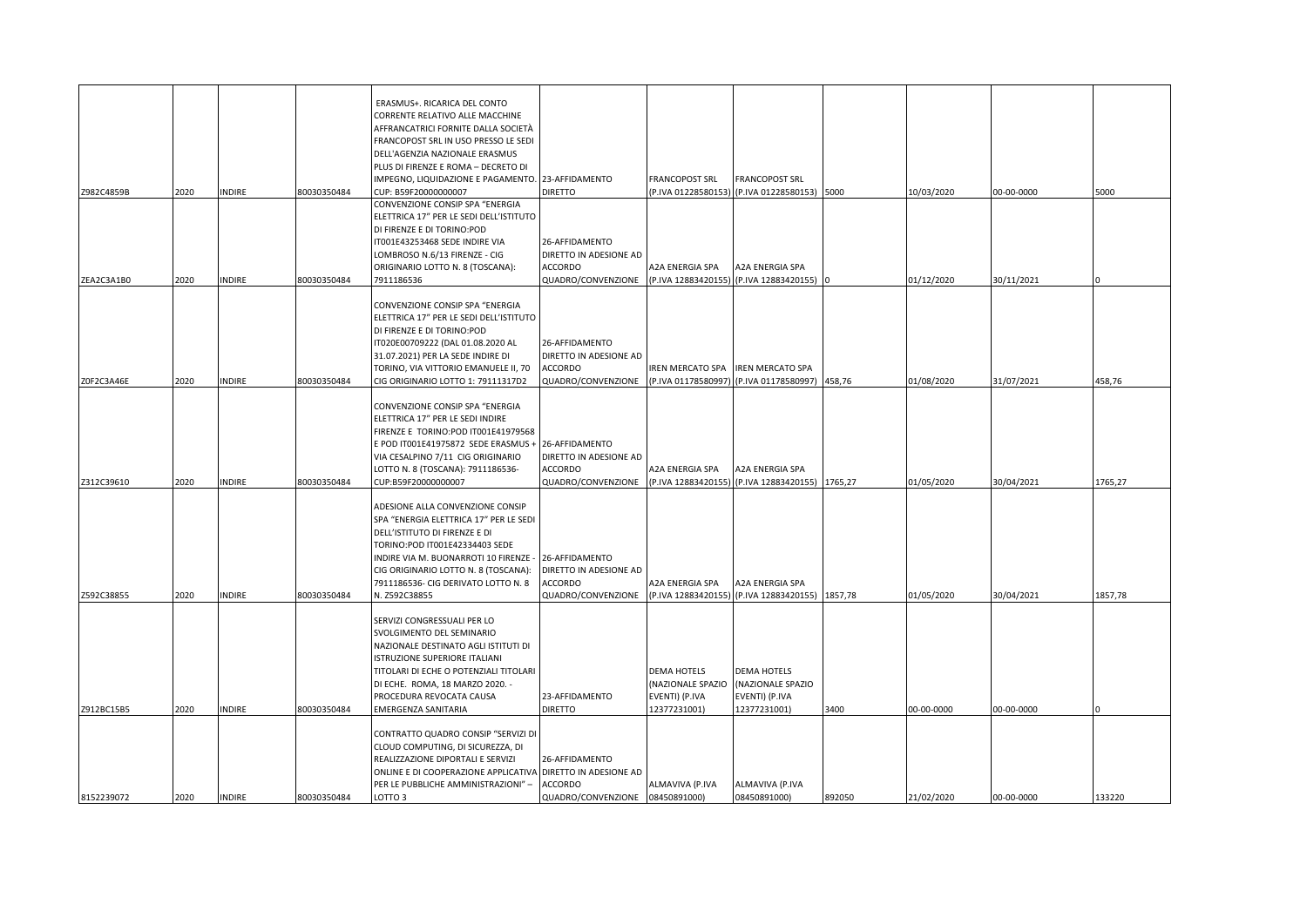| Z982C4859B | 2020 | <b>INDIRE</b> | 80030350484 | ERASMUS+. RICARICA DEL CONTO<br>CORRENTE RELATIVO ALLE MACCHINE<br>AFFRANCATRICI FORNITE DALLA SOCIETÀ<br>FRANCOPOST SRL IN USO PRESSO LE SEDI<br>DELL'AGENZIA NAZIONALE ERASMUS<br>PLUS DI FIRENZE E ROMA - DECRETO DI<br>IMPEGNO, LIQUIDAZIONE E PAGAMENTO. 23-AFFIDAMENTO<br>CUP: B59F20000000007 | DIRETTO                                                                                       | FRANCOPOST SRL                                                            | <b>FRANCOPOST SRL</b><br>(P.IVA 01228580153) (P.IVA 01228580153) 5000     |         | 10/03/2020 | 00-00-0000 | 5000    |
|------------|------|---------------|-------------|------------------------------------------------------------------------------------------------------------------------------------------------------------------------------------------------------------------------------------------------------------------------------------------------------|-----------------------------------------------------------------------------------------------|---------------------------------------------------------------------------|---------------------------------------------------------------------------|---------|------------|------------|---------|
| ZEA2C3A1B0 | 2020 | <b>INDIRE</b> | 80030350484 | CONVENZIONE CONSIP SPA "ENERGIA<br>ELETTRICA 17" PER LE SEDI DELL'ISTITUTO<br>DI FIRENZE E DI TORINO:POD<br>T001E43253468 SEDE INDIRE VIA<br>LOMBROSO N.6/13 FIRENZE - CIG<br>ORIGINARIO LOTTO N. 8 (TOSCANA):<br>7911186536                                                                         | 26-AFFIDAMENTO<br>DIRETTO IN ADESIONE AD<br>ACCORDO<br>QUADRO/CONVENZIONE                     | A2A ENERGIA SPA                                                           | A2A ENERGIA SPA<br>(P.IVA 12883420155) (P.IVA 12883420155)                |         | 01/12/2020 | 30/11/2021 |         |
| Z0F2C3A46E | 2020 | INDIRE        | 80030350484 | CONVENZIONE CONSIP SPA "ENERGIA<br>ELETTRICA 17" PER LE SEDI DELL'ISTITUTO<br>DI FIRENZE E DI TORINO:POD<br>IT020E00709222 (DAL 01.08.2020 AL<br>31.07.2021) PER LA SEDE INDIRE DI<br>TORINO, VIA VITTORIO EMANUELE II, 70<br>CIG ORIGINARIO LOTTO 1: 79111317D2                                     | 26-AFFIDAMENTO<br>DIRETTO IN ADESIONE AD<br>ACCORDO<br>QUADRO/CONVENZIONE                     | IREN MERCATO SPA<br>(P.IVA 01178580997)                                   | <b>IREN MERCATO SPA</b><br>(P.IVA 01178580997)                            | 458,76  | 01/08/2020 | 31/07/2021 | 458,76  |
| Z312C39610 | 2020 | <b>NDIRE</b>  | 80030350484 | CONVENZIONE CONSIP SPA "ENERGIA<br>ELETTRICA 17" PER LE SEDI INDIRE<br>FIRENZE E TORINO:POD IT001E41979568<br>E POD IT001E41975872 SEDE ERASMUS +<br>VIA CESALPINO 7/11 CIG ORIGINARIO<br>LOTTO N. 8 (TOSCANA): 7911186536-<br>CUP:B59F20000000007                                                   | 26-AFFIDAMENTO<br>DIRETTO IN ADESIONE AD<br><b>ACCORDO</b><br>QUADRO/CONVENZIONE              | A2A ENERGIA SPA                                                           | A2A ENERGIA SPA<br>(P.IVA 12883420155) (P.IVA 12883420155) 1765,27        |         | 01/05/2020 | 30/04/2021 | 1765,27 |
| Z592C38855 | 2020 | <b>INDIRE</b> | 80030350484 | ADESIONE ALLA CONVENZIONE CONSIP<br>SPA "ENERGIA ELETTRICA 17" PER LE SEDI<br>DELL'ISTITUTO DI FIRENZE E DI<br>TORINO:POD IT001E42334403 SEDE<br>INDIRE VIA M. BUONARROTI 10 FIRENZE<br>CIG ORIGINARIO LOTTO N. 8 (TOSCANA):<br>7911186536- CIG DERIVATO LOTTO N. 8<br>N. Z592C38855                 | 26-AFFIDAMENTO<br>DIRETTO IN ADESIONE AD<br>ACCORDO<br>QUADRO/CONVENZIONE                     | A2A ENERGIA SPA<br>(P.IVA 12883420155)                                    | A2A ENERGIA SPA<br>(P.IVA 12883420155)                                    | 1857,78 | 01/05/2020 | 30/04/2021 | 1857,78 |
| Z912BC15B5 | 2020 | INDIRE        | 80030350484 | SERVIZI CONGRESSUALI PER LO<br>SVOLGIMENTO DEL SEMINARIO<br>NAZIONALE DESTINATO AGLI ISTITUTI DI<br>ISTRUZIONE SUPERIORE ITALIANI<br>TITOLARI DI ECHE O POTENZIALI TITOLARI<br>DI ECHE. ROMA, 18 MARZO 2020. -<br>PROCEDURA REVOCATA CAUSA<br>EMERGENZA SANITARIA                                    | 23-AFFIDAMENTO<br><b>DIRETTO</b>                                                              | <b>DEMA HOTELS</b><br>(NAZIONALE SPAZIO<br>EVENTI) (P.IVA<br>12377231001) | <b>DEMA HOTELS</b><br>(NAZIONALE SPAZIO<br>EVENTI) (P.IVA<br>12377231001) | 3400    | 00-00-0000 | 00-00-0000 |         |
| 8152239072 | 2020 | <b>INDIRE</b> | 80030350484 | CONTRATTO QUADRO CONSIP "SERVIZI DI<br>CLOUD COMPUTING, DI SICUREZZA, DI<br>REALIZZAZIONE DIPORTALI E SERVIZI<br>ONLINE E DI COOPERAZIONE APPLICATIVA<br>PER LE PUBBLICHE AMMINISTRAZIONI" -<br>LOTTO 3                                                                                              | 26-AFFIDAMENTO<br>DIRETTO IN ADESIONE AD<br><b>ACCORDO</b><br>QUADRO/CONVENZIONE 08450891000) | ALMAVIVA (P.IVA                                                           | ALMAVIVA (P.IVA<br>08450891000)                                           | 892050  | 21/02/2020 | 00-00-0000 | 133220  |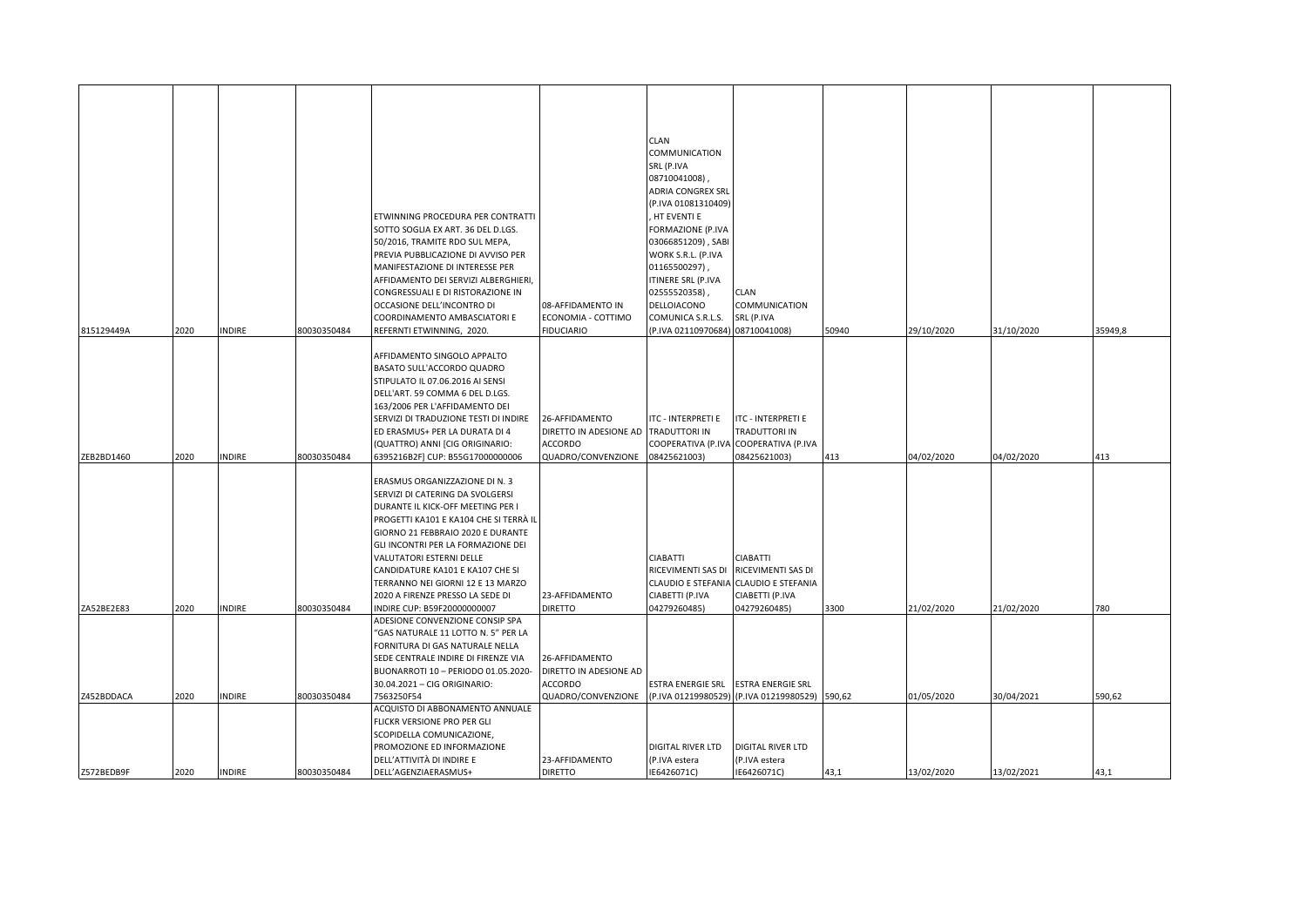|            |      |               |             |                                                                     |                                   | CLAN                             |                                         |        |            |            |         |
|------------|------|---------------|-------------|---------------------------------------------------------------------|-----------------------------------|----------------------------------|-----------------------------------------|--------|------------|------------|---------|
|            |      |               |             |                                                                     |                                   | COMMUNICATION                    |                                         |        |            |            |         |
|            |      |               |             |                                                                     |                                   | SRL (P.IVA                       |                                         |        |            |            |         |
|            |      |               |             |                                                                     |                                   | 08710041008),                    |                                         |        |            |            |         |
|            |      |               |             |                                                                     |                                   | ADRIA CONGREX SRL                |                                         |        |            |            |         |
|            |      |               |             |                                                                     |                                   | (P.IVA 01081310409)              |                                         |        |            |            |         |
|            |      |               |             | ETWINNING PROCEDURA PER CONTRATTI                                   |                                   | HT EVENTI E                      |                                         |        |            |            |         |
|            |      |               |             | SOTTO SOGLIA EX ART. 36 DEL D.LGS.                                  |                                   | FORMAZIONE (P.IVA                |                                         |        |            |            |         |
|            |      |               |             | 50/2016, TRAMITE RDO SUL MEPA,                                      |                                   | 03066851209), SABI               |                                         |        |            |            |         |
|            |      |               |             | PREVIA PUBBLICAZIONE DI AVVISO PER                                  |                                   | WORK S.R.L. (P.IVA               |                                         |        |            |            |         |
|            |      |               |             | MANIFESTAZIONE DI INTERESSE PER                                     |                                   | 01165500297),                    |                                         |        |            |            |         |
|            |      |               |             | AFFIDAMENTO DEI SERVIZI ALBERGHIERI,                                |                                   | ITINERE SRL (P.IVA               |                                         |        |            |            |         |
|            |      |               |             | CONGRESSUALI E DI RISTORAZIONE IN<br>OCCASIONE DELL'INCONTRO DI     | 08-AFFIDAMENTO IN                 | 02555520358)<br>DELLOIACONO      | <b>CLAN</b><br>COMMUNICATION            |        |            |            |         |
|            |      |               |             | COORDINAMENTO AMBASCIATORI E                                        | ECONOMIA - COTTIMO                | COMUNICA S.R.L.S.                | SRL (P.IVA                              |        |            |            |         |
| 815129449A | 2020 | INDIRE        | 80030350484 | REFERNTI ETWINNING, 2020.                                           | <b>FIDUCIARIO</b>                 | (P.IVA 02110970684) 08710041008) |                                         | 50940  | 29/10/2020 | 31/10/2020 | 35949,8 |
|            |      |               |             |                                                                     |                                   |                                  |                                         |        |            |            |         |
|            |      |               |             | AFFIDAMENTO SINGOLO APPALTO                                         |                                   |                                  |                                         |        |            |            |         |
|            |      |               |             | BASATO SULL'ACCORDO QUADRO                                          |                                   |                                  |                                         |        |            |            |         |
|            |      |               |             | STIPULATO IL 07.06.2016 AI SENSI                                    |                                   |                                  |                                         |        |            |            |         |
|            |      |               |             | DELL'ART. 59 COMMA 6 DEL D.LGS.                                     |                                   |                                  |                                         |        |            |            |         |
|            |      |               |             | 163/2006 PER L'AFFIDAMENTO DEI                                      |                                   |                                  |                                         |        |            |            |         |
|            |      |               |             | SERVIZI DI TRADUZIONE TESTI DI INDIRE                               | 26-AFFIDAMENTO                    | ITC - INTERPRETI E               | <b>ITC - INTERPRETI E</b>               |        |            |            |         |
|            |      |               |             | ED ERASMUS+ PER LA DURATA DI 4                                      | DIRETTO IN ADESIONE AD            | TRADUTTORI IN                    | TRADUTTORI IN                           |        |            |            |         |
|            |      |               |             | (QUATTRO) ANNI [CIG ORIGINARIO:                                     | ACCORDO                           | COOPERATIVA (P.IVA               | COOPERATIVA (P.IVA                      |        |            |            |         |
| ZEB2BD1460 | 2020 | <b>NDIRE</b>  | 80030350484 | 6395216B2F] CUP: B55G17000000006                                    | QUADRO/CONVENZIONE                | 08425621003)                     | 08425621003)                            | 413    | 04/02/2020 | 04/02/2020 | 413     |
|            |      |               |             | ERASMUS ORGANIZZAZIONE DI N. 3                                      |                                   |                                  |                                         |        |            |            |         |
|            |      |               |             | SERVIZI DI CATERING DA SVOLGERSI                                    |                                   |                                  |                                         |        |            |            |         |
|            |      |               |             | DURANTE IL KICK-OFF MEETING PER I                                   |                                   |                                  |                                         |        |            |            |         |
|            |      |               |             | PROGETTI KA101 E KA104 CHE SI TERRÀ IL                              |                                   |                                  |                                         |        |            |            |         |
|            |      |               |             | GIORNO 21 FEBBRAIO 2020 E DURANTE                                   |                                   |                                  |                                         |        |            |            |         |
|            |      |               |             | GLI INCONTRI PER LA FORMAZIONE DEI                                  |                                   |                                  |                                         |        |            |            |         |
|            |      |               |             | VALUTATORI ESTERNI DELLE                                            |                                   | CIABATTI                         | CIABATTI                                |        |            |            |         |
|            |      |               |             | CANDIDATURE KA101 E KA107 CHE SI                                    |                                   | RICEVIMENTI SAS DI               | RICEVIMENTI SAS DI                      |        |            |            |         |
|            |      |               |             | TERRANNO NEI GIORNI 12 E 13 MARZO                                   |                                   | CLAUDIO E STEFANIA               | <b>CLAUDIO E STEFANIA</b>               |        |            |            |         |
|            |      |               |             | 2020 A FIRENZE PRESSO LA SEDE DI                                    | 23-AFFIDAMENTO                    | CIABETTI (P.IVA                  | CIABETTI (P.IVA                         |        |            |            |         |
| ZA52BE2E83 | 2020 | INDIRE        | 80030350484 | INDIRE CUP: B59F20000000007                                         | <b>DIRETTO</b>                    | 04279260485)                     | 04279260485)                            | 3300   | 21/02/2020 | 21/02/2020 | 780     |
|            |      |               |             | ADESIONE CONVENZIONE CONSIP SPA                                     |                                   |                                  |                                         |        |            |            |         |
|            |      |               |             | 'GAS NATURALE 11 LOTTO N. 5" PER LA                                 |                                   |                                  |                                         |        |            |            |         |
|            |      |               |             | FORNITURA DI GAS NATURALE NELLA                                     |                                   |                                  |                                         |        |            |            |         |
|            |      |               |             | SEDE CENTRALE INDIRE DI FIRENZE VIA                                 | 26-AFFIDAMENTO                    |                                  |                                         |        |            |            |         |
|            |      |               |             | BUONARROTI 10 - PERIODO 01.05.2020-<br>30.04.2021 - CIG ORIGINARIO: | DIRETTO IN ADESIONE AD<br>ACCORDO | ESTRA ENERGIE SRL                | ESTRA ENERGIE SRL                       |        |            |            |         |
| Z452BDDACA | 2020 | NDIRE         | 80030350484 | 7563250F54                                                          | QUADRO/CONVENZIONE                |                                  | (P.IVA 01219980529) (P.IVA 01219980529) | 590,62 | 01/05/2020 | 30/04/2021 | 590,62  |
|            |      |               |             | ACQUISTO DI ABBONAMENTO ANNUALE                                     |                                   |                                  |                                         |        |            |            |         |
|            |      |               |             | FLICKR VERSIONE PRO PER GLI                                         |                                   |                                  |                                         |        |            |            |         |
|            |      |               |             | SCOPIDELLA COMUNICAZIONE,                                           |                                   |                                  |                                         |        |            |            |         |
|            |      |               |             | PROMOZIONE ED INFORMAZIONE                                          |                                   | DIGITAL RIVER LTD                | DIGITAL RIVER LTD                       |        |            |            |         |
|            |      |               |             | DELL'ATTIVITÀ DI INDIRE E                                           | 23-AFFIDAMENTO                    | (P.IVA estera                    | (P.IVA estera                           |        |            |            |         |
| Z572BEDB9F | 2020 | <b>INDIRE</b> | 80030350484 | DELL'AGENZIAERASMUS+                                                | <b>DIRETTO</b>                    | IE6426071C)                      | IE6426071C)                             | 43,1   | 13/02/2020 | 13/02/2021 | 43,1    |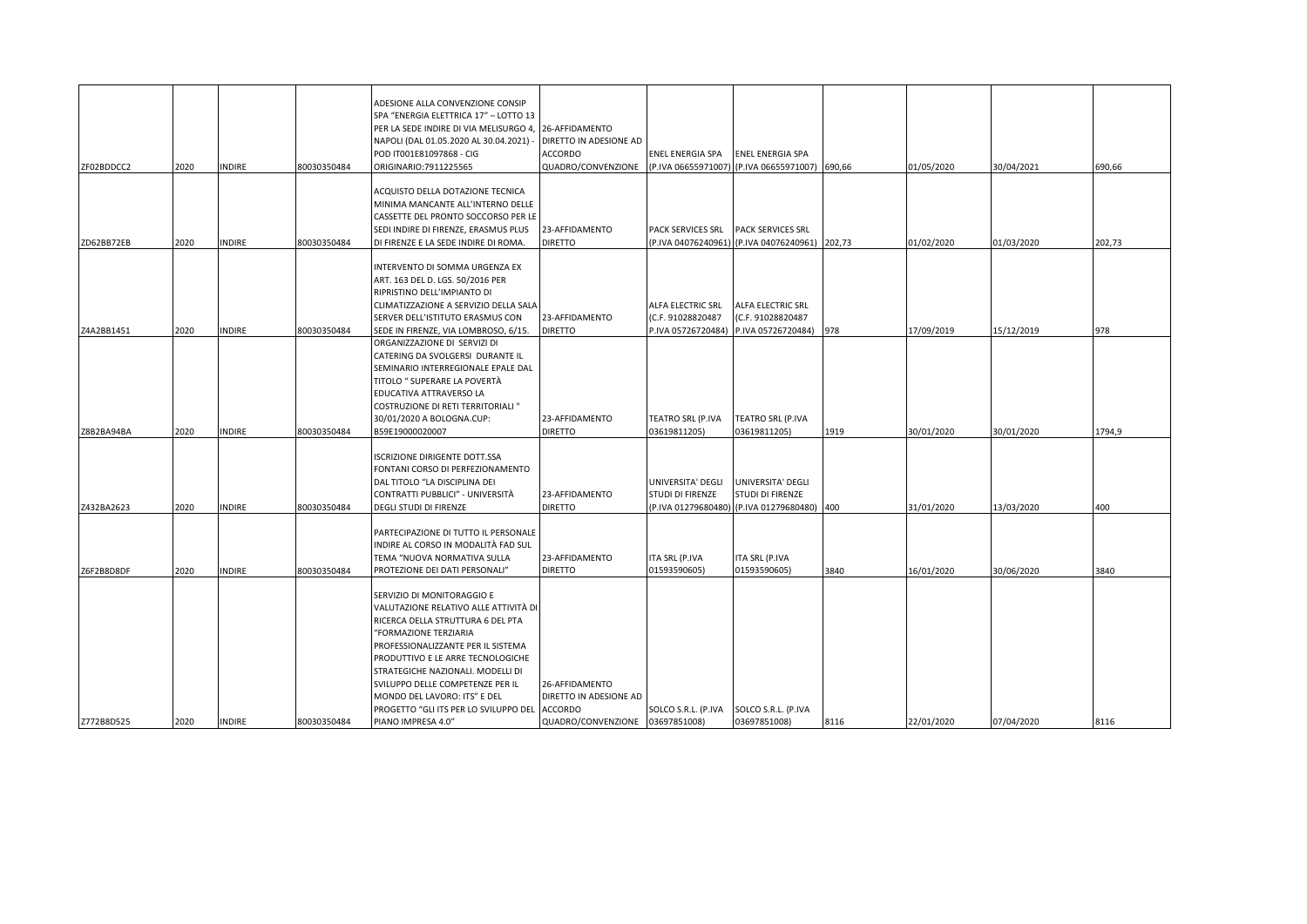| ZF02BDDCC2 | 2020 | <b>INDIRE</b> | 80030350484 | ADESIONE ALLA CONVENZIONE CONSIP<br>SPA "ENERGIA ELETTRICA 17" - LOTTO 13<br>PER LA SEDE INDIRE DI VIA MELISURGO 4, 26-AFFIDAMENTO<br>NAPOLI (DAL 01.05.2020 AL 30.04.2021) -<br>POD IT001E81097868 - CIG<br>ORIGINARIO:7911225565                                                                                                                                                           | DIRETTO IN ADESIONE AD<br><b>ACCORDO</b><br>QUADRO/CONVENZIONE | ENEL ENERGIA SPA<br>(P.IVA 06655971007)                      | <b>ENEL ENERGIA SPA</b><br>(P.IVA 06655971007) 690,66                     |      | 01/05/2020 | 30/04/2021 | 690,66 |
|------------|------|---------------|-------------|----------------------------------------------------------------------------------------------------------------------------------------------------------------------------------------------------------------------------------------------------------------------------------------------------------------------------------------------------------------------------------------------|----------------------------------------------------------------|--------------------------------------------------------------|---------------------------------------------------------------------------|------|------------|------------|--------|
| ZD62BB72EB | 2020 | <b>INDIRE</b> | 80030350484 | ACQUISTO DELLA DOTAZIONE TECNICA<br>VINIMA MANCANTE ALL'INTERNO DELLE<br>CASSETTE DEL PRONTO SOCCORSO PER LE<br>SEDI INDIRE DI FIRENZE, ERASMUS PLUS<br>DI FIRENZE E LA SEDE INDIRE DI ROMA.                                                                                                                                                                                                 | 23-AFFIDAMENTO<br><b>DIRETTO</b>                               | PACK SERVICES SRL                                            | <b>PACK SERVICES SRL</b><br>P.IVA 04076240961) (P.IVA 04076240961) 202,73 |      | 01/02/2020 | 01/03/2020 | 202,73 |
| Z4A2BB1451 | 2020 | <b>INDIRE</b> | 80030350484 | INTERVENTO DI SOMMA URGENZA EX<br>ART. 163 DEL D. LGS. 50/2016 PER<br>RIPRISTINO DELL'IMPIANTO DI<br>CLIMATIZZAZIONE A SERVIZIO DELLA SALA<br>SERVER DELL'ISTITUTO ERASMUS CON<br>SEDE IN FIRENZE, VIA LOMBROSO, 6/15.                                                                                                                                                                       | 23-AFFIDAMENTO<br><b>DIRETTO</b>                               | ALFA ELECTRIC SRL<br>(C.F. 91028820487<br>P.IVA 05726720484) | ALFA ELECTRIC SRL<br>(C.F. 91028820487<br>P.IVA 05726720484)              | 978  | 17/09/2019 | 15/12/2019 | 978    |
| Z8B2BA94BA | 2020 | <b>INDIRE</b> | 80030350484 | ORGANIZZAZIONE DI SERVIZI DI<br>CATERING DA SVOLGERSI DURANTE IL<br>SEMINARIO INTERREGIONALE EPALE DAL<br>TITOLO " SUPERARE LA POVERTÀ<br>EDUCATIVA ATTRAVERSO LA<br>COSTRUZIONE DI RETI TERRITORIALI "<br>30/01/2020 A BOLOGNA.CUP:<br>B59E19000020007                                                                                                                                      | 23-AFFIDAMENTO<br><b>DIRETTO</b>                               | TEATRO SRL (P.IVA<br>03619811205)                            | TEATRO SRL (P.IVA<br>03619811205)                                         | 1919 | 30/01/2020 | 30/01/2020 | 1794,9 |
| Z432BA2623 | 2020 | <b>INDIRE</b> | 80030350484 | ISCRIZIONE DIRIGENTE DOTT.SSA<br>FONTANI CORSO DI PERFEZIONAMENTO<br>DAL TITOLO "LA DISCIPLINA DEI<br>CONTRATTI PUBBLICI" - UNIVERSITÀ<br>DEGLI STUDI DI FIRENZE                                                                                                                                                                                                                             | 23-AFFIDAMENTO<br><b>DIRETTO</b>                               | UNIVERSITA' DEGLI<br>STUDI DI FIRENZE<br>(P.IVA 01279680480) | UNIVERSITA' DEGLI<br>STUDI DI FIRENZE<br>(P.IVA 01279680480) 400          |      | 31/01/2020 | 13/03/2020 | 400    |
| Z6F2B8D8DF | 2020 | <b>INDIRE</b> | 80030350484 | PARTECIPAZIONE DI TUTTO IL PERSONALE<br>INDIRE AL CORSO IN MODALITÀ FAD SUL<br>TEMA "NUOVA NORMATIVA SULLA<br>PROTEZIONE DEI DATI PERSONALI"                                                                                                                                                                                                                                                 | 23-AFFIDAMENTO<br><b>DIRETTO</b>                               | ITA SRL (P.IVA<br>01593590605)                               | ITA SRL (P.IVA<br>01593590605)                                            | 3840 | 16/01/2020 | 30/06/2020 | 3840   |
| Z772B8D525 | 2020 | <b>INDIRE</b> | 80030350484 | SERVIZIO DI MONITORAGGIO E<br>VALUTAZIONE RELATIVO ALLE ATTIVITÀ DI<br>RICERCA DELLA STRUTTURA 6 DEL PTA<br>"FORMAZIONE TERZIARIA<br>PROFESSIONALIZZANTE PER IL SISTEMA<br>PRODUTTIVO E LE ARRE TECNOLOGICHE<br>STRATEGICHE NAZIONALI. MODELLI DI<br>SVILUPPO DELLE COMPETENZE PER IL<br>MONDO DEL LAVORO: ITS" E DEL<br>PROGETTO "GLI ITS PER LO SVILUPPO DEL ACCORDO<br>PIANO IMPRESA 4.0" | 26-AFFIDAMENTO<br>DIRETTO IN ADESIONE AD<br>QUADRO/CONVENZIONE | SOLCO S.R.L. (P.IVA<br>03697851008)                          | SOLCO S.R.L. (P.IVA<br>03697851008)                                       | 8116 | 22/01/2020 | 07/04/2020 | 8116   |